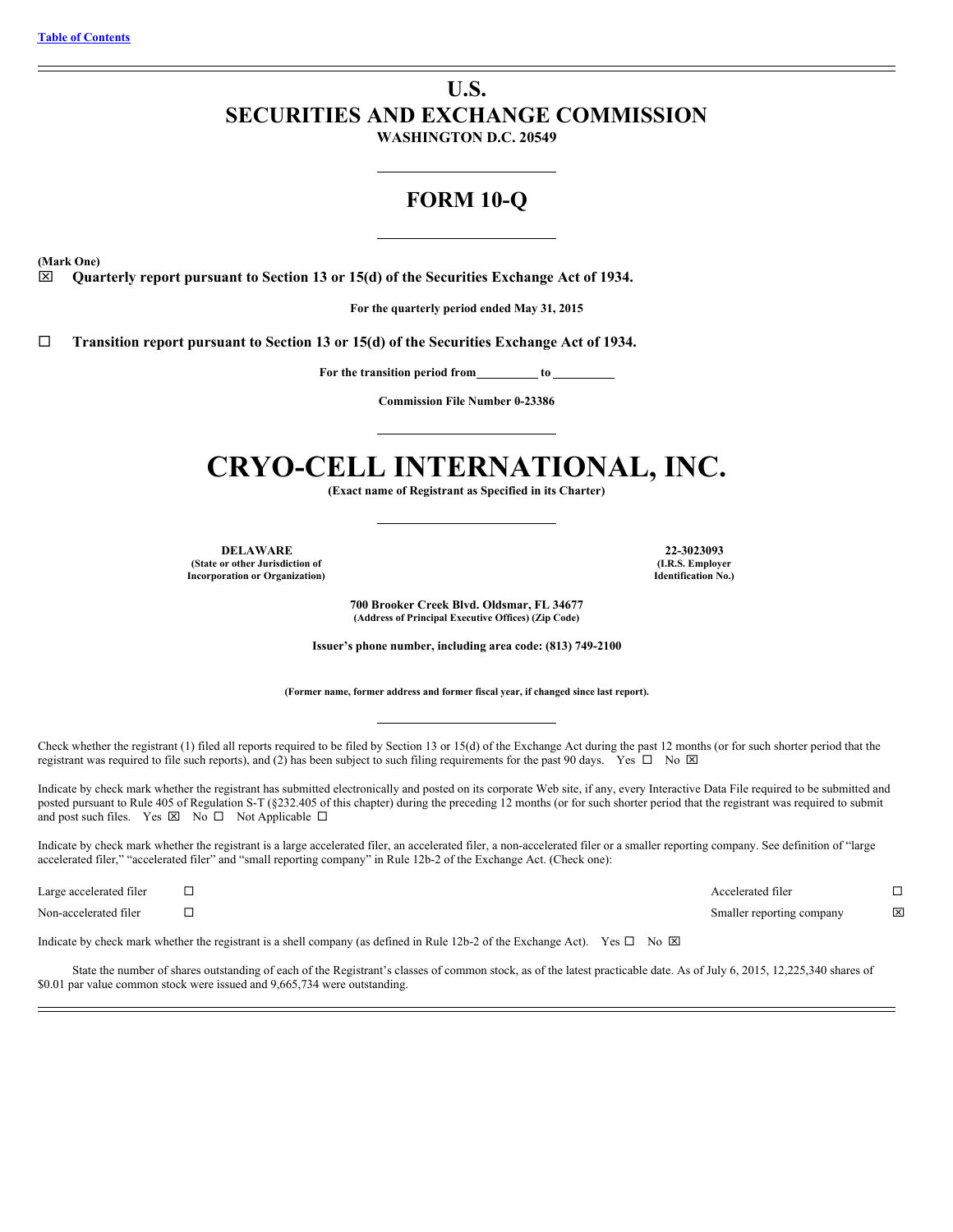## **U.S. SECURITIES AND EXCHANGE COMMISSION**

**WASHINGTON D.C. 20549**

## **FORM 10-Q**

**(Mark One)**

x **Quarterly report pursuant to Section 13 or 15(d) of the Securities Exchange Act of 1934.**

**For the quarterly period ended May 31, 2015**

¨ **Transition report pursuant to Section 13 or 15(d) of the Securities Exchange Act of 1934.**

**For the transition period from to**

**Commission File Number 0-23386**

# **CRYO-CELL INTERNATIONAL, INC.**

**(Exact name of Registrant as Specified in its Charter)**

**DELAWARE 22-3023093 (State or other Jurisdiction of Incorporation or Organization)**

**(I.R.S. Employer Identification No.)**

**700 Brooker Creek Blvd. Oldsmar, FL 34677 (Address of Principal Executive Offices) (Zip Code)**

**Issuer's phone number, including area code: (813) 749-2100**

**(Former name, former address and former fiscal year, if changed since last report).**

Check whether the registrant (1) filed all reports required to be filed by Section 13 or 15(d) of the Exchange Act during the past 12 months (or for such shorter period that the registrant was required to file such reports), and (2) has been subject to such filing requirements for the past 90 days. Yes  $\square$  No  $\square$ 

Indicate by check mark whether the registrant has submitted electronically and posted on its corporate Web site, if any, every Interactive Data File required to be submitted and posted pursuant to Rule 405 of Regulation S-T (§232.405 of this chapter) during the preceding 12 months (or for such shorter period that the registrant was required to submit and post such files. Yes  $\boxtimes$  No  $\square$  Not Applicable  $\square$ 

Indicate by check mark whether the registrant is a large accelerated filer, an accelerated filer, a non-accelerated filer or a smaller reporting company. See definition of "large accelerated filer," "accelerated filer" and "small reporting company" in Rule 12b-2 of the Exchange Act. (Check one):

| Large accelerated filer | Accelerated filer         |   |
|-------------------------|---------------------------|---|
| Non-accelerated filer   | Smaller reporting company | × |

Indicate by check mark whether the registrant is a shell company (as defined in Rule 12b-2 of the Exchange Act). Yes  $\Box$  No  $\boxtimes$ 

State the number of shares outstanding of each of the Registrant's classes of common stock, as of the latest practicable date. As of July 6, 2015, 12,225,340 shares of \$0.01 par value common stock were issued and 9,665,734 were outstanding.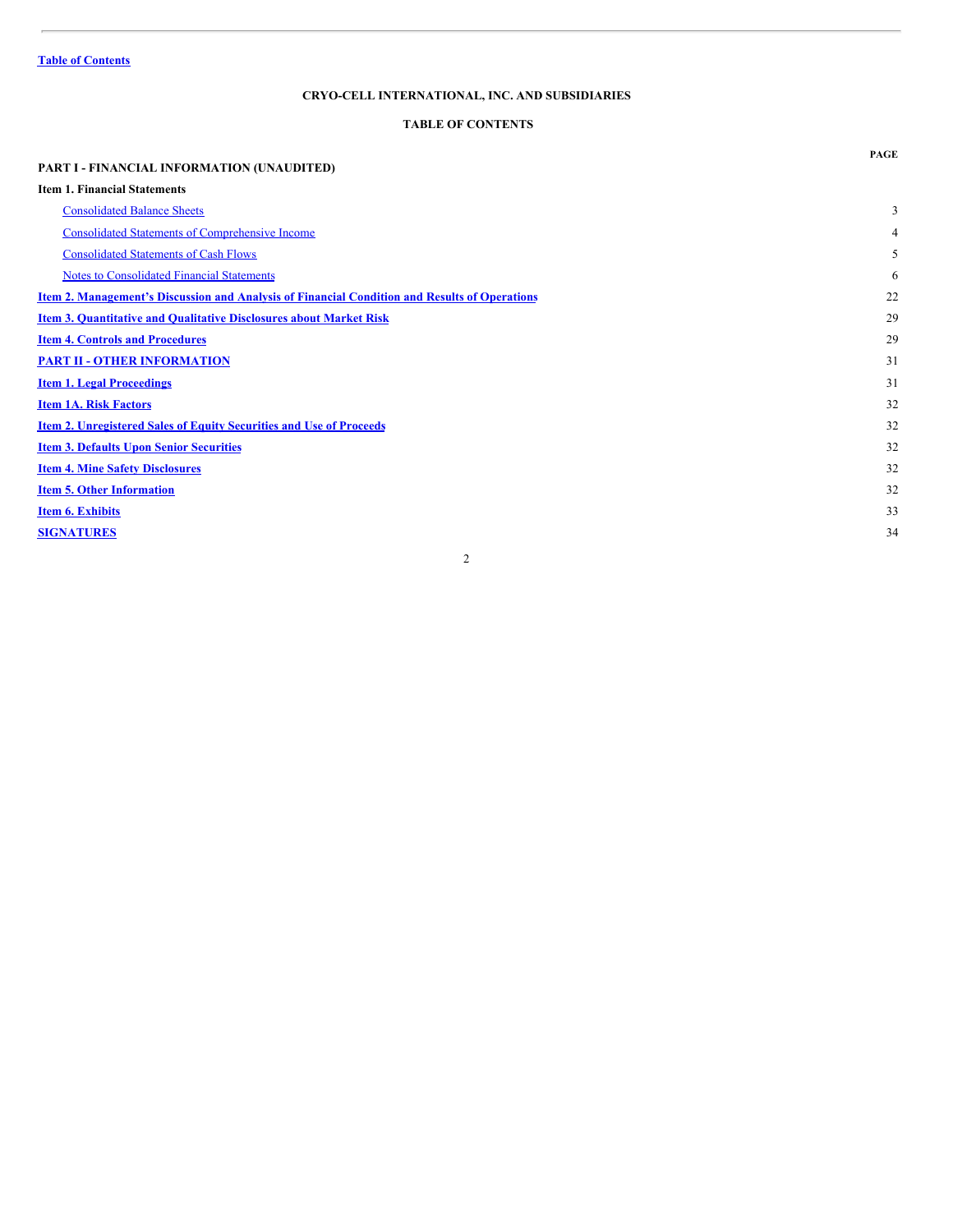## <span id="page-1-0"></span>**TABLE OF CONTENTS**

|                                                                                                      | <b>PAGE</b> |
|------------------------------------------------------------------------------------------------------|-------------|
| <b>PART I - FINANCIAL INFORMATION (UNAUDITED)</b>                                                    |             |
| <b>Item 1. Financial Statements</b>                                                                  |             |
| <b>Consolidated Balance Sheets</b>                                                                   | 3           |
| <b>Consolidated Statements of Comprehensive Income</b>                                               | 4           |
| <b>Consolidated Statements of Cash Flows</b>                                                         | 5           |
| <b>Notes to Consolidated Financial Statements</b>                                                    | 6           |
| <b>Item 2. Management's Discussion and Analysis of Financial Condition and Results of Operations</b> | 22          |
| <b>Item 3. Quantitative and Qualitative Disclosures about Market Risk</b>                            | 29          |
| <b>Item 4. Controls and Procedures</b>                                                               | 29          |
| <b>PART II - OTHER INFORMATION</b>                                                                   | 31          |
| <b>Item 1. Legal Proceedings</b>                                                                     | 31          |
| <b>Item 1A. Risk Factors</b>                                                                         | 32          |
| <b>Item 2. Unregistered Sales of Equity Securities and Use of Proceeds</b>                           | 32          |
| <b>Item 3. Defaults Upon Senior Securities</b>                                                       | 32          |
| <b>Item 4. Mine Safety Disclosures</b>                                                               | 32          |
| <b>Item 5. Other Information</b>                                                                     | 32          |
| <b>Item 6. Exhibits</b>                                                                              | 33          |
| <b>SIGNATURES</b>                                                                                    | 34          |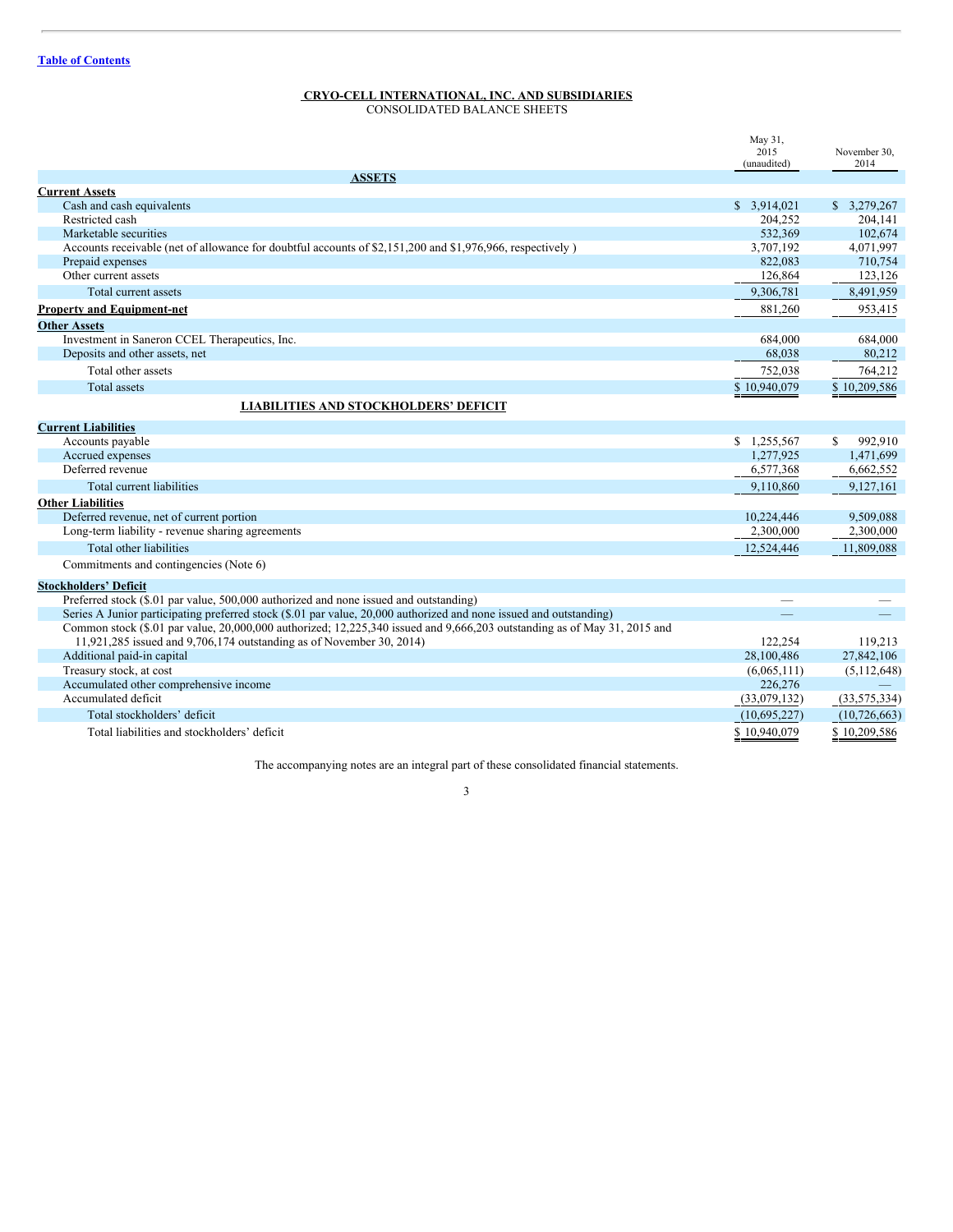<span id="page-2-0"></span>CONSOLIDATED BALANCE SHEETS

|                                                                                                                          | May 31,<br>2015       | November 30,   |
|--------------------------------------------------------------------------------------------------------------------------|-----------------------|----------------|
|                                                                                                                          | (unaudited)           | 2014           |
| <b>ASSETS</b>                                                                                                            |                       |                |
| <b>Current Assets</b>                                                                                                    |                       |                |
| Cash and cash equivalents                                                                                                | \$3,914,021           | \$3,279,267    |
| Restricted cash                                                                                                          | 204.252               | 204,141        |
| Marketable securities                                                                                                    | 532,369               | 102,674        |
| Accounts receivable (net of allowance for doubtful accounts of \$2,151,200 and \$1,976,966, respectively)                | 3,707,192             | 4,071,997      |
| Prepaid expenses                                                                                                         | 822,083               | 710,754        |
| Other current assets                                                                                                     | 126,864               | 123,126        |
| Total current assets                                                                                                     | 9,306,781             | 8,491,959      |
| <b>Property and Equipment-net</b>                                                                                        | 881,260               | 953,415        |
| <b>Other Assets</b>                                                                                                      |                       |                |
| Investment in Saneron CCEL Therapeutics, Inc.                                                                            | 684,000               | 684,000        |
| Deposits and other assets, net                                                                                           | 68,038                | 80,212         |
| Total other assets                                                                                                       | 752,038               | 764,212        |
| Total assets                                                                                                             | \$10,940,079          | \$10,209,586   |
| <b>LIABILITIES AND STOCKHOLDERS' DEFICIT</b>                                                                             |                       |                |
| <b>Current Liabilities</b>                                                                                               |                       |                |
| Accounts payable                                                                                                         | \$1,255,567           | 992,910<br>\$  |
| Accrued expenses                                                                                                         | 1,277,925             | 1,471,699      |
| Deferred revenue                                                                                                         | 6,577,368             | 6,662,552      |
| Total current liabilities                                                                                                | 9.110.860             | 9.127.161      |
| <b>Other Liabilities</b>                                                                                                 |                       |                |
| Deferred revenue, net of current portion                                                                                 | 10,224,446            | 9,509,088      |
| Long-term liability - revenue sharing agreements                                                                         | 2,300,000             | 2,300,000      |
| Total other liabilities                                                                                                  | 12,524,446            | 11,809,088     |
| Commitments and contingencies (Note 6)                                                                                   |                       |                |
| <b>Stockholders' Deficit</b>                                                                                             |                       |                |
| Preferred stock (\$.01 par value, 500,000 authorized and none issued and outstanding)                                    |                       |                |
| Series A Junior participating preferred stock (\$.01 par value, 20,000 authorized and none issued and outstanding)       |                       |                |
| Common stock (\$.01 par value, 20,000,000 authorized; 12,225,340 issued and 9,666,203 outstanding as of May 31, 2015 and |                       | 119.213        |
| 11,921,285 issued and 9,706,174 outstanding as of November 30, 2014)<br>Additional paid-in capital                       | 122,254<br>28,100,486 | 27,842,106     |
| Treasury stock, at cost                                                                                                  | (6,065,111)           | (5,112,648)    |
| Accumulated other comprehensive income                                                                                   | 226,276               |                |
| Accumulated deficit                                                                                                      | (33,079,132)          | (33, 575, 334) |
| Total stockholders' deficit                                                                                              | (10,695,227)          | (10, 726, 663) |
|                                                                                                                          |                       |                |
| Total liabilities and stockholders' deficit                                                                              | \$10,940,079          | \$10.209.586   |

The accompanying notes are an integral part of these consolidated financial statements.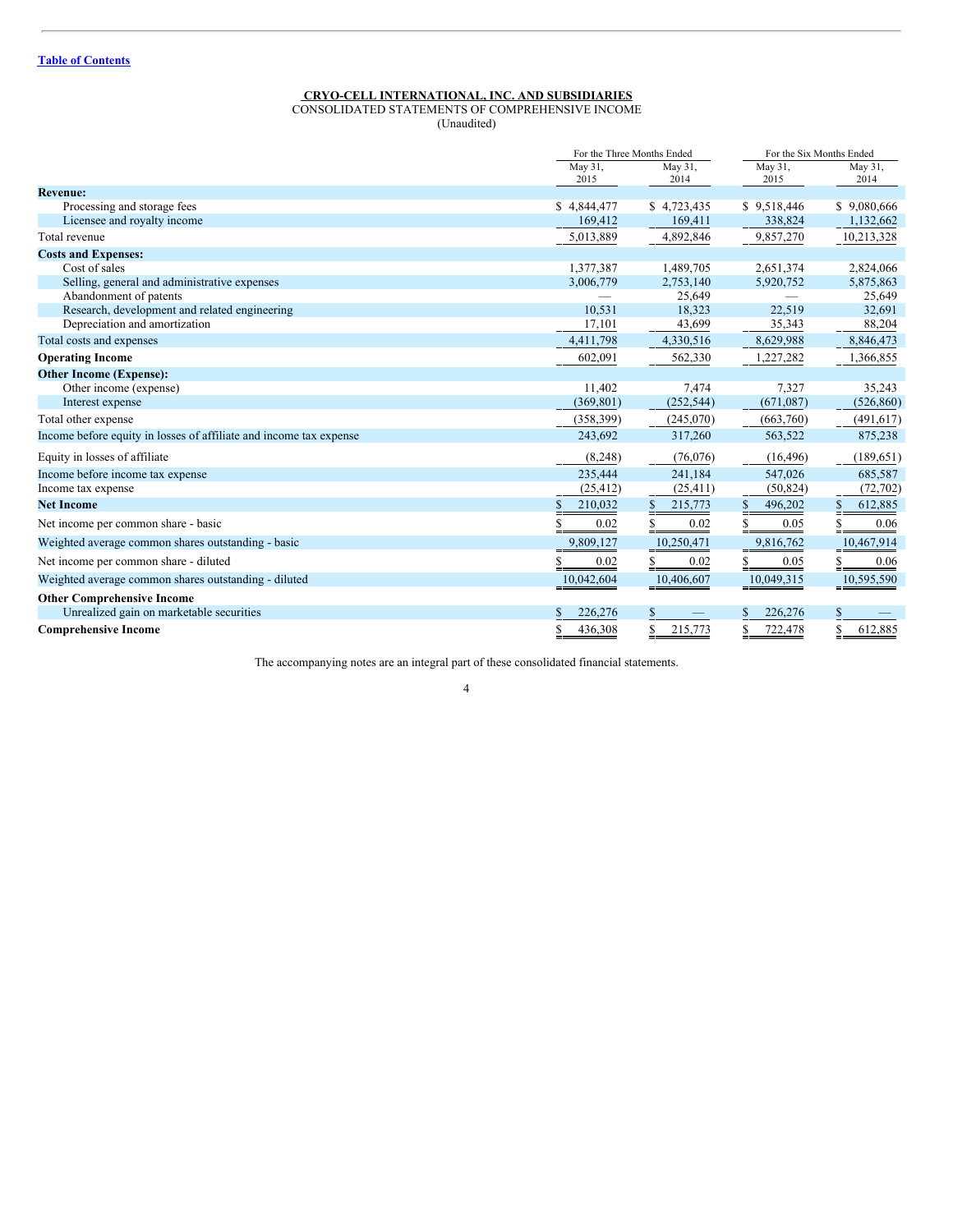<span id="page-3-0"></span>CONSOLIDATED STATEMENTS OF COMPREHENSIVE INCOME

(Unaudited)

|                                                                    |                 | For the Three Months Ended | For the Six Months Ended |                 |  |
|--------------------------------------------------------------------|-----------------|----------------------------|--------------------------|-----------------|--|
|                                                                    | May 31,<br>2015 | May 31.<br>2014            | May 31,<br>2015          | May 31.<br>2014 |  |
| <b>Revenue:</b>                                                    |                 |                            |                          |                 |  |
| Processing and storage fees                                        | \$4,844,477     | \$4,723,435                | \$9,518,446              | \$9,080,666     |  |
| Licensee and royalty income                                        | 169,412         | 169,411                    | 338,824                  | 1,132,662       |  |
| Total revenue                                                      | 5,013,889       | 4,892,846                  | 9,857,270                | 10,213,328      |  |
| <b>Costs and Expenses:</b>                                         |                 |                            |                          |                 |  |
| Cost of sales                                                      | 1,377,387       | 1,489,705                  | 2,651,374                | 2,824,066       |  |
| Selling, general and administrative expenses                       | 3,006,779       | 2,753,140                  | 5,920,752                | 5,875,863       |  |
| Abandonment of patents                                             |                 | 25,649                     |                          | 25,649          |  |
| Research, development and related engineering                      | 10,531          | 18,323                     | 22,519                   | 32,691          |  |
| Depreciation and amortization                                      | 17,101          | 43,699                     | 35,343                   | 88,204          |  |
| Total costs and expenses                                           | 4,411,798       | 4,330,516                  | 8,629,988                | 8,846,473       |  |
| <b>Operating Income</b>                                            | 602,091         | 562,330                    | 1,227,282                | 1,366,855       |  |
| <b>Other Income (Expense):</b>                                     |                 |                            |                          |                 |  |
| Other income (expense)                                             | 11,402          | 7,474                      | 7,327                    | 35,243          |  |
| Interest expense                                                   | (369, 801)      | (252, 544)                 | (671,087)                | (526, 860)      |  |
| Total other expense                                                | (358, 399)      | (245,070)                  | (663,760)                | (491, 617)      |  |
| Income before equity in losses of affiliate and income tax expense | 243,692         | 317,260                    | 563,522                  | 875,238         |  |
| Equity in losses of affiliate                                      | (8, 248)        | (76,076)                   | (16, 496)                | (189, 651)      |  |
| Income before income tax expense                                   | 235,444         | 241,184                    | 547,026                  | 685,587         |  |
| Income tax expense                                                 | (25, 412)       | (25, 411)                  | (50, 824)                | (72, 702)       |  |
| <b>Net Income</b>                                                  | 210,032         | 215,773<br>S               | 496,202<br>S             | 612,885<br>S    |  |
| Net income per common share - basic                                | 0.02            | 0.02                       | 0.05                     | 0.06            |  |
| Weighted average common shares outstanding - basic                 | 9,809,127       | 10,250,471                 | 9,816,762                | 10,467,914      |  |
| Net income per common share - diluted                              | 0.02            | 0.02                       | 0.05                     | 0.06            |  |
| Weighted average common shares outstanding - diluted               | 10,042,604      | 10,406,607                 | 10,049,315               | 10,595,590      |  |
| <b>Other Comprehensive Income</b>                                  |                 |                            |                          |                 |  |
| Unrealized gain on marketable securities                           | 226,276         | \$                         | 226,276                  | \$              |  |
| <b>Comprehensive Income</b>                                        | 436,308<br>\$   | 215,773<br>S               | \$<br>722,478            | \$<br>612,885   |  |

The accompanying notes are an integral part of these consolidated financial statements.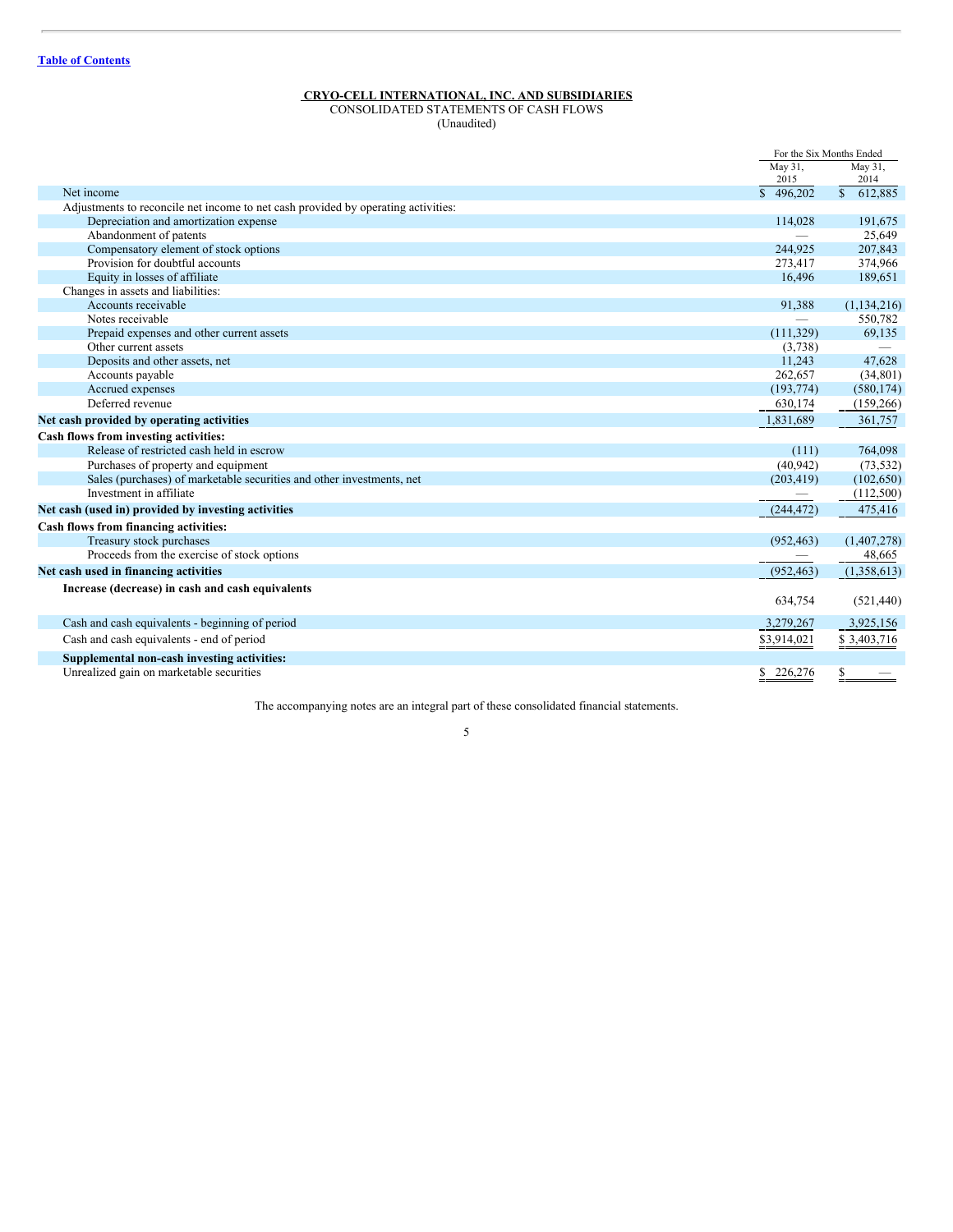<span id="page-4-0"></span>CONSOLIDATED STATEMENTS OF CASH FLOWS

(Unaudited)

|                                                                                   |                          | For the Six Months Ended |
|-----------------------------------------------------------------------------------|--------------------------|--------------------------|
|                                                                                   | May 31,                  | May 31,                  |
|                                                                                   | 2015                     | 2014                     |
| Net income                                                                        | \$496,202                | $\mathbb{S}$<br>612,885  |
| Adjustments to reconcile net income to net cash provided by operating activities: |                          |                          |
| Depreciation and amortization expense                                             | 114,028                  | 191,675                  |
| Abandonment of patents                                                            | $\overline{\phantom{a}}$ | 25,649                   |
| Compensatory element of stock options                                             | 244,925                  | 207,843                  |
| Provision for doubtful accounts                                                   | 273,417                  | 374,966                  |
| Equity in losses of affiliate                                                     | 16,496                   | 189,651                  |
| Changes in assets and liabilities:                                                |                          |                          |
| Accounts receivable                                                               | 91,388                   | (1, 134, 216)            |
| Notes receivable                                                                  |                          | 550,782                  |
| Prepaid expenses and other current assets                                         | (111, 329)               | 69,135                   |
| Other current assets                                                              | (3,738)                  |                          |
| Deposits and other assets, net                                                    | 11,243                   | 47,628                   |
| Accounts payable                                                                  | 262,657                  | (34, 801)                |
| Accrued expenses<br>Deferred revenue                                              | (193, 774)               | (580, 174)               |
|                                                                                   | 630,174                  | (159, 266)               |
| Net cash provided by operating activities                                         | 1,831,689                | 361,757                  |
| Cash flows from investing activities:                                             |                          |                          |
| Release of restricted cash held in escrow                                         | (111)                    | 764,098                  |
| Purchases of property and equipment                                               | (40, 942)                | (73, 532)                |
| Sales (purchases) of marketable securities and other investments, net             | (203, 419)               | (102, 650)               |
| Investment in affiliate                                                           |                          | (112,500)                |
| Net cash (used in) provided by investing activities                               | (244, 472)               | 475,416                  |
| Cash flows from financing activities:                                             |                          |                          |
| Treasury stock purchases                                                          | (952, 463)               | (1,407,278)              |
| Proceeds from the exercise of stock options                                       |                          | 48,665                   |
| Net cash used in financing activities                                             | (952, 463)               | (1,358,613)              |
| Increase (decrease) in cash and cash equivalents                                  |                          |                          |
|                                                                                   | 634,754                  | (521, 440)               |
| Cash and cash equivalents - beginning of period                                   | 3,279,267                | 3,925,156                |
| Cash and cash equivalents - end of period                                         | \$3,914,021              | \$3,403,716              |
| Supplemental non-cash investing activities:                                       |                          |                          |
| Unrealized gain on marketable securities                                          | 226,276                  | \$.                      |

The accompanying notes are an integral part of these consolidated financial statements.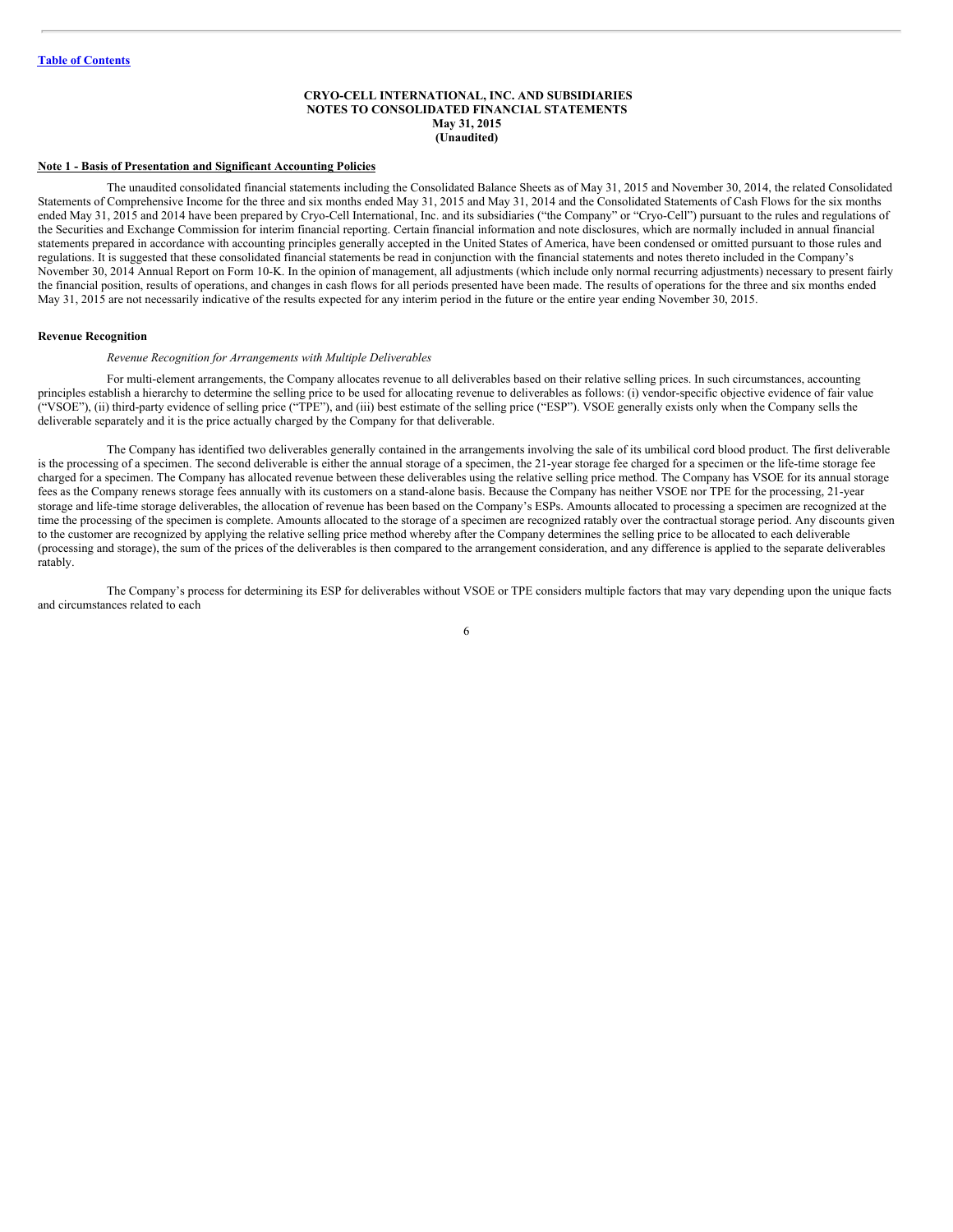#### <span id="page-5-0"></span>**CRYO-CELL INTERNATIONAL, INC. AND SUBSIDIARIES NOTES TO CONSOLIDATED FINANCIAL STATEMENTS May 31, 2015 (Unaudited)**

#### **Note 1 - Basis of Presentation and Significant Accounting Policies**

The unaudited consolidated financial statements including the Consolidated Balance Sheets as of May 31, 2015 and November 30, 2014, the related Consolidated Statements of Comprehensive Income for the three and six months ended May 31, 2015 and May 31, 2014 and the Consolidated Statements of Cash Flows for the six months ended May 31, 2015 and 2014 have been prepared by Cryo-Cell International, Inc. and its subsidiaries ("the Company" or "Cryo-Cell") pursuant to the rules and regulations of the Securities and Exchange Commission for interim financial reporting. Certain financial information and note disclosures, which are normally included in annual financial statements prepared in accordance with accounting principles generally accepted in the United States of America, have been condensed or omitted pursuant to those rules and regulations. It is suggested that these consolidated financial statements be read in conjunction with the financial statements and notes thereto included in the Company's November 30, 2014 Annual Report on Form 10-K. In the opinion of management, all adjustments (which include only normal recurring adjustments) necessary to present fairly the financial position, results of operations, and changes in cash flows for all periods presented have been made. The results of operations for the three and six months ended May 31, 2015 are not necessarily indicative of the results expected for any interim period in the future or the entire year ending November 30, 2015.

#### **Revenue Recognition**

#### *Revenue Recognition for Arrangements with Multiple Deliverables*

For multi-element arrangements, the Company allocates revenue to all deliverables based on their relative selling prices. In such circumstances, accounting principles establish a hierarchy to determine the selling price to be used for allocating revenue to deliverables as follows: (i) vendor-specific objective evidence of fair value ("VSOE"), (ii) third-party evidence of selling price ("TPE"), and (iii) best estimate of the selling price ("ESP"). VSOE generally exists only when the Company sells the deliverable separately and it is the price actually charged by the Company for that deliverable.

The Company has identified two deliverables generally contained in the arrangements involving the sale of its umbilical cord blood product. The first deliverable is the processing of a specimen. The second deliverable is either the annual storage of a specimen, the 21-year storage fee charged for a specimen or the life-time storage fee charged for a specimen. The Company has allocated revenue between these deliverables using the relative selling price method. The Company has VSOE for its annual storage fees as the Company renews storage fees annually with its customers on a stand-alone basis. Because the Company has neither VSOE nor TPE for the processing, 21-year storage and life-time storage deliverables, the allocation of revenue has been based on the Company's ESPs. Amounts allocated to processing a specimen are recognized at the time the processing of the specimen is complete. Amounts allocated to the storage of a specimen are recognized ratably over the contractual storage period. Any discounts given to the customer are recognized by applying the relative selling price method whereby after the Company determines the selling price to be allocated to each deliverable (processing and storage), the sum of the prices of the deliverables is then compared to the arrangement consideration, and any difference is applied to the separate deliverables ratably.

The Company's process for determining its ESP for deliverables without VSOE or TPE considers multiple factors that may vary depending upon the unique facts and circumstances related to each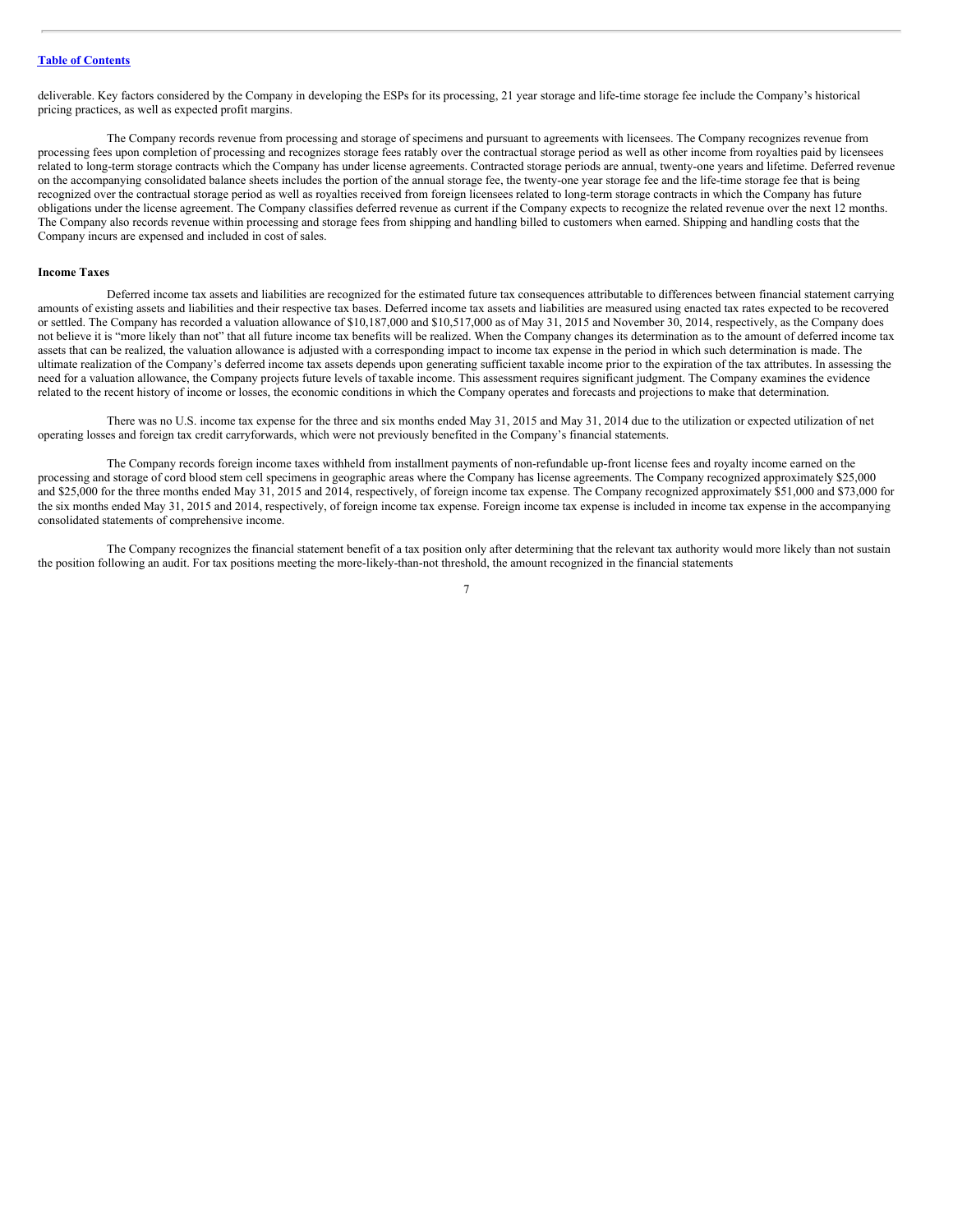deliverable. Key factors considered by the Company in developing the ESPs for its processing, 21 year storage and life-time storage fee include the Company's historical pricing practices, as well as expected profit margins.

The Company records revenue from processing and storage of specimens and pursuant to agreements with licensees. The Company recognizes revenue from processing fees upon completion of processing and recognizes storage fees ratably over the contractual storage period as well as other income from royalties paid by licensees related to long-term storage contracts which the Company has under license agreements. Contracted storage periods are annual, twenty-one years and lifetime. Deferred revenue on the accompanying consolidated balance sheets includes the portion of the annual storage fee, the twenty-one year storage fee and the life-time storage fee that is being recognized over the contractual storage period as well as royalties received from foreign licensees related to long-term storage contracts in which the Company has future obligations under the license agreement. The Company classifies deferred revenue as current if the Company expects to recognize the related revenue over the next 12 months. The Company also records revenue within processing and storage fees from shipping and handling billed to customers when earned. Shipping and handling costs that the Company incurs are expensed and included in cost of sales.

#### **Income Taxes**

Deferred income tax assets and liabilities are recognized for the estimated future tax consequences attributable to differences between financial statement carrying amounts of existing assets and liabilities and their respective tax bases. Deferred income tax assets and liabilities are measured using enacted tax rates expected to be recovered or settled. The Company has recorded a valuation allowance of \$10,187,000 and \$10,517,000 as of May 31, 2015 and November 30, 2014, respectively, as the Company does not believe it is "more likely than not" that all future income tax benefits will be realized. When the Company changes its determination as to the amount of deferred income tax assets that can be realized, the valuation allowance is adjusted with a corresponding impact to income tax expense in the period in which such determination is made. The ultimate realization of the Company's deferred income tax assets depends upon generating sufficient taxable income prior to the expiration of the tax attributes. In assessing the need for a valuation allowance, the Company projects future levels of taxable income. This assessment requires significant judgment. The Company examines the evidence related to the recent history of income or losses, the economic conditions in which the Company operates and forecasts and projections to make that determination.

There was no U.S. income tax expense for the three and six months ended May 31, 2015 and May 31, 2014 due to the utilization or expected utilization of net operating losses and foreign tax credit carryforwards, which were not previously benefited in the Company's financial statements.

The Company records foreign income taxes withheld from installment payments of non-refundable up-front license fees and royalty income earned on the processing and storage of cord blood stem cell specimens in geographic areas where the Company has license agreements. The Company recognized approximately \$25,000 and \$25,000 for the three months ended May 31, 2015 and 2014, respectively, of foreign income tax expense. The Company recognized approximately \$51,000 and \$73,000 for the six months ended May 31, 2015 and 2014, respectively, of foreign income tax expense. Foreign income tax expense is included in income tax expense in the accompanying consolidated statements of comprehensive income.

The Company recognizes the financial statement benefit of a tax position only after determining that the relevant tax authority would more likely than not sustain the position following an audit. For tax positions meeting the more-likely-than-not threshold, the amount recognized in the financial statements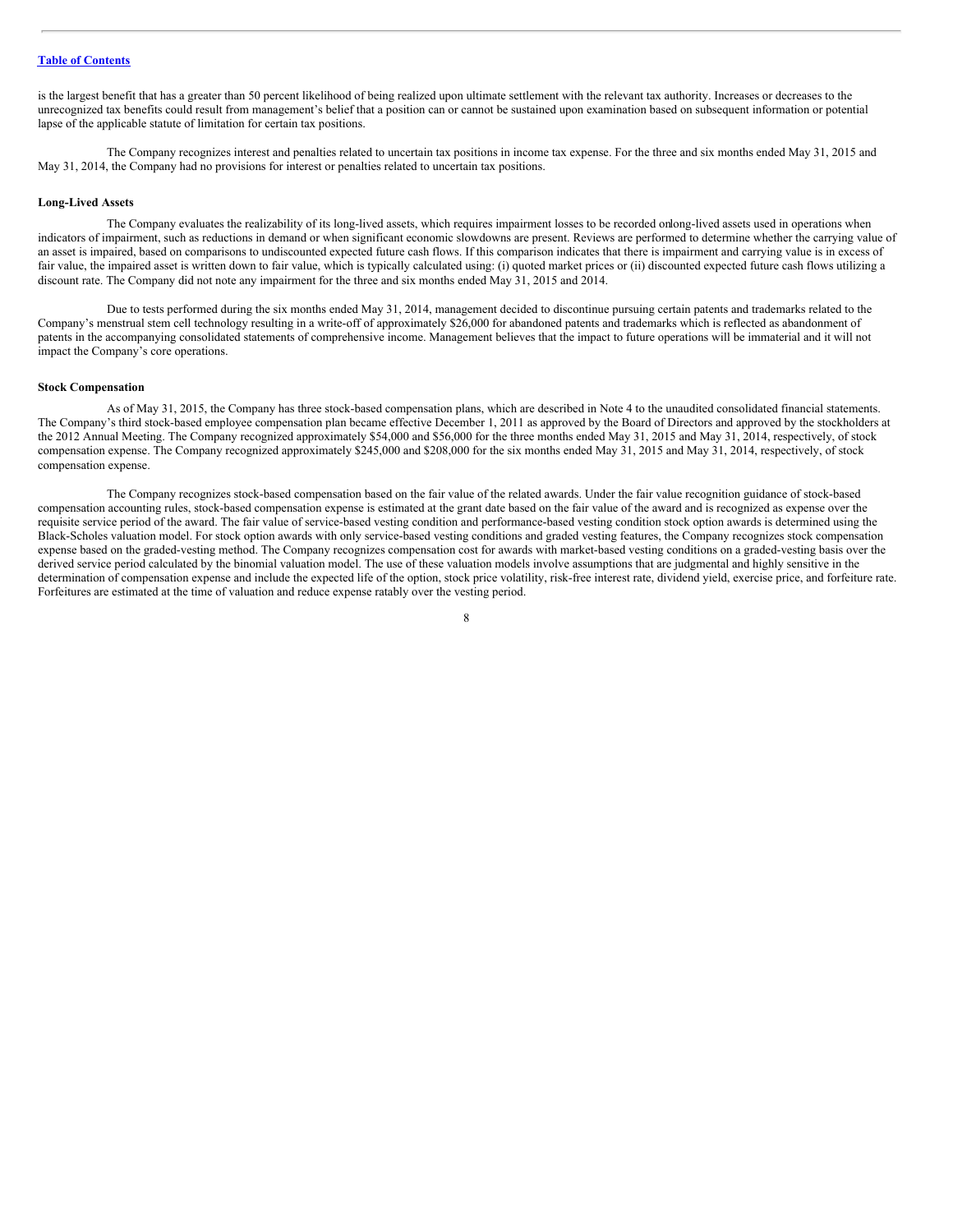is the largest benefit that has a greater than 50 percent likelihood of being realized upon ultimate settlement with the relevant tax authority. Increases or decreases to the unrecognized tax benefits could result from management's belief that a position can or cannot be sustained upon examination based on subsequent information or potential lapse of the applicable statute of limitation for certain tax positions.

The Company recognizes interest and penalties related to uncertain tax positions in income tax expense. For the three and six months ended May 31, 2015 and May 31, 2014, the Company had no provisions for interest or penalties related to uncertain tax positions.

#### **Long-Lived Assets**

The Company evaluates the realizability of its long-lived assets, which requires impairment losses to be recorded onlong-lived assets used in operations when indicators of impairment, such as reductions in demand or when significant economic slowdowns are present. Reviews are performed to determine whether the carrying value of an asset is impaired, based on comparisons to undiscounted expected future cash flows. If this comparison indicates that there is impairment and carrying value is in excess of fair value, the impaired asset is written down to fair value, which is typically calculated using: (i) quoted market prices or (ii) discounted expected future cash flows utilizing a discount rate. The Company did not note any impairment for the three and six months ended May 31, 2015 and 2014.

Due to tests performed during the six months ended May 31, 2014, management decided to discontinue pursuing certain patents and trademarks related to the Company's menstrual stem cell technology resulting in a write-off of approximately \$26,000 for abandoned patents and trademarks which is reflected as abandonment of patents in the accompanying consolidated statements of comprehensive income. Management believes that the impact to future operations will be immaterial and it will not impact the Company's core operations.

#### **Stock Compensation**

As of May 31, 2015, the Company has three stock-based compensation plans, which are described in Note 4 to the unaudited consolidated financial statements. The Company's third stock-based employee compensation plan became effective December 1, 2011 as approved by the Board of Directors and approved by the stockholders at the 2012 Annual Meeting. The Company recognized approximately \$54,000 and \$56,000 for the three months ended May 31, 2015 and May 31, 2014, respectively, of stock compensation expense. The Company recognized approximately \$245,000 and \$208,000 for the six months ended May 31, 2015 and May 31, 2014, respectively, of stock compensation expense.

The Company recognizes stock-based compensation based on the fair value of the related awards. Under the fair value recognition guidance of stock-based compensation accounting rules, stock-based compensation expense is estimated at the grant date based on the fair value of the award and is recognized as expense over the requisite service period of the award. The fair value of service-based vesting condition and performance-based vesting condition stock option awards is determined using the Black-Scholes valuation model. For stock option awards with only service-based vesting conditions and graded vesting features, the Company recognizes stock compensation expense based on the graded-vesting method. The Company recognizes compensation cost for awards with market-based vesting conditions on a graded-vesting basis over the derived service period calculated by the binomial valuation model. The use of these valuation models involve assumptions that are judgmental and highly sensitive in the determination of compensation expense and include the expected life of the option, stock price volatility, risk-free interest rate, dividend yield, exercise price, and forfeiture rate. Forfeitures are estimated at the time of valuation and reduce expense ratably over the vesting period.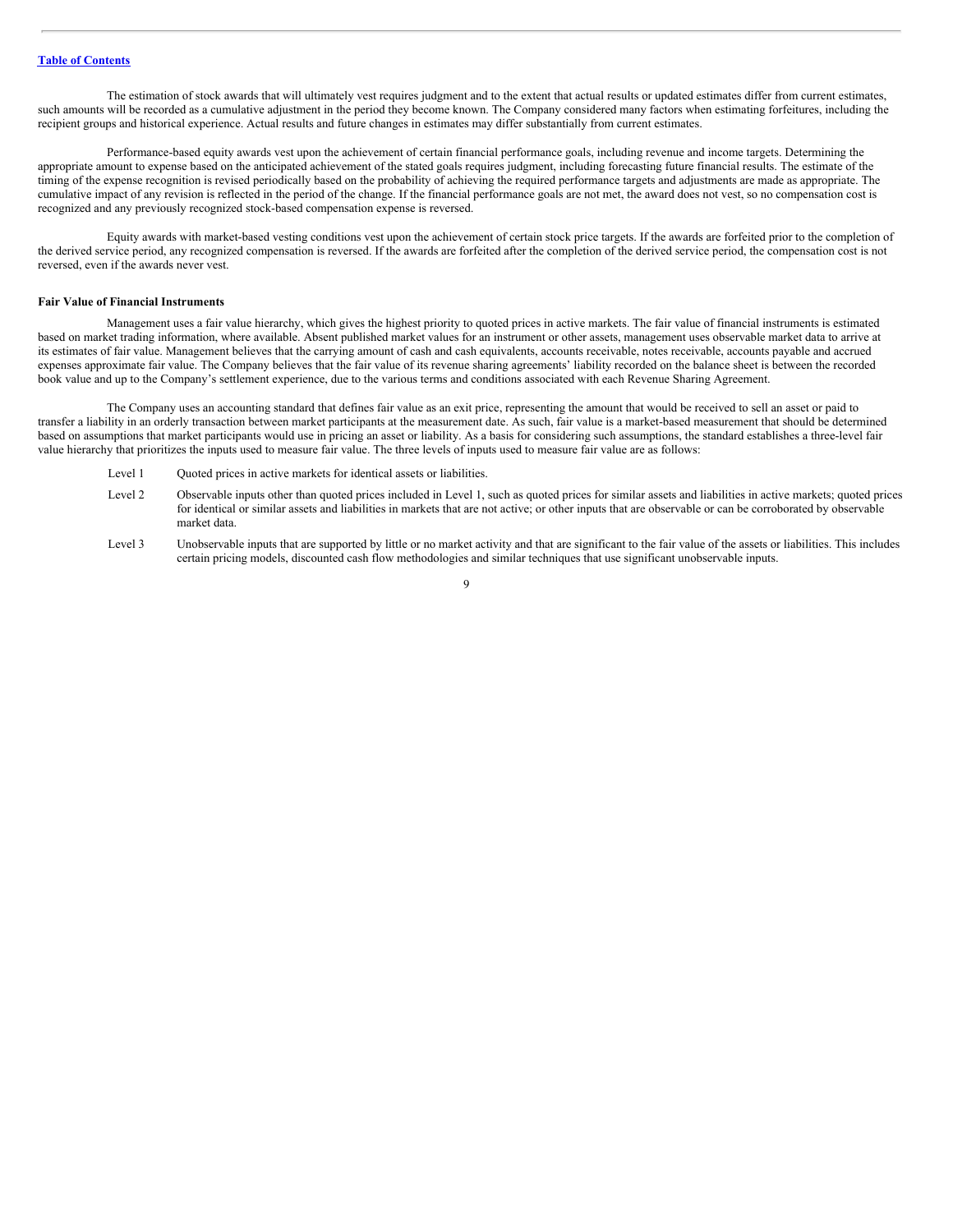The estimation of stock awards that will ultimately vest requires judgment and to the extent that actual results or updated estimates differ from current estimates, such amounts will be recorded as a cumulative adjustment in the period they become known. The Company considered many factors when estimating forfeitures, including the recipient groups and historical experience. Actual results and future changes in estimates may differ substantially from current estimates.

Performance-based equity awards vest upon the achievement of certain financial performance goals, including revenue and income targets. Determining the appropriate amount to expense based on the anticipated achievement of the stated goals requires judgment, including forecasting future financial results. The estimate of the timing of the expense recognition is revised periodically based on the probability of achieving the required performance targets and adjustments are made as appropriate. The cumulative impact of any revision is reflected in the period of the change. If the financial performance goals are not met, the award does not vest, so no compensation cost is recognized and any previously recognized stock-based compensation expense is reversed.

Equity awards with market-based vesting conditions vest upon the achievement of certain stock price targets. If the awards are forfeited prior to the completion of the derived service period, any recognized compensation is reversed. If the awards are forfeited after the completion of the derived service period, the compensation cost is not reversed, even if the awards never vest.

#### **Fair Value of Financial Instruments**

Management uses a fair value hierarchy, which gives the highest priority to quoted prices in active markets. The fair value of financial instruments is estimated based on market trading information, where available. Absent published market values for an instrument or other assets, management uses observable market data to arrive at its estimates of fair value. Management believes that the carrying amount of cash and cash equivalents, accounts receivable, notes receivable, accounts payable and accrued expenses approximate fair value. The Company believes that the fair value of its revenue sharing agreements' liability recorded on the balance sheet is between the recorded book value and up to the Company's settlement experience, due to the various terms and conditions associated with each Revenue Sharing Agreement.

The Company uses an accounting standard that defines fair value as an exit price, representing the amount that would be received to sell an asset or paid to transfer a liability in an orderly transaction between market participants at the measurement date. As such, fair value is a market-based measurement that should be determined based on assumptions that market participants would use in pricing an asset or liability. As a basis for considering such assumptions, the standard establishes a three-level fair value hierarchy that prioritizes the inputs used to measure fair value. The three levels of inputs used to measure fair value are as follows:

- Level 1 Quoted prices in active markets for identical assets or liabilities.
- Level 2 Observable inputs other than quoted prices included in Level 1, such as quoted prices for similar assets and liabilities in active markets; quoted prices for identical or similar assets and liabilities in markets that are not active; or other inputs that are observable or can be corroborated by observable market data.
- Level 3 Unobservable inputs that are supported by little or no market activity and that are significant to the fair value of the assets or liabilities. This includes certain pricing models, discounted cash flow methodologies and similar techniques that use significant unobservable inputs.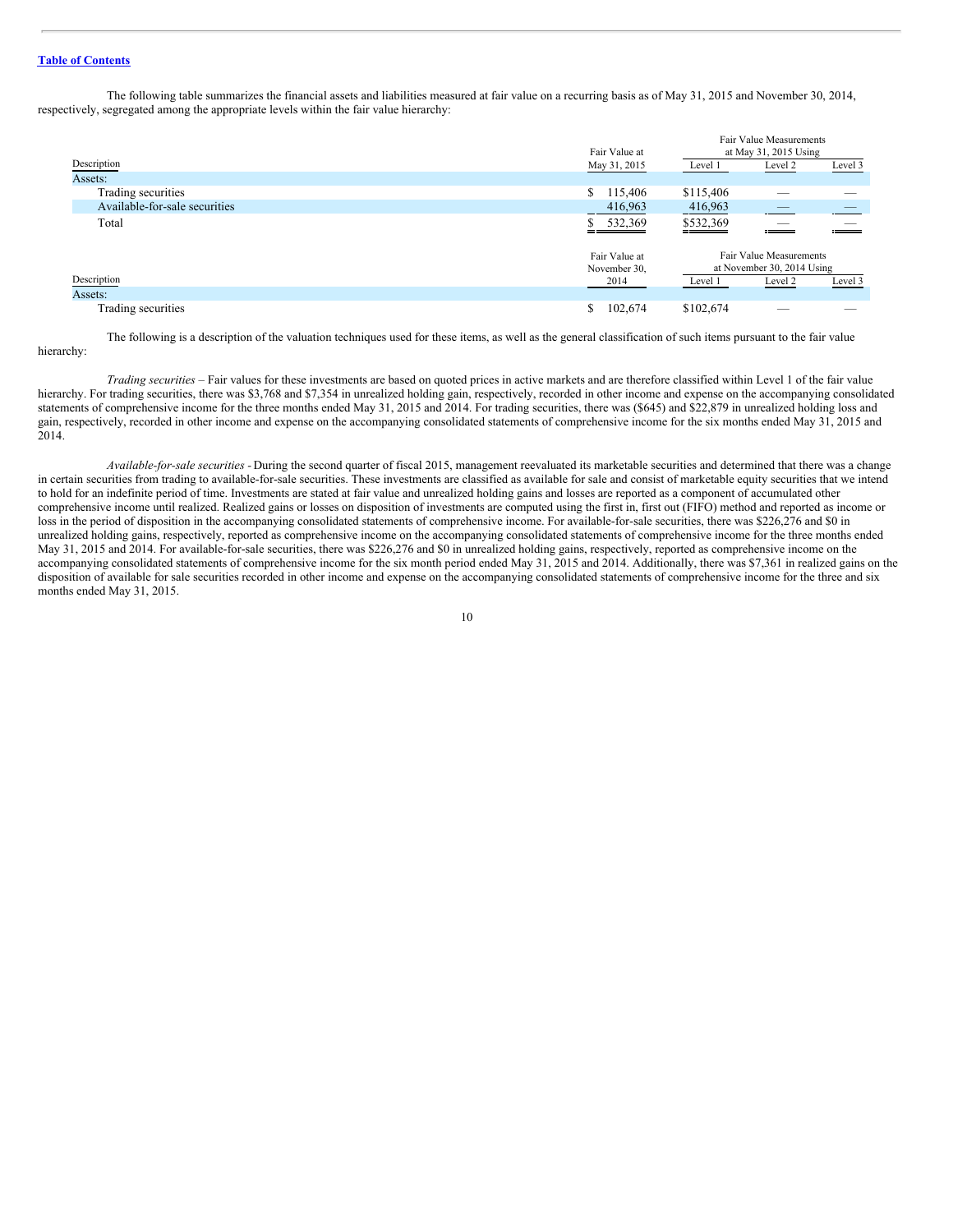The following table summarizes the financial assets and liabilities measured at fair value on a recurring basis as of May 31, 2015 and November 30, 2014, respectively, segregated among the appropriate levels within the fair value hierarchy:

|                               | Fair Value at                 |           | Fair Value Measurements<br>at May 31, 2015 Using      |         |
|-------------------------------|-------------------------------|-----------|-------------------------------------------------------|---------|
| Description                   | May 31, 2015                  | Level 1   | Level 2                                               | Level 3 |
| Assets:                       |                               |           |                                                       |         |
| Trading securities            | 115,406<br>S.                 | \$115,406 |                                                       |         |
| Available-for-sale securities | 416,963                       | 416,963   |                                                       |         |
| Total                         | \$ 532,369                    | \$532,369 |                                                       |         |
|                               | Fair Value at<br>November 30, |           | Fair Value Measurements<br>at November 30, 2014 Using |         |
| Description                   | 2014                          | Level 1   | Level 2                                               | Level 3 |
| Assets:                       |                               |           |                                                       |         |
| Trading securities            | 102,674<br>S.                 | \$102,674 |                                                       |         |

hierarchy:

The following is a description of the valuation techniques used for these items, as well as the general classification of such items pursuant to the fair value

*Trading securities –* Fair values for these investments are based on quoted prices in active markets and are therefore classified within Level 1 of the fair value hierarchy. For trading securities, there was \$3,768 and \$7,354 in unrealized holding gain, respectively, recorded in other income and expense on the accompanying consolidated statements of comprehensive income for the three months ended May 31, 2015 and 2014. For trading securities, there was (\$645) and \$22,879 in unrealized holding loss and gain, respectively, recorded in other income and expense on the accompanying consolidated statements of comprehensive income for the six months ended May 31, 2015 and 2014.

*Available-for-sale securities -* During the second quarter of fiscal 2015, management reevaluated its marketable securities and determined that there was a change in certain securities from trading to available-for-sale securities. These investments are classified as available for sale and consist of marketable equity securities that we intend to hold for an indefinite period of time. Investments are stated at fair value and unrealized holding gains and losses are reported as a component of accumulated other comprehensive income until realized. Realized gains or losses on disposition of investments are computed using the first in, first out (FIFO) method and reported as income or loss in the period of disposition in the accompanying consolidated statements of comprehensive income. For available-for-sale securities, there was \$226,276 and \$0 in unrealized holding gains, respectively, reported as comprehensive income on the accompanying consolidated statements of comprehensive income for the three months ended May 31, 2015 and 2014. For available-for-sale securities, there was \$226,276 and \$0 in unrealized holding gains, respectively, reported as comprehensive income on the accompanying consolidated statements of comprehensive income for the six month period ended May 31, 2015 and 2014. Additionally, there was \$7,361 in realized gains on the disposition of available for sale securities recorded in other income and expense on the accompanying consolidated statements of comprehensive income for the three and six months ended May 31, 2015.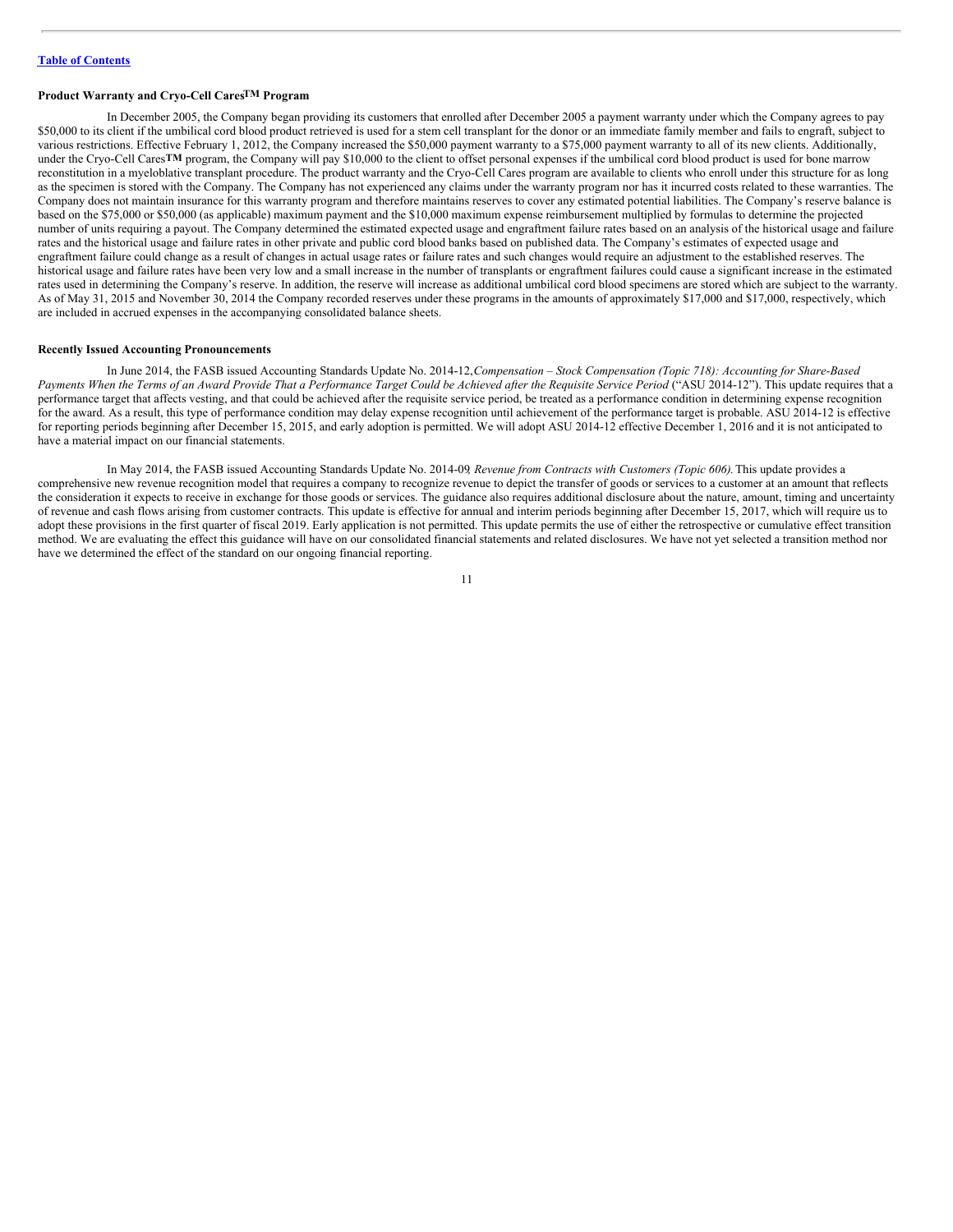#### **Product Warranty and Cryo-Cell CaresTM Program**

In December 2005, the Company began providing its customers that enrolled after December 2005 a payment warranty under which the Company agrees to pay \$50,000 to its client if the umbilical cord blood product retrieved is used for a stem cell transplant for the donor or an immediate family member and fails to engraft, subject to various restrictions. Effective February 1, 2012, the Company increased the \$50,000 payment warranty to a \$75,000 payment warranty to all of its new clients. Additionally, under the Cryo-Cell Cares**TM** program, the Company will pay \$10,000 to the client to offset personal expenses if the umbilical cord blood product is used for bone marrow reconstitution in a myeloblative transplant procedure. The product warranty and the Cryo-Cell Cares program are available to clients who enroll under this structure for as long as the specimen is stored with the Company. The Company has not experienced any claims under the warranty program nor has it incurred costs related to these warranties. The Company does not maintain insurance for this warranty program and therefore maintains reserves to cover any estimated potential liabilities. The Company's reserve balance is based on the \$75,000 or \$50,000 (as applicable) maximum payment and the \$10,000 maximum expense reimbursement multiplied by formulas to determine the projected number of units requiring a payout. The Company determined the estimated expected usage and engraftment failure rates based on an analysis of the historical usage and failure rates and the historical usage and failure rates in other private and public cord blood banks based on published data. The Company's estimates of expected usage and engraftment failure could change as a result of changes in actual usage rates or failure rates and such changes would require an adjustment to the established reserves. The historical usage and failure rates have been very low and a small increase in the number of transplants or engraftment failures could cause a significant increase in the estimated rates used in determining the Company's reserve. In addition, the reserve will increase as additional umbilical cord blood specimens are stored which are subject to the warranty. As of May 31, 2015 and November 30, 2014 the Company recorded reserves under these programs in the amounts of approximately \$17,000 and \$17,000, respectively, which are included in accrued expenses in the accompanying consolidated balance sheets.

#### **Recently Issued Accounting Pronouncements**

In June 2014, the FASB issued Accounting Standards Update No. 2014-12,*Compensation – Stock Compensation (Topic 718): Accounting for Share-Based* Payments When the Terms of an Award Provide That a Performance Target Could be Achieved after the Requisite Service Period ("ASU 2014-12"). This update requires that a performance target that affects vesting, and that could be achieved after the requisite service period, be treated as a performance condition in determining expense recognition for the award. As a result, this type of performance condition may delay expense recognition until achievement of the performance target is probable. ASU 2014-12 is effective for reporting periods beginning after December 15, 2015, and early adoption is permitted. We will adopt ASU 2014-12 effective December 1, 2016 and it is not anticipated to have a material impact on our financial statements.

In May 2014, the FASB issued Accounting Standards Update No. 2014-09*, Revenue from Contracts with Customers (Topic 606).*This update provides a comprehensive new revenue recognition model that requires a company to recognize revenue to depict the transfer of goods or services to a customer at an amount that reflects the consideration it expects to receive in exchange for those goods or services. The guidance also requires additional disclosure about the nature, amount, timing and uncertainty of revenue and cash flows arising from customer contracts. This update is effective for annual and interim periods beginning after December 15, 2017, which will require us to adopt these provisions in the first quarter of fiscal 2019. Early application is not permitted. This update permits the use of either the retrospective or cumulative effect transition method. We are evaluating the effect this guidance will have on our consolidated financial statements and related disclosures. We have not yet selected a transition method nor have we determined the effect of the standard on our ongoing financial reporting.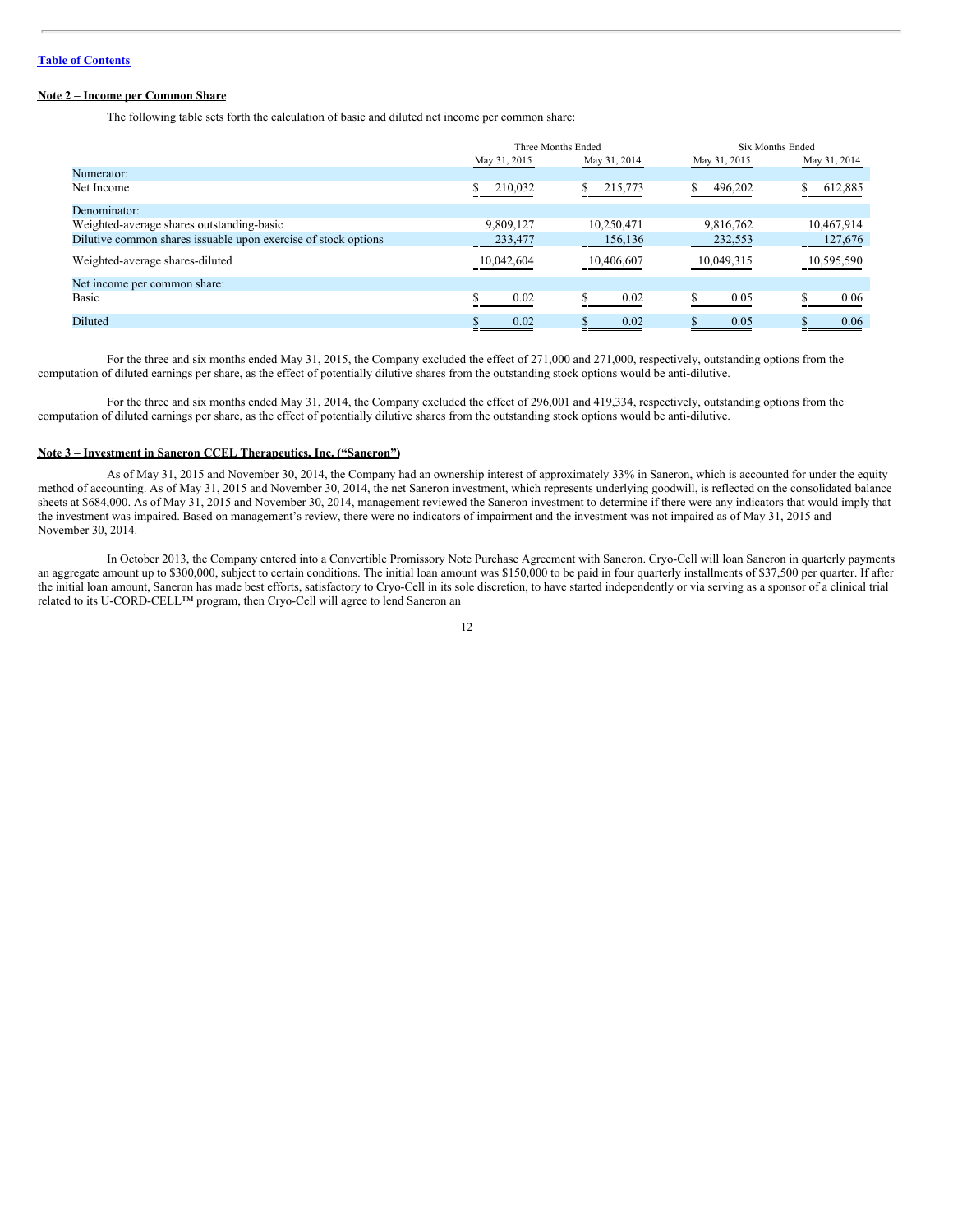#### **Note 2 – Income per Common Share**

The following table sets forth the calculation of basic and diluted net income per common share:

|                                                                |              | Three Months Ended |              | <b>Six Months Ended</b> |  |
|----------------------------------------------------------------|--------------|--------------------|--------------|-------------------------|--|
|                                                                | May 31, 2015 | May 31, 2014       | May 31, 2015 | May 31, 2014            |  |
| Numerator:                                                     |              |                    |              |                         |  |
| Net Income                                                     | 210,032      | 215,773            | 496,202      | 612,885                 |  |
| Denominator:                                                   |              |                    |              |                         |  |
| Weighted-average shares outstanding-basic                      | 9.809.127    | 10,250,471         | 9,816,762    | 10,467,914              |  |
| Dilutive common shares issuable upon exercise of stock options | 233,477      | 156,136            | 232,553      | 127,676                 |  |
| Weighted-average shares-diluted                                | 10,042,604   | 10,406,607         | 10,049,315   | 10,595,590              |  |
| Net income per common share:                                   |              |                    |              |                         |  |
| Basic                                                          | 0.02         | 0.02               | 0.05         | 0.06                    |  |
| Diluted                                                        | 0.02         | 0.02               | 0.05         | 0.06                    |  |

For the three and six months ended May 31, 2015, the Company excluded the effect of 271,000 and 271,000, respectively, outstanding options from the computation of diluted earnings per share, as the effect of potentially dilutive shares from the outstanding stock options would be anti-dilutive.

For the three and six months ended May 31, 2014, the Company excluded the effect of 296,001 and 419,334, respectively, outstanding options from the computation of diluted earnings per share, as the effect of potentially dilutive shares from the outstanding stock options would be anti-dilutive.

#### **Note 3 – Investment in Saneron CCEL Therapeutics, Inc. ("Saneron")**

As of May 31, 2015 and November 30, 2014, the Company had an ownership interest of approximately 33% in Saneron, which is accounted for under the equity method of accounting. As of May 31, 2015 and November 30, 2014, the net Saneron investment, which represents underlying goodwill, is reflected on the consolidated balance sheets at \$684,000. As of May 31, 2015 and November 30, 2014, management reviewed the Saneron investment to determine if there were any indicators that would imply that the investment was impaired. Based on management's review, there were no indicators of impairment and the investment was not impaired as of May 31, 2015 and November 30, 2014.

In October 2013, the Company entered into a Convertible Promissory Note Purchase Agreement with Saneron. Cryo-Cell will loan Saneron in quarterly payments an aggregate amount up to \$300,000, subject to certain conditions. The initial loan amount was \$150,000 to be paid in four quarterly installments of \$37,500 per quarter. If after the initial loan amount, Saneron has made best efforts, satisfactory to Cryo-Cell in its sole discretion, to have started independently or via serving as a sponsor of a clinical trial related to its U-CORD-CELL™ program, then Cryo-Cell will agree to lend Saneron an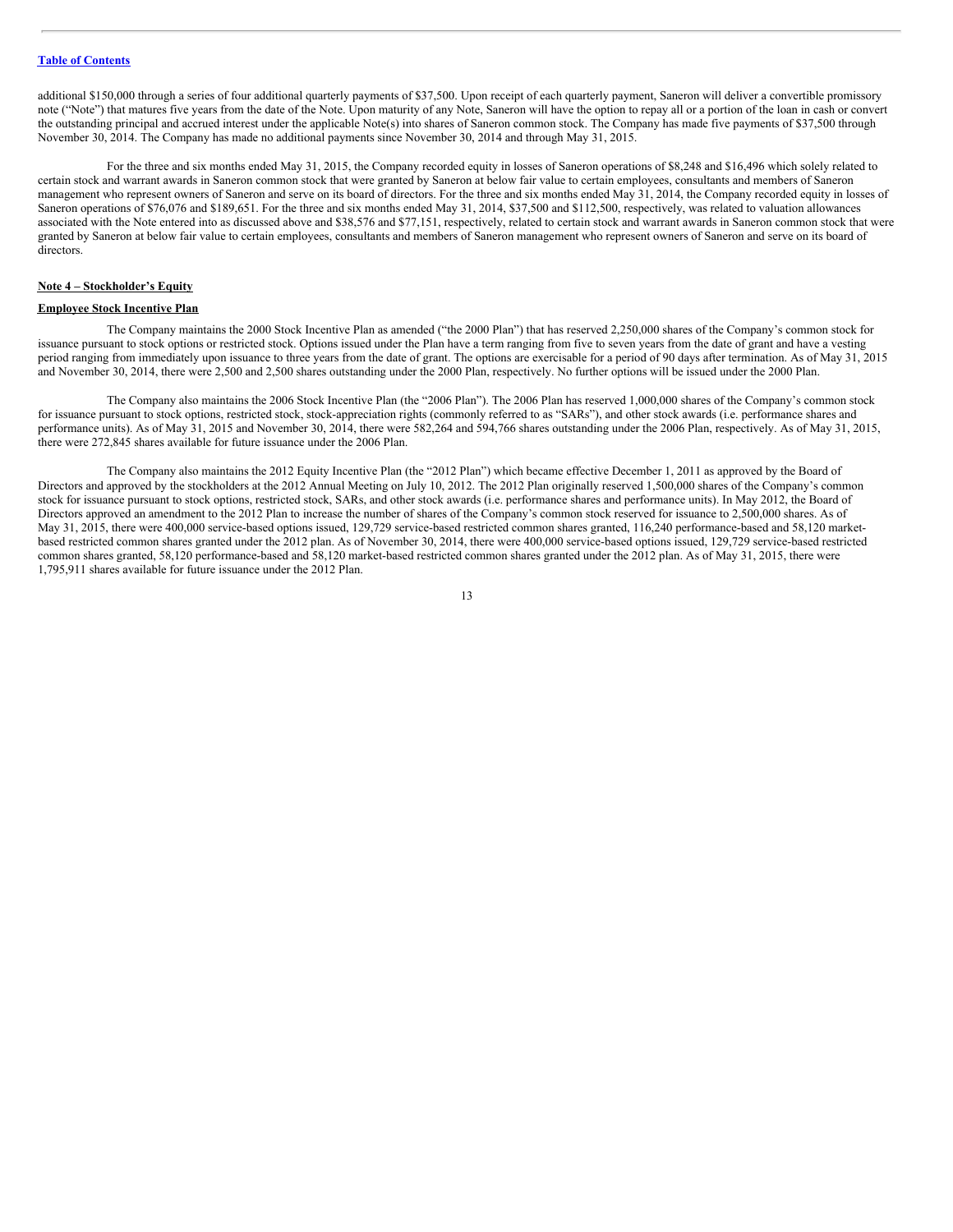additional \$150,000 through a series of four additional quarterly payments of \$37,500. Upon receipt of each quarterly payment, Saneron will deliver a convertible promissory note ("Note") that matures five years from the date of the Note. Upon maturity of any Note, Saneron will have the option to repay all or a portion of the loan in cash or convert the outstanding principal and accrued interest under the applicable Note(s) into shares of Saneron common stock. The Company has made five payments of \$37,500 through November 30, 2014. The Company has made no additional payments since November 30, 2014 and through May 31, 2015.

For the three and six months ended May 31, 2015, the Company recorded equity in losses of Saneron operations of \$8,248 and \$16,496 which solely related to certain stock and warrant awards in Saneron common stock that were granted by Saneron at below fair value to certain employees, consultants and members of Saneron management who represent owners of Saneron and serve on its board of directors. For the three and six months ended May 31, 2014, the Company recorded equity in losses of Saneron operations of \$76,076 and \$189,651. For the three and six months ended May 31, 2014, \$37,500 and \$112,500, respectively, was related to valuation allowances associated with the Note entered into as discussed above and \$38,576 and \$77,151, respectively, related to certain stock and warrant awards in Saneron common stock that were granted by Saneron at below fair value to certain employees, consultants and members of Saneron management who represent owners of Saneron and serve on its board of directors.

#### **Note 4 – Stockholder's Equity**

#### **Employee Stock Incentive Plan**

The Company maintains the 2000 Stock Incentive Plan as amended ("the 2000 Plan") that has reserved 2,250,000 shares of the Company's common stock for issuance pursuant to stock options or restricted stock. Options issued under the Plan have a term ranging from five to seven years from the date of grant and have a vesting period ranging from immediately upon issuance to three years from the date of grant. The options are exercisable for a period of 90 days after termination. As of May 31, 2015 and November 30, 2014, there were 2,500 and 2,500 shares outstanding under the 2000 Plan, respectively. No further options will be issued under the 2000 Plan.

The Company also maintains the 2006 Stock Incentive Plan (the "2006 Plan"). The 2006 Plan has reserved 1,000,000 shares of the Company's common stock for issuance pursuant to stock options, restricted stock, stock-appreciation rights (commonly referred to as "SARs"), and other stock awards (i.e. performance shares and performance units). As of May 31, 2015 and November 30, 2014, there were 582,264 and 594,766 shares outstanding under the 2006 Plan, respectively. As of May 31, 2015, there were 272,845 shares available for future issuance under the 2006 Plan.

The Company also maintains the 2012 Equity Incentive Plan (the "2012 Plan") which became effective December 1, 2011 as approved by the Board of Directors and approved by the stockholders at the 2012 Annual Meeting on July 10, 2012. The 2012 Plan originally reserved 1,500,000 shares of the Company's common stock for issuance pursuant to stock options, restricted stock, SARs, and other stock awards (i.e. performance shares and performance units). In May 2012, the Board of Directors approved an amendment to the 2012 Plan to increase the number of shares of the Company's common stock reserved for issuance to 2,500,000 shares. As of May 31, 2015, there were 400,000 service-based options issued, 129,729 service-based restricted common shares granted, 116,240 performance-based and 58,120 marketbased restricted common shares granted under the 2012 plan. As of November 30, 2014, there were 400,000 service-based options issued, 129,729 service-based restricted common shares granted, 58,120 performance-based and 58,120 market-based restricted common shares granted under the 2012 plan. As of May 31, 2015, there were 1,795,911 shares available for future issuance under the 2012 Plan.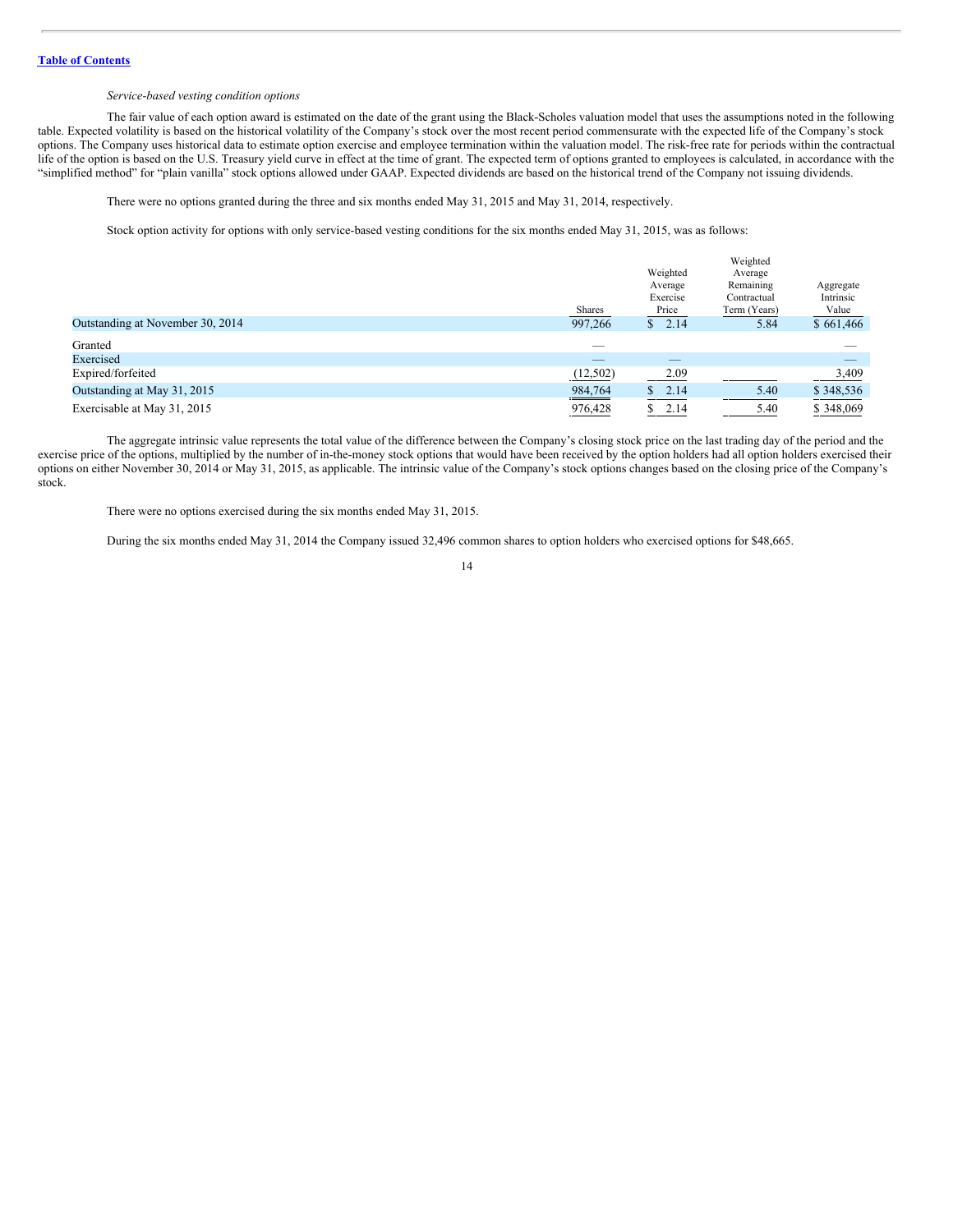#### *Service-based vesting condition options*

The fair value of each option award is estimated on the date of the grant using the Black-Scholes valuation model that uses the assumptions noted in the following table. Expected volatility is based on the historical volatility of the Company's stock over the most recent period commensurate with the expected life of the Company's stock options. The Company uses historical data to estimate option exercise and employee termination within the valuation model. The risk-free rate for periods within the contractual life of the option is based on the U.S. Treasury yield curve in effect at the time of grant. The expected term of options granted to employees is calculated, in accordance with the "simplified method" for "plain vanilla" stock options allowed under GAAP. Expected dividends are based on the historical trend of the Company not issuing dividends.

There were no options granted during the three and six months ended May 31, 2015 and May 31, 2014, respectively.

Stock option activity for options with only service-based vesting conditions for the six months ended May 31, 2015, was as follows:

|                                  | Shares    | Weighted<br>Average<br>Exercise<br>Price | Weighted<br>Average<br>Remaining<br>Contractual<br>Term (Years) | Aggregate<br>Intrinsic<br>Value |
|----------------------------------|-----------|------------------------------------------|-----------------------------------------------------------------|---------------------------------|
| Outstanding at November 30, 2014 | 997,266   | \$2.14                                   | 5.84                                                            | \$661,466                       |
| Granted                          | __        |                                          |                                                                 |                                 |
| Exercised                        |           |                                          |                                                                 |                                 |
| Expired/forfeited                | (12, 502) | 2.09                                     |                                                                 | 3,409                           |
| Outstanding at May 31, 2015      | 984,764   | 2.14<br>S.                               | 5.40                                                            | \$348,536                       |
| Exercisable at May 31, 2015      | 976,428   | 2.14<br>\$                               | 5.40                                                            | \$348,069                       |

The aggregate intrinsic value represents the total value of the difference between the Company's closing stock price on the last trading day of the period and the exercise price of the options, multiplied by the number of in-the-money stock options that would have been received by the option holders had all option holders exercised their options on either November 30, 2014 or May 31, 2015, as applicable. The intrinsic value of the Company's stock options changes based on the closing price of the Company's stock.

There were no options exercised during the six months ended May 31, 2015.

During the six months ended May 31, 2014 the Company issued 32,496 common shares to option holders who exercised options for \$48,665.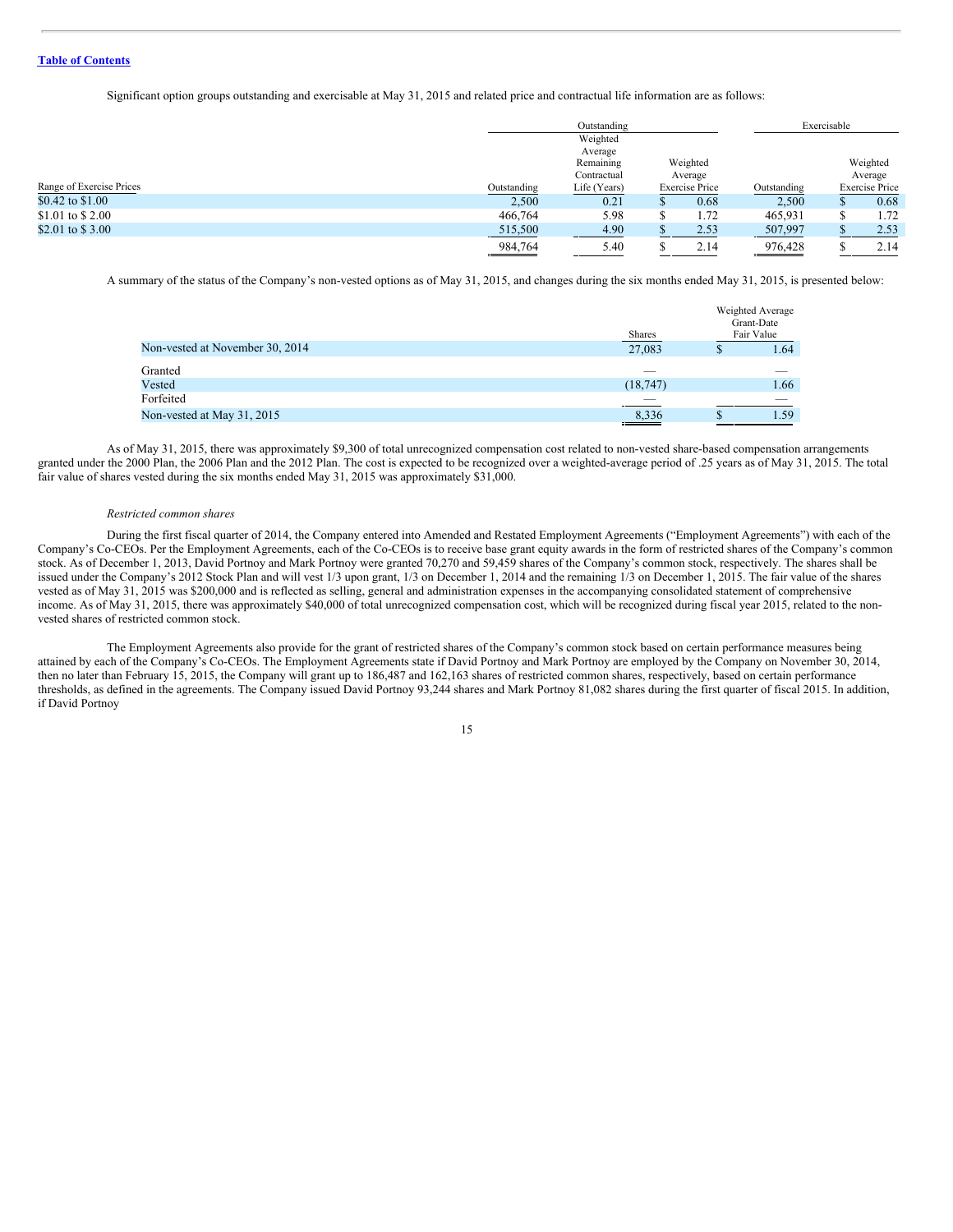Significant option groups outstanding and exercisable at May 31, 2015 and related price and contractual life information are as follows:

|                          |             | Outstanding  |                       |             | Exercisable |                       |
|--------------------------|-------------|--------------|-----------------------|-------------|-------------|-----------------------|
|                          |             | Weighted     |                       |             |             |                       |
|                          |             | Average      |                       |             |             |                       |
|                          |             | Remaining    | Weighted              |             |             | Weighted              |
|                          |             | Contractual  | Average               |             |             | Average               |
| Range of Exercise Prices | Outstanding | Life (Years) | <b>Exercise Price</b> | Outstanding |             | <b>Exercise Price</b> |
| \$0.42 to \$1.00         | 2,500       | 0.21         | 0.68                  | 2,500       |             | 0.68                  |
| \$1.01 to \$2.00         | 466,764     | 5.98         | 1.72                  | 465.931     |             | 1.72                  |
| \$2.01 to \$3.00         | 515,500     | 4.90         | 2.53                  | 507,997     |             | 2.53                  |
|                          | 984,764     | 5.40         | 2.14                  | 976,428     |             | 2.14                  |

A summary of the status of the Company's non-vested options as of May 31, 2015, and changes during the six months ended May 31, 2015, is presented below:

|                                 | Shares    |   | Weighted Average<br>Grant-Date<br>Fair Value |
|---------------------------------|-----------|---|----------------------------------------------|
| Non-vested at November 30, 2014 | 27,083    |   | 1.64                                         |
| Granted                         |           |   |                                              |
| Vested                          | (18, 747) |   | 1.66                                         |
| Forfeited                       |           |   |                                              |
| Non-vested at May 31, 2015      | 8,336     | Ф | 1.59                                         |

As of May 31, 2015, there was approximately \$9,300 of total unrecognized compensation cost related to non-vested share-based compensation arrangements granted under the 2000 Plan, the 2006 Plan and the 2012 Plan. The cost is expected to be recognized over a weighted-average period of .25 years as of May 31, 2015. The total fair value of shares vested during the six months ended May 31, 2015 was approximately \$31,000.

#### *Restricted common shares*

During the first fiscal quarter of 2014, the Company entered into Amended and Restated Employment Agreements ("Employment Agreements") with each of the Company's Co-CEOs. Per the Employment Agreements, each of the Co-CEOs is to receive base grant equity awards in the form of restricted shares of the Company's common stock. As of December 1, 2013, David Portnoy and Mark Portnoy were granted 70,270 and 59,459 shares of the Company's common stock, respectively. The shares shall be issued under the Company's 2012 Stock Plan and will vest 1/3 upon grant, 1/3 on December 1, 2014 and the remaining 1/3 on December 1, 2015. The fair value of the shares vested as of May 31, 2015 was \$200,000 and is reflected as selling, general and administration expenses in the accompanying consolidated statement of comprehensive income. As of May 31, 2015, there was approximately \$40,000 of total unrecognized compensation cost, which will be recognized during fiscal year 2015, related to the nonvested shares of restricted common stock.

The Employment Agreements also provide for the grant of restricted shares of the Company's common stock based on certain performance measures being attained by each of the Company's Co-CEOs. The Employment Agreements state if David Portnoy and Mark Portnoy are employed by the Company on November 30, 2014, then no later than February 15, 2015, the Company will grant up to 186,487 and 162,163 shares of restricted common shares, respectively, based on certain performance thresholds, as defined in the agreements. The Company issued David Portnoy 93,244 shares and Mark Portnoy 81,082 shares during the first quarter of fiscal 2015. In addition, if David Portnoy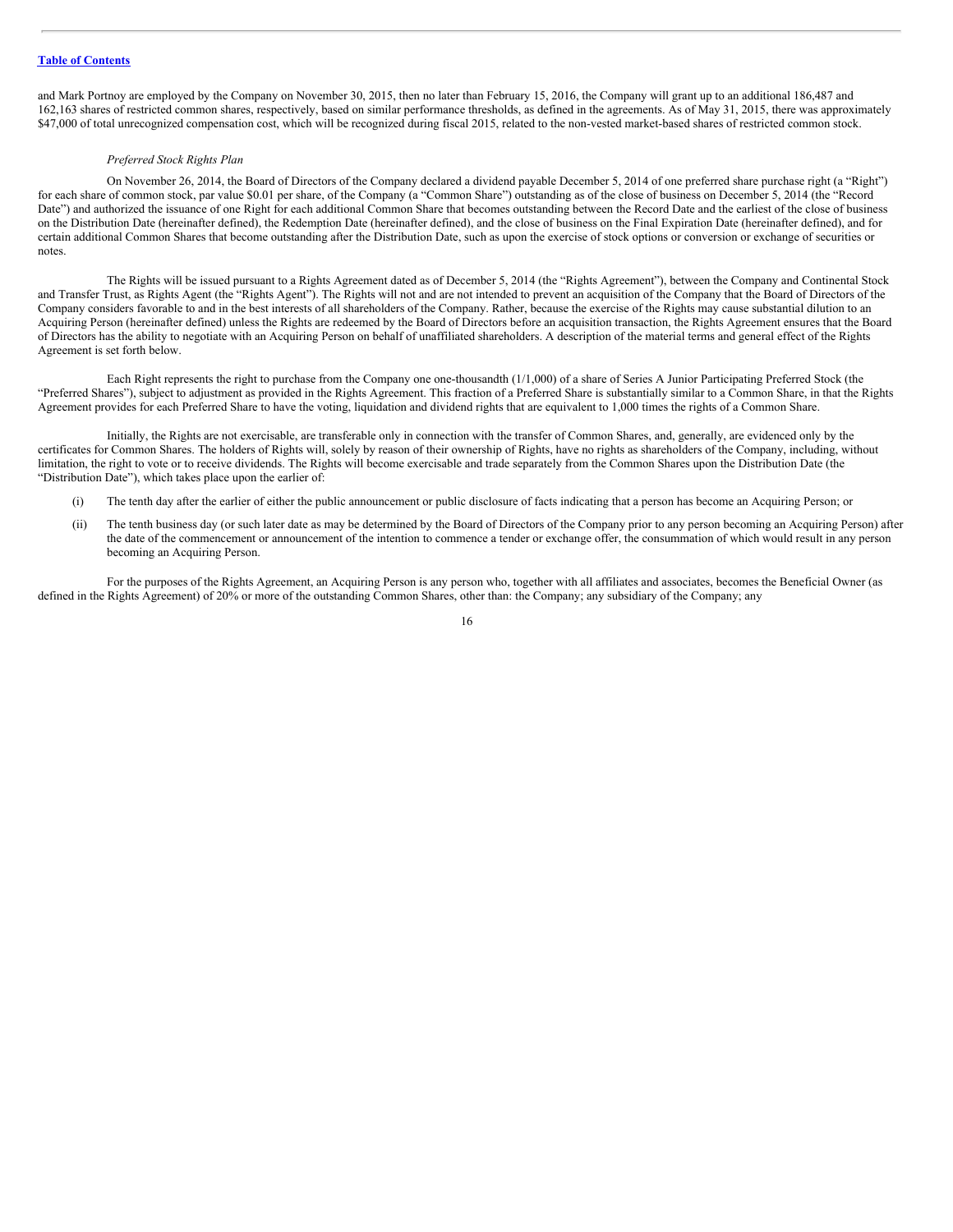and Mark Portnoy are employed by the Company on November 30, 2015, then no later than February 15, 2016, the Company will grant up to an additional 186,487 and 162,163 shares of restricted common shares, respectively, based on similar performance thresholds, as defined in the agreements. As of May 31, 2015, there was approximately \$47,000 of total unrecognized compensation cost, which will be recognized during fiscal 2015, related to the non-vested market-based shares of restricted common stock.

#### *Preferred Stock Rights Plan*

On November 26, 2014, the Board of Directors of the Company declared a dividend payable December 5, 2014 of one preferred share purchase right (a "Right") for each share of common stock, par value \$0.01 per share, of the Company (a "Common Share") outstanding as of the close of business on December 5, 2014 (the "Record Date") and authorized the issuance of one Right for each additional Common Share that becomes outstanding between the Record Date and the earliest of the close of business on the Distribution Date (hereinafter defined), the Redemption Date (hereinafter defined), and the close of business on the Final Expiration Date (hereinafter defined), and for certain additional Common Shares that become outstanding after the Distribution Date, such as upon the exercise of stock options or conversion or exchange of securities or notes.

The Rights will be issued pursuant to a Rights Agreement dated as of December 5, 2014 (the "Rights Agreement"), between the Company and Continental Stock and Transfer Trust, as Rights Agent (the "Rights Agent"). The Rights will not and are not intended to prevent an acquisition of the Company that the Board of Directors of the Company considers favorable to and in the best interests of all shareholders of the Company. Rather, because the exercise of the Rights may cause substantial dilution to an Acquiring Person (hereinafter defined) unless the Rights are redeemed by the Board of Directors before an acquisition transaction, the Rights Agreement ensures that the Board of Directors has the ability to negotiate with an Acquiring Person on behalf of unaffiliated shareholders. A description of the material terms and general effect of the Rights Agreement is set forth below.

Each Right represents the right to purchase from the Company one one-thousandth (1/1,000) of a share of Series A Junior Participating Preferred Stock (the "Preferred Shares"), subject to adjustment as provided in the Rights Agreement. This fraction of a Preferred Share is substantially similar to a Common Share, in that the Rights Agreement provides for each Preferred Share to have the voting, liquidation and dividend rights that are equivalent to 1,000 times the rights of a Common Share.

Initially, the Rights are not exercisable, are transferable only in connection with the transfer of Common Shares, and, generally, are evidenced only by the certificates for Common Shares. The holders of Rights will, solely by reason of their ownership of Rights, have no rights as shareholders of the Company, including, without limitation, the right to vote or to receive dividends. The Rights will become exercisable and trade separately from the Common Shares upon the Distribution Date (the "Distribution Date"), which takes place upon the earlier of:

- (i) The tenth day after the earlier of either the public announcement or public disclosure of facts indicating that a person has become an Acquiring Person; or
- (ii) The tenth business day (or such later date as may be determined by the Board of Directors of the Company prior to any person becoming an Acquiring Person) after the date of the commencement or announcement of the intention to commence a tender or exchange offer, the consummation of which would result in any person becoming an Acquiring Person.

For the purposes of the Rights Agreement, an Acquiring Person is any person who, together with all affiliates and associates, becomes the Beneficial Owner (as defined in the Rights Agreement) of 20% or more of the outstanding Common Shares, other than: the Company; any subsidiary of the Company; any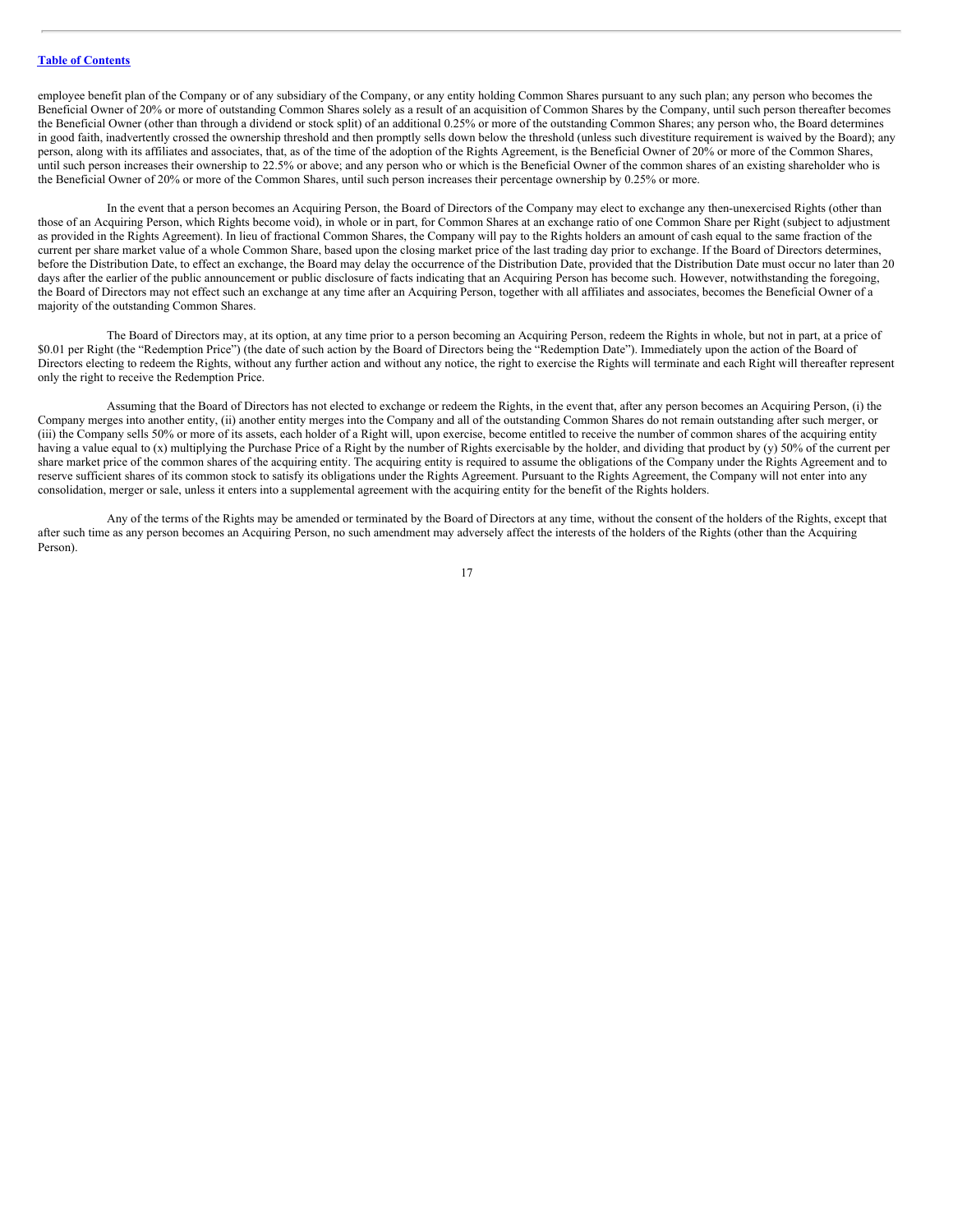employee benefit plan of the Company or of any subsidiary of the Company, or any entity holding Common Shares pursuant to any such plan; any person who becomes the Beneficial Owner of 20% or more of outstanding Common Shares solely as a result of an acquisition of Common Shares by the Company, until such person thereafter becomes the Beneficial Owner (other than through a dividend or stock split) of an additional 0.25% or more of the outstanding Common Shares; any person who, the Board determines in good faith, inadvertently crossed the ownership threshold and then promptly sells down below the threshold (unless such divestiture requirement is waived by the Board); any person, along with its affiliates and associates, that, as of the time of the adoption of the Rights Agreement, is the Beneficial Owner of 20% or more of the Common Shares, until such person increases their ownership to 22.5% or above; and any person who or which is the Beneficial Owner of the common shares of an existing shareholder who is the Beneficial Owner of 20% or more of the Common Shares, until such person increases their percentage ownership by 0.25% or more.

In the event that a person becomes an Acquiring Person, the Board of Directors of the Company may elect to exchange any then-unexercised Rights (other than those of an Acquiring Person, which Rights become void), in whole or in part, for Common Shares at an exchange ratio of one Common Share per Right (subject to adjustment as provided in the Rights Agreement). In lieu of fractional Common Shares, the Company will pay to the Rights holders an amount of cash equal to the same fraction of the current per share market value of a whole Common Share, based upon the closing market price of the last trading day prior to exchange. If the Board of Directors determines, before the Distribution Date, to effect an exchange, the Board may delay the occurrence of the Distribution Date, provided that the Distribution Date must occur no later than 20 days after the earlier of the public announcement or public disclosure of facts indicating that an Acquiring Person has become such. However, notwithstanding the foregoing, the Board of Directors may not effect such an exchange at any time after an Acquiring Person, together with all affiliates and associates, becomes the Beneficial Owner of a majority of the outstanding Common Shares.

The Board of Directors may, at its option, at any time prior to a person becoming an Acquiring Person, redeem the Rights in whole, but not in part, at a price of \$0.01 per Right (the "Redemption Price") (the date of such action by the Board of Directors being the "Redemption Date"). Immediately upon the action of the Board of Directors electing to redeem the Rights, without any further action and without any notice, the right to exercise the Rights will terminate and each Right will thereafter represent only the right to receive the Redemption Price.

Assuming that the Board of Directors has not elected to exchange or redeem the Rights, in the event that, after any person becomes an Acquiring Person, (i) the Company merges into another entity, (ii) another entity merges into the Company and all of the outstanding Common Shares do not remain outstanding after such merger, or (iii) the Company sells 50% or more of its assets, each holder of a Right will, upon exercise, become entitled to receive the number of common shares of the acquiring entity having a value equal to (x) multiplying the Purchase Price of a Right by the number of Rights exercisable by the holder, and dividing that product by (y) 50% of the current per share market price of the common shares of the acquiring entity. The acquiring entity is required to assume the obligations of the Company under the Rights Agreement and to reserve sufficient shares of its common stock to satisfy its obligations under the Rights Agreement. Pursuant to the Rights Agreement, the Company will not enter into any consolidation, merger or sale, unless it enters into a supplemental agreement with the acquiring entity for the benefit of the Rights holders.

Any of the terms of the Rights may be amended or terminated by the Board of Directors at any time, without the consent of the holders of the Rights, except that after such time as any person becomes an Acquiring Person, no such amendment may adversely affect the interests of the holders of the Rights (other than the Acquiring Person).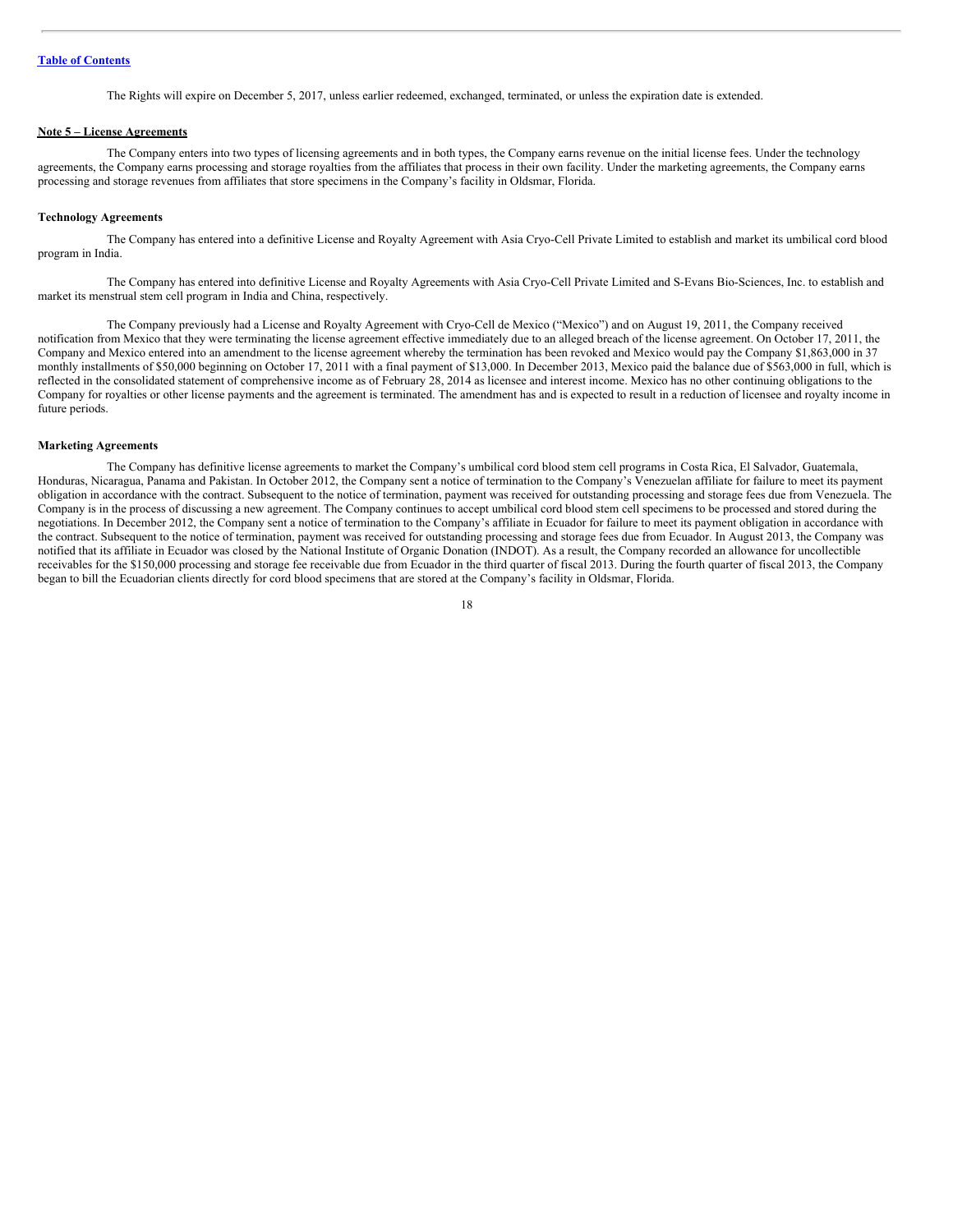The Rights will expire on December 5, 2017, unless earlier redeemed, exchanged, terminated, or unless the expiration date is extended.

#### **Note 5 – License Agreements**

The Company enters into two types of licensing agreements and in both types, the Company earns revenue on the initial license fees. Under the technology agreements, the Company earns processing and storage royalties from the affiliates that process in their own facility. Under the marketing agreements, the Company earns processing and storage revenues from affiliates that store specimens in the Company's facility in Oldsmar, Florida.

#### **Technology Agreements**

The Company has entered into a definitive License and Royalty Agreement with Asia Cryo-Cell Private Limited to establish and market its umbilical cord blood program in India.

The Company has entered into definitive License and Royalty Agreements with Asia Cryo-Cell Private Limited and S-Evans Bio-Sciences, Inc. to establish and market its menstrual stem cell program in India and China, respectively.

The Company previously had a License and Royalty Agreement with Cryo-Cell de Mexico ("Mexico") and on August 19, 2011, the Company received notification from Mexico that they were terminating the license agreement effective immediately due to an alleged breach of the license agreement. On October 17, 2011, the Company and Mexico entered into an amendment to the license agreement whereby the termination has been revoked and Mexico would pay the Company \$1,863,000 in 37 monthly installments of \$50,000 beginning on October 17, 2011 with a final payment of \$13,000. In December 2013, Mexico paid the balance due of \$563,000 in full, which is reflected in the consolidated statement of comprehensive income as of February 28, 2014 as licensee and interest income. Mexico has no other continuing obligations to the Company for royalties or other license payments and the agreement is terminated. The amendment has and is expected to result in a reduction of licensee and royalty income in future periods.

#### **Marketing Agreements**

The Company has definitive license agreements to market the Company's umbilical cord blood stem cell programs in Costa Rica, El Salvador, Guatemala, Honduras, Nicaragua, Panama and Pakistan. In October 2012, the Company sent a notice of termination to the Company's Venezuelan affiliate for failure to meet its payment obligation in accordance with the contract. Subsequent to the notice of termination, payment was received for outstanding processing and storage fees due from Venezuela. The Company is in the process of discussing a new agreement. The Company continues to accept umbilical cord blood stem cell specimens to be processed and stored during the negotiations. In December 2012, the Company sent a notice of termination to the Company's affiliate in Ecuador for failure to meet its payment obligation in accordance with the contract. Subsequent to the notice of termination, payment was received for outstanding processing and storage fees due from Ecuador. In August 2013, the Company was notified that its affiliate in Ecuador was closed by the National Institute of Organic Donation (INDOT). As a result, the Company recorded an allowance for uncollectible receivables for the \$150,000 processing and storage fee receivable due from Ecuador in the third quarter of fiscal 2013. During the fourth quarter of fiscal 2013, the Company began to bill the Ecuadorian clients directly for cord blood specimens that are stored at the Company's facility in Oldsmar, Florida.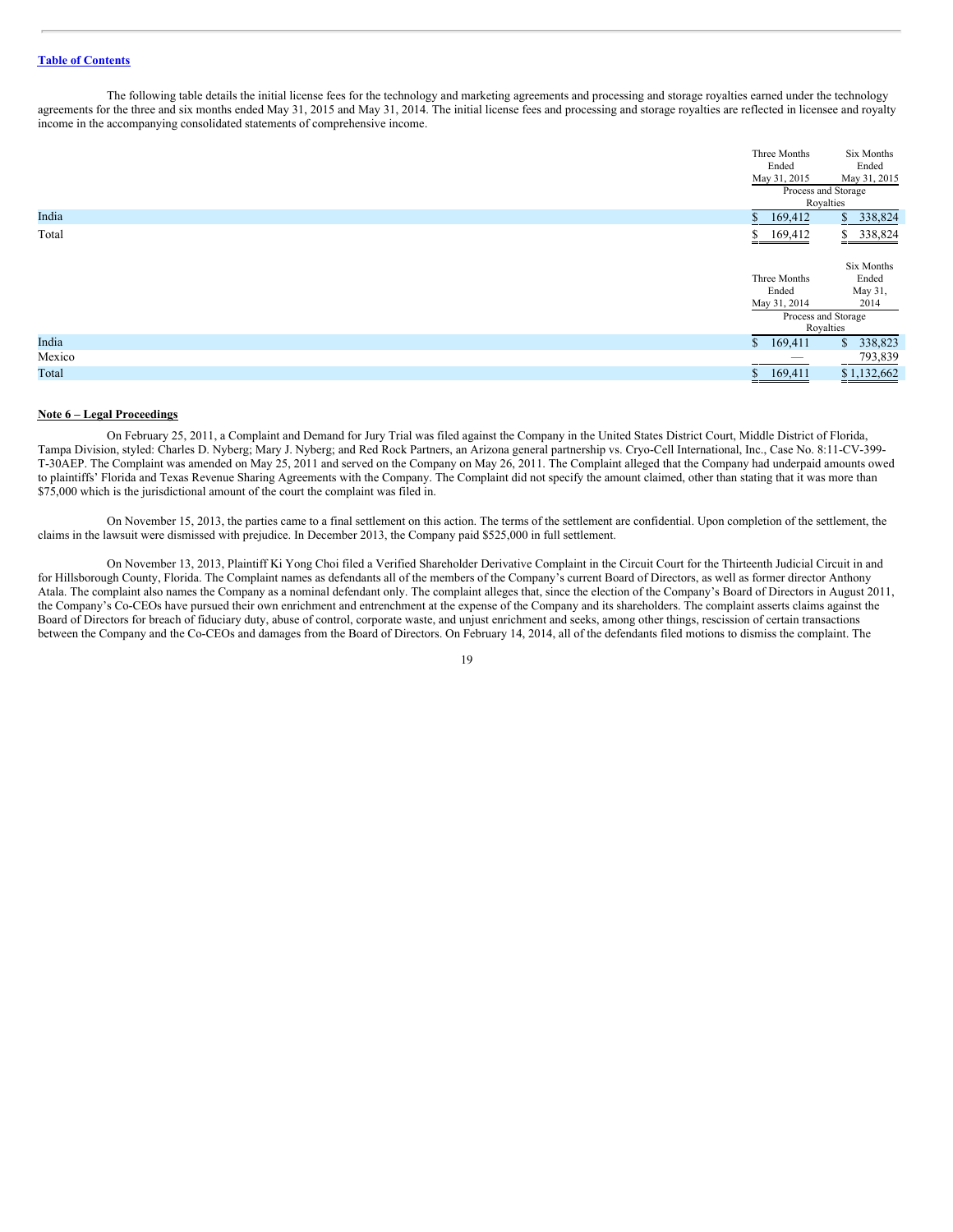The following table details the initial license fees for the technology and marketing agreements and processing and storage royalties earned under the technology agreements for the three and six months ended May 31, 2015 and May 31, 2014. The initial license fees and processing and storage royalties are reflected in licensee and royalty income in the accompanying consolidated statements of comprehensive income.

|        | Three Months<br>Ended<br>May 31, 2015 | Six Months<br>Ended<br>May 31, 2015<br>Process and Storage |
|--------|---------------------------------------|------------------------------------------------------------|
|        |                                       | Royalties                                                  |
| India  | 169,412                               | 338,824<br>\$                                              |
| Total  | \$169,412                             | \$338,824                                                  |
|        |                                       | Six Months                                                 |
|        | Three Months                          | Ended                                                      |
|        | Ended                                 | May 31,                                                    |
|        | May 31, 2014                          | 2014<br>Process and Storage<br>Royalties                   |
| India  | \$169,411                             | 338,823<br>\$                                              |
| Mexico | __                                    | 793,839                                                    |
| Total  | 169,411                               | \$1,132,662                                                |

#### **Note 6 – Legal Proceedings**

On February 25, 2011, a Complaint and Demand for Jury Trial was filed against the Company in the United States District Court, Middle District of Florida, Tampa Division, styled: Charles D. Nyberg; Mary J. Nyberg; and Red Rock Partners, an Arizona general partnership vs. Cryo-Cell International, Inc., Case No. 8:11-CV-399- T-30AEP. The Complaint was amended on May 25, 2011 and served on the Company on May 26, 2011. The Complaint alleged that the Company had underpaid amounts owed to plaintiffs' Florida and Texas Revenue Sharing Agreements with the Company. The Complaint did not specify the amount claimed, other than stating that it was more than \$75,000 which is the jurisdictional amount of the court the complaint was filed in.

On November 15, 2013, the parties came to a final settlement on this action. The terms of the settlement are confidential. Upon completion of the settlement, the claims in the lawsuit were dismissed with prejudice. In December 2013, the Company paid \$525,000 in full settlement.

On November 13, 2013, Plaintiff Ki Yong Choi filed a Verified Shareholder Derivative Complaint in the Circuit Court for the Thirteenth Judicial Circuit in and for Hillsborough County, Florida. The Complaint names as defendants all of the members of the Company's current Board of Directors, as well as former director Anthony Atala. The complaint also names the Company as a nominal defendant only. The complaint alleges that, since the election of the Company's Board of Directors in August 2011, the Company's Co-CEOs have pursued their own enrichment and entrenchment at the expense of the Company and its shareholders. The complaint asserts claims against the Board of Directors for breach of fiduciary duty, abuse of control, corporate waste, and unjust enrichment and seeks, among other things, rescission of certain transactions between the Company and the Co-CEOs and damages from the Board of Directors. On February 14, 2014, all of the defendants filed motions to dismiss the complaint. The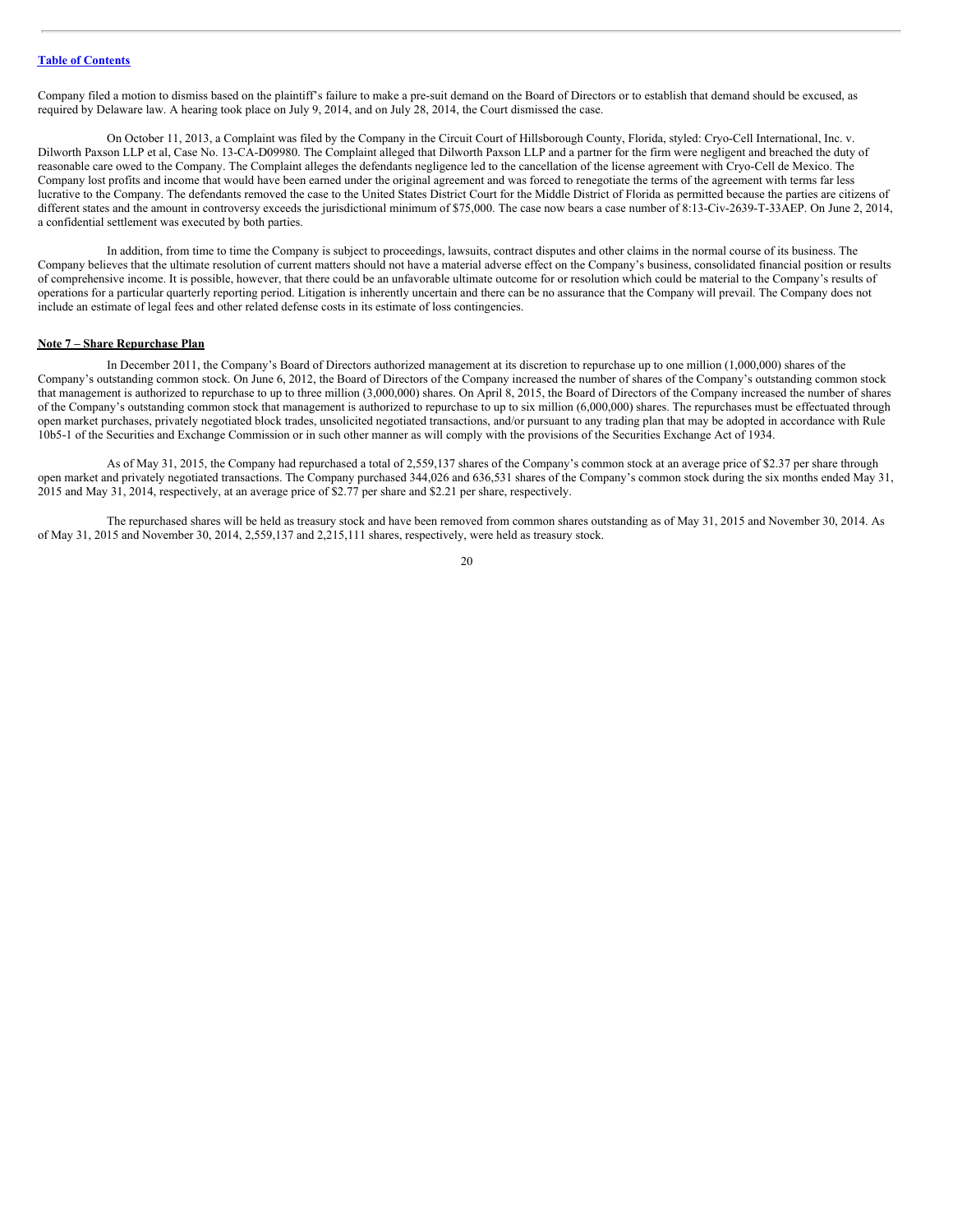Company filed a motion to dismiss based on the plaintiff's failure to make a pre-suit demand on the Board of Directors or to establish that demand should be excused, as required by Delaware law. A hearing took place on July 9, 2014, and on July 28, 2014, the Court dismissed the case.

On October 11, 2013, a Complaint was filed by the Company in the Circuit Court of Hillsborough County, Florida, styled: Cryo-Cell International, Inc. v. Dilworth Paxson LLP et al, Case No. 13-CA-D09980. The Complaint alleged that Dilworth Paxson LLP and a partner for the firm were negligent and breached the duty of reasonable care owed to the Company. The Complaint alleges the defendants negligence led to the cancellation of the license agreement with Cryo-Cell de Mexico. The Company lost profits and income that would have been earned under the original agreement and was forced to renegotiate the terms of the agreement with terms far less lucrative to the Company. The defendants removed the case to the United States District Court for the Middle District of Florida as permitted because the parties are citizens of different states and the amount in controversy exceeds the jurisdictional minimum of \$75,000. The case now bears a case number of 8:13-Civ-2639-T-33AEP. On June 2, 2014, a confidential settlement was executed by both parties.

In addition, from time to time the Company is subject to proceedings, lawsuits, contract disputes and other claims in the normal course of its business. The Company believes that the ultimate resolution of current matters should not have a material adverse effect on the Company's business, consolidated financial position or results of comprehensive income. It is possible, however, that there could be an unfavorable ultimate outcome for or resolution which could be material to the Company's results of operations for a particular quarterly reporting period. Litigation is inherently uncertain and there can be no assurance that the Company will prevail. The Company does not include an estimate of legal fees and other related defense costs in its estimate of loss contingencies.

#### **Note 7 – Share Repurchase Plan**

In December 2011, the Company's Board of Directors authorized management at its discretion to repurchase up to one million (1,000,000) shares of the Company's outstanding common stock. On June 6, 2012, the Board of Directors of the Company increased the number of shares of the Company's outstanding common stock that management is authorized to repurchase to up to three million (3,000,000) shares. On April 8, 2015, the Board of Directors of the Company increased the number of shares of the Company's outstanding common stock that management is authorized to repurchase to up to six million (6,000,000) shares. The repurchases must be effectuated through open market purchases, privately negotiated block trades, unsolicited negotiated transactions, and/or pursuant to any trading plan that may be adopted in accordance with Rule 10b5-1 of the Securities and Exchange Commission or in such other manner as will comply with the provisions of the Securities Exchange Act of 1934.

As of May 31, 2015, the Company had repurchased a total of 2,559,137 shares of the Company's common stock at an average price of \$2.37 per share through open market and privately negotiated transactions. The Company purchased 344,026 and 636,531 shares of the Company's common stock during the six months ended May 31, 2015 and May 31, 2014, respectively, at an average price of \$2.77 per share and \$2.21 per share, respectively.

The repurchased shares will be held as treasury stock and have been removed from common shares outstanding as of May 31, 2015 and November 30, 2014. As of May 31, 2015 and November 30, 2014, 2,559,137 and 2,215,111 shares, respectively, were held as treasury stock.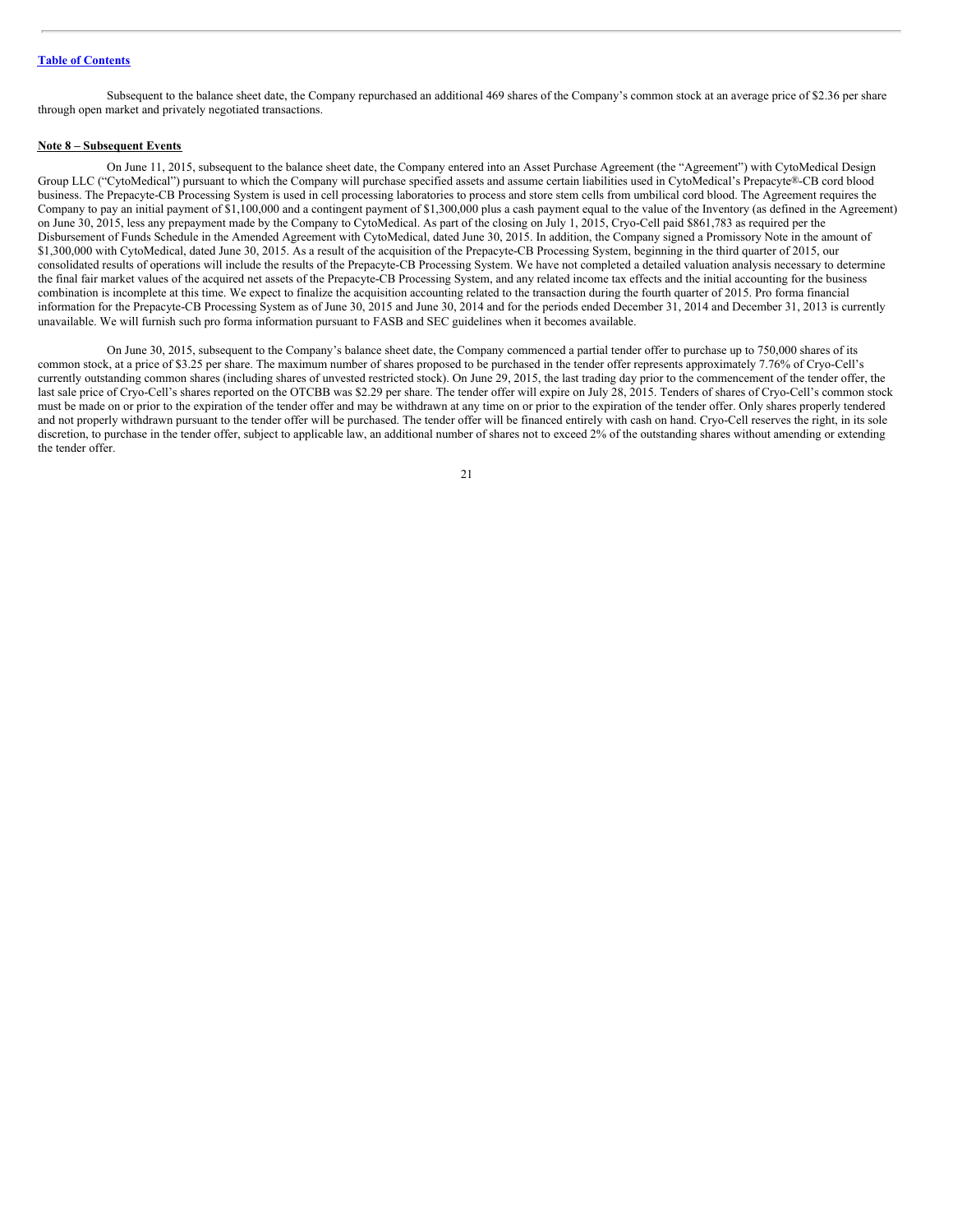Subsequent to the balance sheet date, the Company repurchased an additional 469 shares of the Company's common stock at an average price of \$2.36 per share through open market and privately negotiated transactions.

#### **Note 8 – Subsequent Events**

On June 11, 2015, subsequent to the balance sheet date, the Company entered into an Asset Purchase Agreement (the "Agreement") with CytoMedical Design Group LLC ("CytoMedical") pursuant to which the Company will purchase specified assets and assume certain liabilities used in CytoMedical's Prepacyte®-CB cord blood business. The Prepacyte-CB Processing System is used in cell processing laboratories to process and store stem cells from umbilical cord blood. The Agreement requires the Company to pay an initial payment of \$1,100,000 and a contingent payment of \$1,300,000 plus a cash payment equal to the value of the Inventory (as defined in the Agreement) on June 30, 2015, less any prepayment made by the Company to CytoMedical. As part of the closing on July 1, 2015, Cryo-Cell paid \$861,783 as required per the Disbursement of Funds Schedule in the Amended Agreement with CytoMedical, dated June 30, 2015. In addition, the Company signed a Promissory Note in the amount of \$1,300,000 with CytoMedical, dated June 30, 2015. As a result of the acquisition of the Prepacyte-CB Processing System, beginning in the third quarter of 2015, our consolidated results of operations will include the results of the Prepacyte-CB Processing System. We have not completed a detailed valuation analysis necessary to determine the final fair market values of the acquired net assets of the Prepacyte-CB Processing System, and any related income tax effects and the initial accounting for the business combination is incomplete at this time. We expect to finalize the acquisition accounting related to the transaction during the fourth quarter of 2015. Pro forma financial information for the Prepacyte-CB Processing System as of June 30, 2015 and June 30, 2014 and for the periods ended December 31, 2014 and December 31, 2013 is currently unavailable. We will furnish such pro forma information pursuant to FASB and SEC guidelines when it becomes available.

On June 30, 2015, subsequent to the Company's balance sheet date, the Company commenced a partial tender offer to purchase up to 750,000 shares of its common stock, at a price of \$3.25 per share. The maximum number of shares proposed to be purchased in the tender offer represents approximately 7.76% of Cryo-Cell's currently outstanding common shares (including shares of unvested restricted stock). On June 29, 2015, the last trading day prior to the commencement of the tender offer, the last sale price of Cryo-Cell's shares reported on the OTCBB was \$2.29 per share. The tender offer will expire on July 28, 2015. Tenders of shares of Cryo-Cell's common stock must be made on or prior to the expiration of the tender offer and may be withdrawn at any time on or prior to the expiration of the tender offer. Only shares properly tendered and not properly withdrawn pursuant to the tender offer will be purchased. The tender offer will be financed entirely with cash on hand. Cryo-Cell reserves the right, in its sole discretion, to purchase in the tender offer, subject to applicable law, an additional number of shares not to exceed 2% of the outstanding shares without amending or extending the tender offer.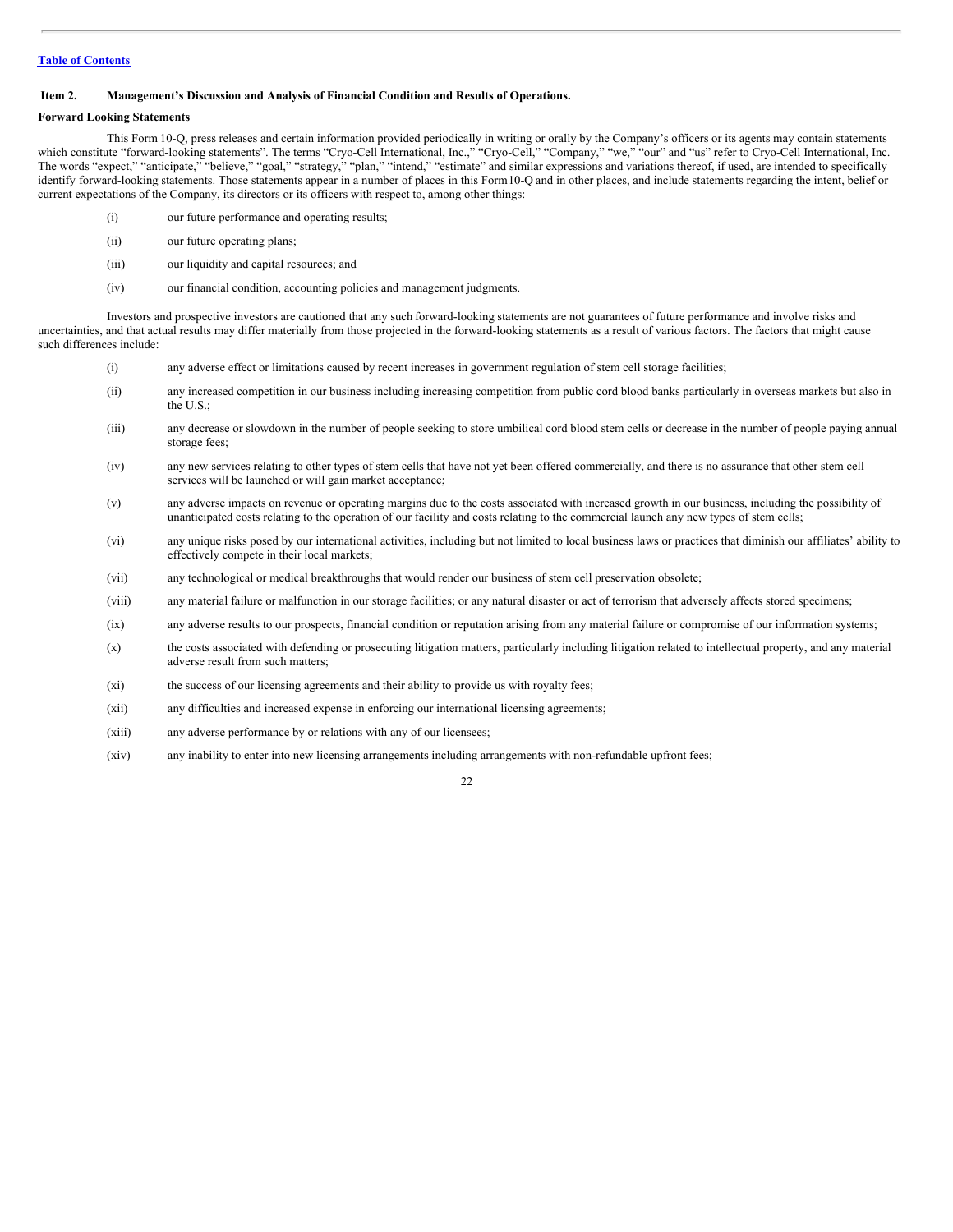#### <span id="page-21-0"></span>**Item 2. Management's Discussion and Analysis of Financial Condition and Results of Operations.**

#### **Forward Looking Statements**

This Form 10-Q, press releases and certain information provided periodically in writing or orally by the Company's officers or its agents may contain statements which constitute "forward-looking statements". The terms "Cryo-Cell International, Inc.," "Cryo-Cell," "Company," "we," "our" and "us" refer to Cryo-Cell International, Inc. The words "expect," "anticipate," "believe," "goal," "strategy," "plan," "intend," "estimate" and similar expressions and variations thereof, if used, are intended to specifically identify forward-looking statements. Those statements appear in a number of places in this Form10-Q and in other places, and include statements regarding the intent, belief or current expectations of the Company, its directors or its officers with respect to, among other things:

- (i) our future performance and operating results;
- (ii) our future operating plans;
- (iii) our liquidity and capital resources; and
- (iv) our financial condition, accounting policies and management judgments.

Investors and prospective investors are cautioned that any such forward-looking statements are not guarantees of future performance and involve risks and uncertainties, and that actual results may differ materially from those projected in the forward-looking statements as a result of various factors. The factors that might cause such differences include:

- (i) any adverse effect or limitations caused by recent increases in government regulation of stem cell storage facilities;
- (ii) any increased competition in our business including increasing competition from public cord blood banks particularly in overseas markets but also in the U.S.;
- (iii) any decrease or slowdown in the number of people seeking to store umbilical cord blood stem cells or decrease in the number of people paying annual storage fees;
- (iv) any new services relating to other types of stem cells that have not yet been offered commercially, and there is no assurance that other stem cell services will be launched or will gain market acceptance;
- (v) any adverse impacts on revenue or operating margins due to the costs associated with increased growth in our business, including the possibility of unanticipated costs relating to the operation of our facility and costs relating to the commercial launch any new types of stem cells;
- (vi) any unique risks posed by our international activities, including but not limited to local business laws or practices that diminish our affiliates' ability to effectively compete in their local markets;
- (vii) any technological or medical breakthroughs that would render our business of stem cell preservation obsolete;
- (viii) any material failure or malfunction in our storage facilities; or any natural disaster or act of terrorism that adversely affects stored specimens;
- (ix) any adverse results to our prospects, financial condition or reputation arising from any material failure or compromise of our information systems;
- (x) the costs associated with defending or prosecuting litigation matters, particularly including litigation related to intellectual property, and any material adverse result from such matters;
- (xi) the success of our licensing agreements and their ability to provide us with royalty fees;
- (xii) any difficulties and increased expense in enforcing our international licensing agreements;
- (xiii) any adverse performance by or relations with any of our licensees;
- (xiv) any inability to enter into new licensing arrangements including arrangements with non-refundable upfront fees;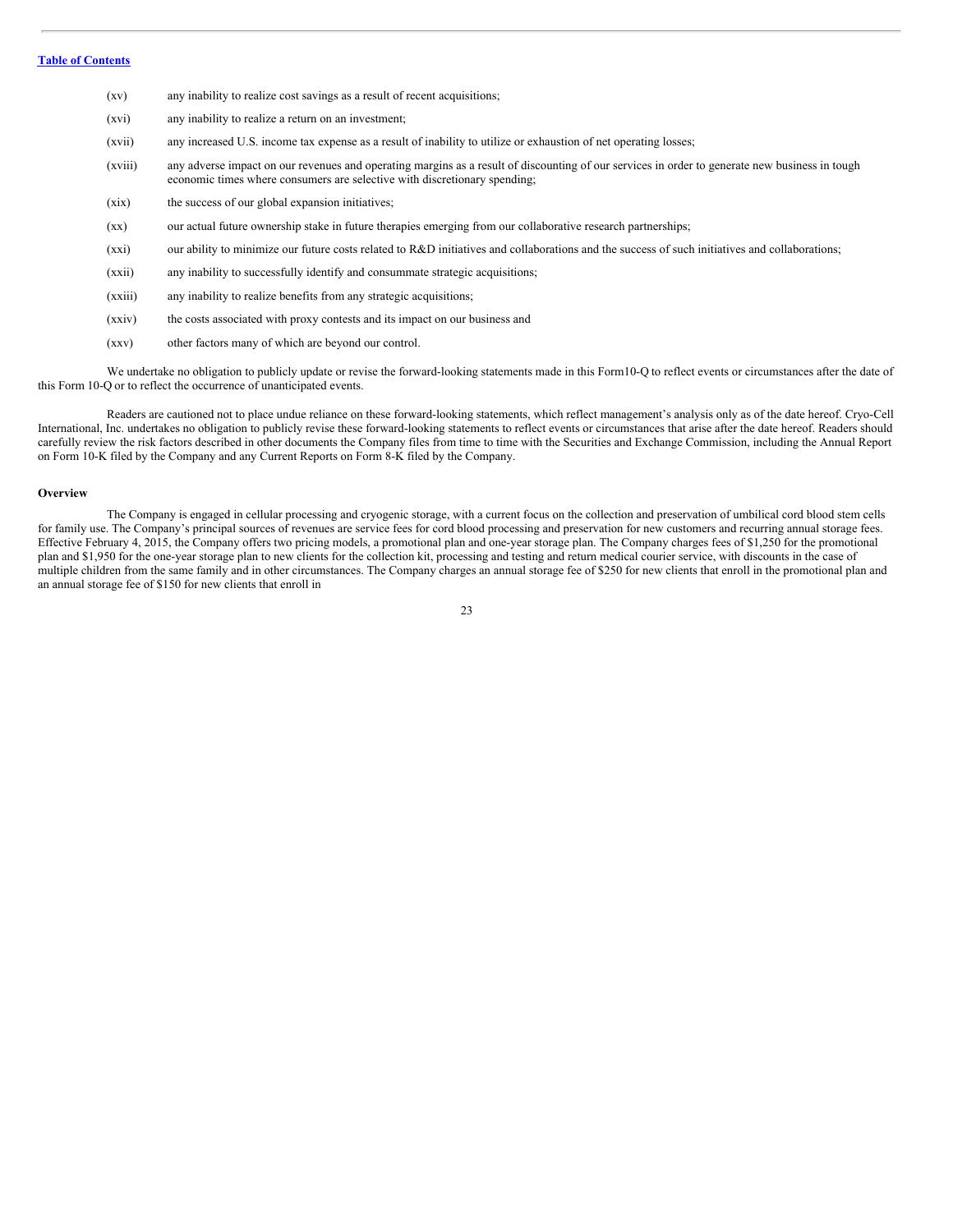| $\left( xy\right)$ | any inability to realize cost savings as a result of recent acquisitions;                                                                                                                                                   |
|--------------------|-----------------------------------------------------------------------------------------------------------------------------------------------------------------------------------------------------------------------------|
| (xvi)              | any inability to realize a return on an investment;                                                                                                                                                                         |
| (xvii)             | any increased U.S. income tax expense as a result of inability to utilize or exhaustion of net operating losses;                                                                                                            |
| (xviii)            | any adverse impact on our revenues and operating margins as a result of discounting of our services in order to generate new business in tough<br>economic times where consumers are selective with discretionary spending; |
| (xix)              | the success of our global expansion initiatives;                                                                                                                                                                            |
| (xx)               | our actual future ownership stake in future therapies emerging from our collaborative research partnerships;                                                                                                                |
| (xxi)              | our ability to minimize our future costs related to R&D initiatives and collaborations and the success of such initiatives and collaborations;                                                                              |
| (xxii)             | any inability to successfully identify and consummate strategic acquisitions;                                                                                                                                               |
| (xxiii)            | any inability to realize benefits from any strategic acquisitions;                                                                                                                                                          |
| (xxiv)             | the costs associated with proxy contests and its impact on our business and                                                                                                                                                 |
| (xxy)              | other factors many of which are beyond our control.                                                                                                                                                                         |

We undertake no obligation to publicly update or revise the forward-looking statements made in this Form10-Q to reflect events or circumstances after the date of this Form 10-Q or to reflect the occurrence of unanticipated events.

Readers are cautioned not to place undue reliance on these forward-looking statements, which reflect management's analysis only as of the date hereof. Cryo-Cell International, Inc. undertakes no obligation to publicly revise these forward-looking statements to reflect events or circumstances that arise after the date hereof. Readers should carefully review the risk factors described in other documents the Company files from time to time with the Securities and Exchange Commission, including the Annual Report on Form 10-K filed by the Company and any Current Reports on Form 8-K filed by the Company.

#### **Overview**

The Company is engaged in cellular processing and cryogenic storage, with a current focus on the collection and preservation of umbilical cord blood stem cells for family use. The Company's principal sources of revenues are service fees for cord blood processing and preservation for new customers and recurring annual storage fees. Effective February 4, 2015, the Company offers two pricing models, a promotional plan and one-year storage plan. The Company charges fees of \$1,250 for the promotional plan and \$1,950 for the one-year storage plan to new clients for the collection kit, processing and testing and return medical courier service, with discounts in the case of multiple children from the same family and in other circumstances. The Company charges an annual storage fee of \$250 for new clients that enroll in the promotional plan and an annual storage fee of \$150 for new clients that enroll in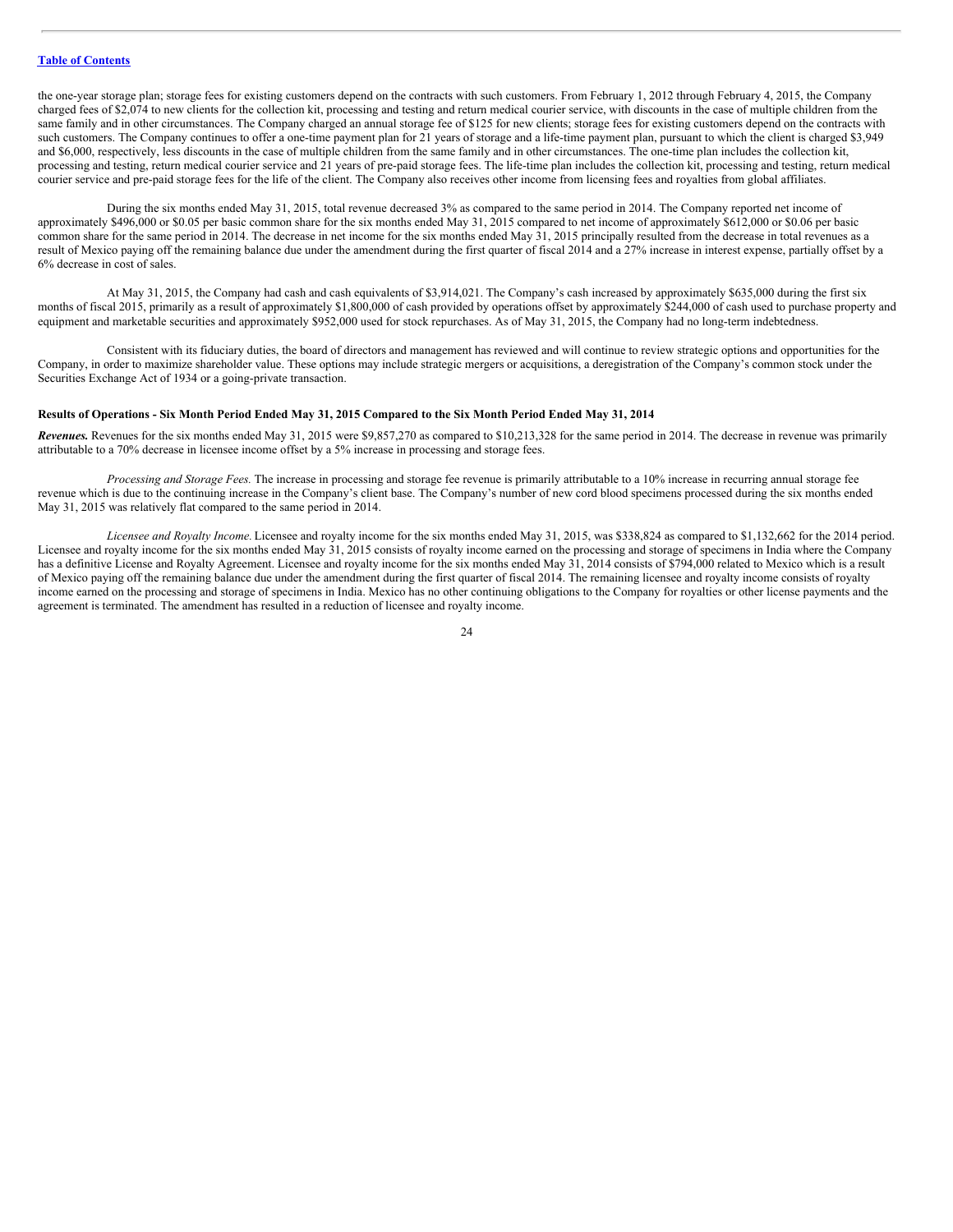the one-year storage plan; storage fees for existing customers depend on the contracts with such customers. From February 1, 2012 through February 4, 2015, the Company charged fees of \$2,074 to new clients for the collection kit, processing and testing and return medical courier service, with discounts in the case of multiple children from the same family and in other circumstances. The Company charged an annual storage fee of \$125 for new clients; storage fees for existing customers depend on the contracts with such customers. The Company continues to offer a one-time payment plan for 21 years of storage and a life-time payment plan, pursuant to which the client is charged \$3,949 and \$6,000, respectively, less discounts in the case of multiple children from the same family and in other circumstances. The one-time plan includes the collection kit, processing and testing, return medical courier service and 21 years of pre-paid storage fees. The life-time plan includes the collection kit, processing and testing, return medical courier service and pre-paid storage fees for the life of the client. The Company also receives other income from licensing fees and royalties from global affiliates.

During the six months ended May 31, 2015, total revenue decreased 3% as compared to the same period in 2014. The Company reported net income of approximately \$496,000 or \$0.05 per basic common share for the six months ended May 31, 2015 compared to net income of approximately \$612,000 or \$0.06 per basic common share for the same period in 2014. The decrease in net income for the six months ended May 31, 2015 principally resulted from the decrease in total revenues as a result of Mexico paying off the remaining balance due under the amendment during the first quarter of fiscal 2014 and a 27% increase in interest expense, partially offset by a 6% decrease in cost of sales.

At May 31, 2015, the Company had cash and cash equivalents of \$3,914,021. The Company's cash increased by approximately \$635,000 during the first six months of fiscal 2015, primarily as a result of approximately \$1,800,000 of cash provided by operations offset by approximately \$244,000 of cash used to purchase property and equipment and marketable securities and approximately \$952,000 used for stock repurchases. As of May 31, 2015, the Company had no long-term indebtedness.

Consistent with its fiduciary duties, the board of directors and management has reviewed and will continue to review strategic options and opportunities for the Company, in order to maximize shareholder value. These options may include strategic mergers or acquisitions, a deregistration of the Company's common stock under the Securities Exchange Act of 1934 or a going-private transaction.

#### Results of Operations - Six Month Period Ended May 31, 2015 Compared to the Six Month Period Ended May 31, 2014

*Revenues.* Revenues for the six months ended May 31, 2015 were \$9,857,270 as compared to \$10,213,328 for the same period in 2014. The decrease in revenue was primarily attributable to a 70% decrease in licensee income offset by a 5% increase in processing and storage fees.

*Processing and Storage Fees.* The increase in processing and storage fee revenue is primarily attributable to a 10% increase in recurring annual storage fee revenue which is due to the continuing increase in the Company's client base. The Company's number of new cord blood specimens processed during the six months ended May 31, 2015 was relatively flat compared to the same period in 2014.

*Licensee and Royalty Income.* Licensee and royalty income for the six months ended May 31, 2015, was \$338,824 as compared to \$1,132,662 for the 2014 period. Licensee and royalty income for the six months ended May 31, 2015 consists of royalty income earned on the processing and storage of specimens in India where the Company has a definitive License and Royalty Agreement. Licensee and royalty income for the six months ended May 31, 2014 consists of \$794,000 related to Mexico which is a result of Mexico paying off the remaining balance due under the amendment during the first quarter of fiscal 2014. The remaining licensee and royalty income consists of royalty income earned on the processing and storage of specimens in India. Mexico has no other continuing obligations to the Company for royalties or other license payments and the agreement is terminated. The amendment has resulted in a reduction of licensee and royalty income.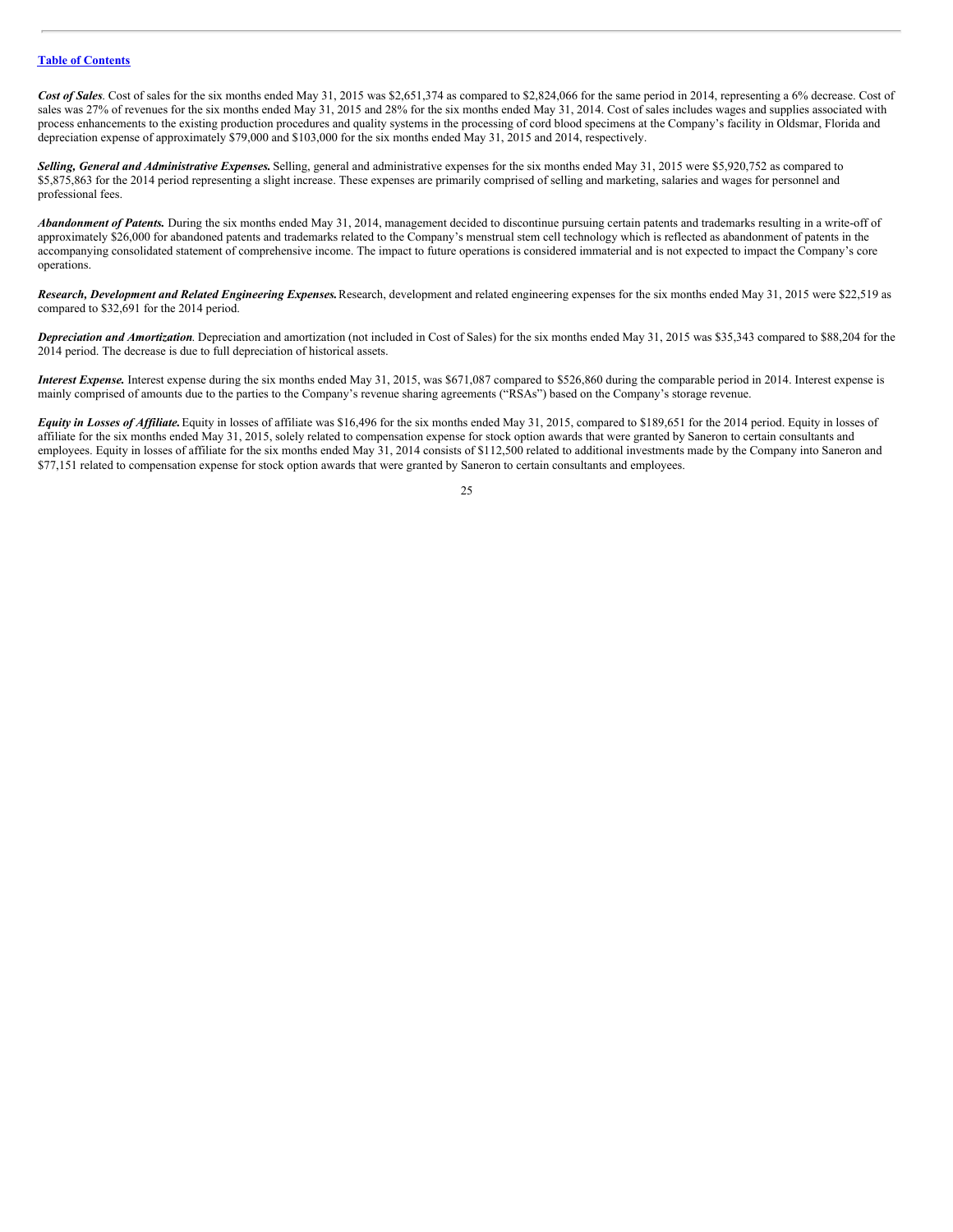Cost of Sales. Cost of sales for the six months ended May 31, 2015 was \$2,651,374 as compared to \$2,824,066 for the same period in 2014, representing a 6% decrease. Cost of sales was 27% of revenues for the six months ended May 31, 2015 and 28% for the six months ended May 31, 2014. Cost of sales includes wages and supplies associated with process enhancements to the existing production procedures and quality systems in the processing of cord blood specimens at the Company's facility in Oldsmar, Florida and depreciation expense of approximately \$79,000 and \$103,000 for the six months ended May 31, 2015 and 2014, respectively.

*Selling, General and Administrative Expenses.* Selling, general and administrative expenses for the six months ended May 31, 2015 were \$5,920,752 as compared to \$5,875,863 for the 2014 period representing a slight increase. These expenses are primarily comprised of selling and marketing, salaries and wages for personnel and professional fees.

*Abandonment of Patents.* During the six months ended May 31, 2014, management decided to discontinue pursuing certain patents and trademarks resulting in a write-off of approximately \$26,000 for abandoned patents and trademarks related to the Company's menstrual stem cell technology which is reflected as abandonment of patents in the accompanying consolidated statement of comprehensive income. The impact to future operations is considered immaterial and is not expected to impact the Company's core operations.

*Research, Development and Related Engineering Expenses.*Research, development and related engineering expenses for the six months ended May 31, 2015 were \$22,519 as compared to \$32,691 for the 2014 period.

*Depreciation and Amortization*. Depreciation and amortization (not included in Cost of Sales) for the six months ended May 31, 2015 was \$35,343 compared to \$88,204 for the 2014 period. The decrease is due to full depreciation of historical assets.

*Interest Expense.* Interest expense during the six months ended May 31, 2015, was \$671,087 compared to \$526,860 during the comparable period in 2014. Interest expense is mainly comprised of amounts due to the parties to the Company's revenue sharing agreements ("RSAs") based on the Company's storage revenue.

*Equity in Losses of Affiliate.* Equity in losses of affiliate was \$16,496 for the six months ended May 31, 2015, compared to \$189,651 for the 2014 period. Equity in losses of affiliate for the six months ended May 31, 2015, solely related to compensation expense for stock option awards that were granted by Saneron to certain consultants and employees. Equity in losses of affiliate for the six months ended May 31, 2014 consists of \$112,500 related to additional investments made by the Company into Saneron and \$77,151 related to compensation expense for stock option awards that were granted by Saneron to certain consultants and employees.

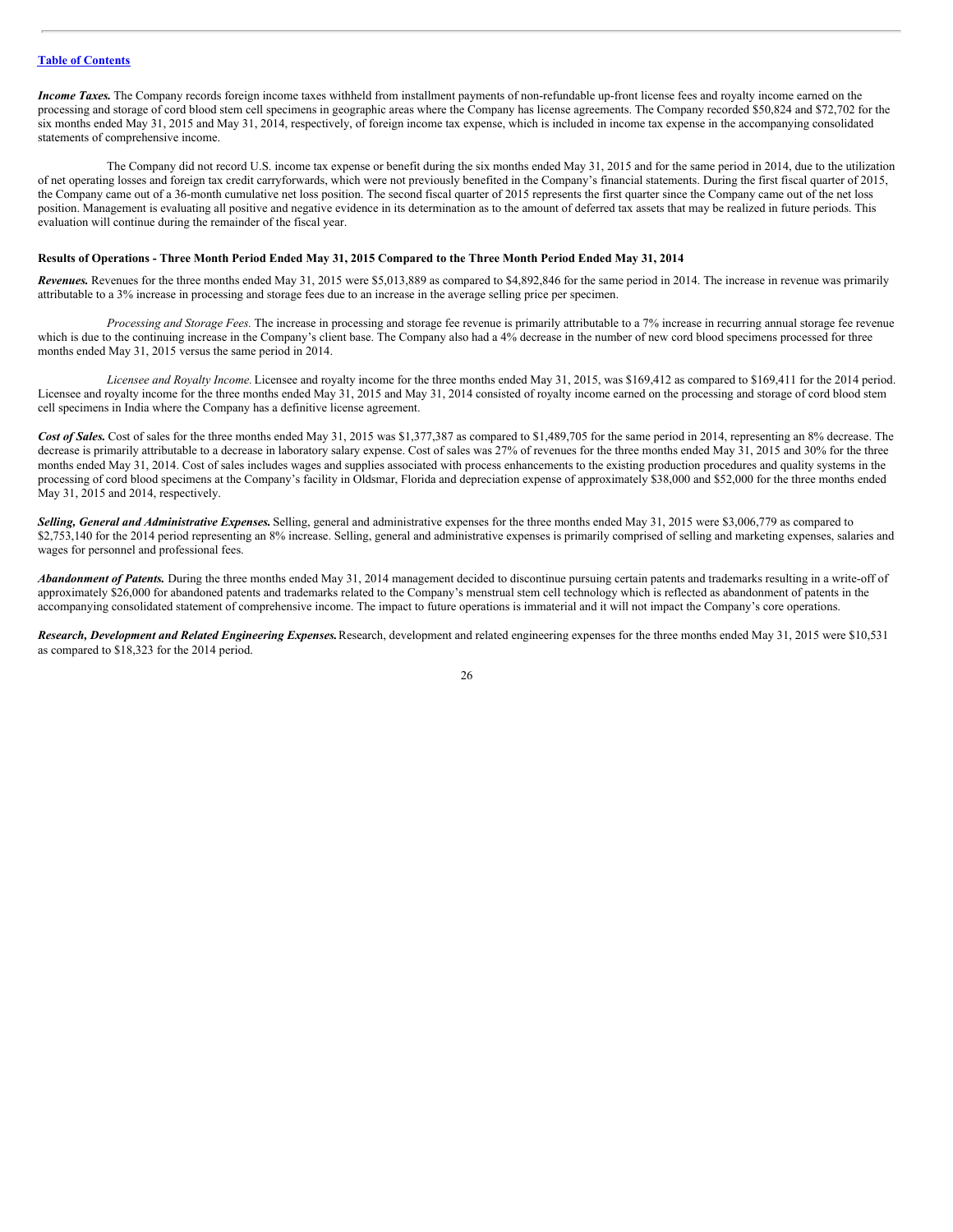*Income Taxes.* The Company records foreign income taxes withheld from installment payments of non-refundable up-front license fees and royalty income earned on the processing and storage of cord blood stem cell specimens in geographic areas where the Company has license agreements. The Company recorded \$50,824 and \$72,702 for the six months ended May 31, 2015 and May 31, 2014, respectively, of foreign income tax expense, which is included in income tax expense in the accompanying consolidated statements of comprehensive income.

The Company did not record U.S. income tax expense or benefit during the six months ended May 31, 2015 and for the same period in 2014, due to the utilization of net operating losses and foreign tax credit carryforwards, which were not previously benefited in the Company's financial statements. During the first fiscal quarter of 2015, the Company came out of a 36-month cumulative net loss position. The second fiscal quarter of 2015 represents the first quarter since the Company came out of the net loss position. Management is evaluating all positive and negative evidence in its determination as to the amount of deferred tax assets that may be realized in future periods. This evaluation will continue during the remainder of the fiscal year.

#### Results of Operations - Three Month Period Ended May 31, 2015 Compared to the Three Month Period Ended May 31, 2014

*Revenues.* Revenues for the three months ended May 31, 2015 were \$5,013,889 as compared to \$4,892,846 for the same period in 2014. The increase in revenue was primarily attributable to a 3% increase in processing and storage fees due to an increase in the average selling price per specimen.

*Processing and Storage Fees.* The increase in processing and storage fee revenue is primarily attributable to a 7% increase in recurring annual storage fee revenue which is due to the continuing increase in the Company's client base. The Company also had a 4% decrease in the number of new cord blood specimens processed for three months ended May 31, 2015 versus the same period in 2014.

*Licensee and Royalty Income.* Licensee and royalty income for the three months ended May 31, 2015, was \$169,412 as compared to \$169,411 for the 2014 period. Licensee and royalty income for the three months ended May 31, 2015 and May 31, 2014 consisted of royalty income earned on the processing and storage of cord blood stem cell specimens in India where the Company has a definitive license agreement.

Cost of Sales. Cost of sales for the three months ended May 31, 2015 was \$1,377,387 as compared to \$1,489,705 for the same period in 2014, representing an 8% decrease. The decrease is primarily attributable to a decrease in laboratory salary expense. Cost of sales was 27% of revenues for the three months ended May 31, 2015 and 30% for the three months ended May 31, 2014. Cost of sales includes wages and supplies associated with process enhancements to the existing production procedures and quality systems in the processing of cord blood specimens at the Company's facility in Oldsmar, Florida and depreciation expense of approximately \$38,000 and \$52,000 for the three months ended May 31, 2015 and 2014, respectively.

*Selling, General and Administrative Expenses.* Selling, general and administrative expenses for the three months ended May 31, 2015 were \$3,006,779 as compared to \$2,753,140 for the 2014 period representing an 8% increase. Selling, general and administrative expenses is primarily comprised of selling and marketing expenses, salaries and wages for personnel and professional fees.

*Abandonment of Patents.* During the three months ended May 31, 2014 management decided to discontinue pursuing certain patents and trademarks resulting in a write-off of approximately \$26,000 for abandoned patents and trademarks related to the Company's menstrual stem cell technology which is reflected as abandonment of patents in the accompanying consolidated statement of comprehensive income. The impact to future operations is immaterial and it will not impact the Company's core operations.

*Research, Development and Related Engineering Expenses.*Research, development and related engineering expenses for the three months ended May 31, 2015 were \$10,531 as compared to \$18,323 for the 2014 period.

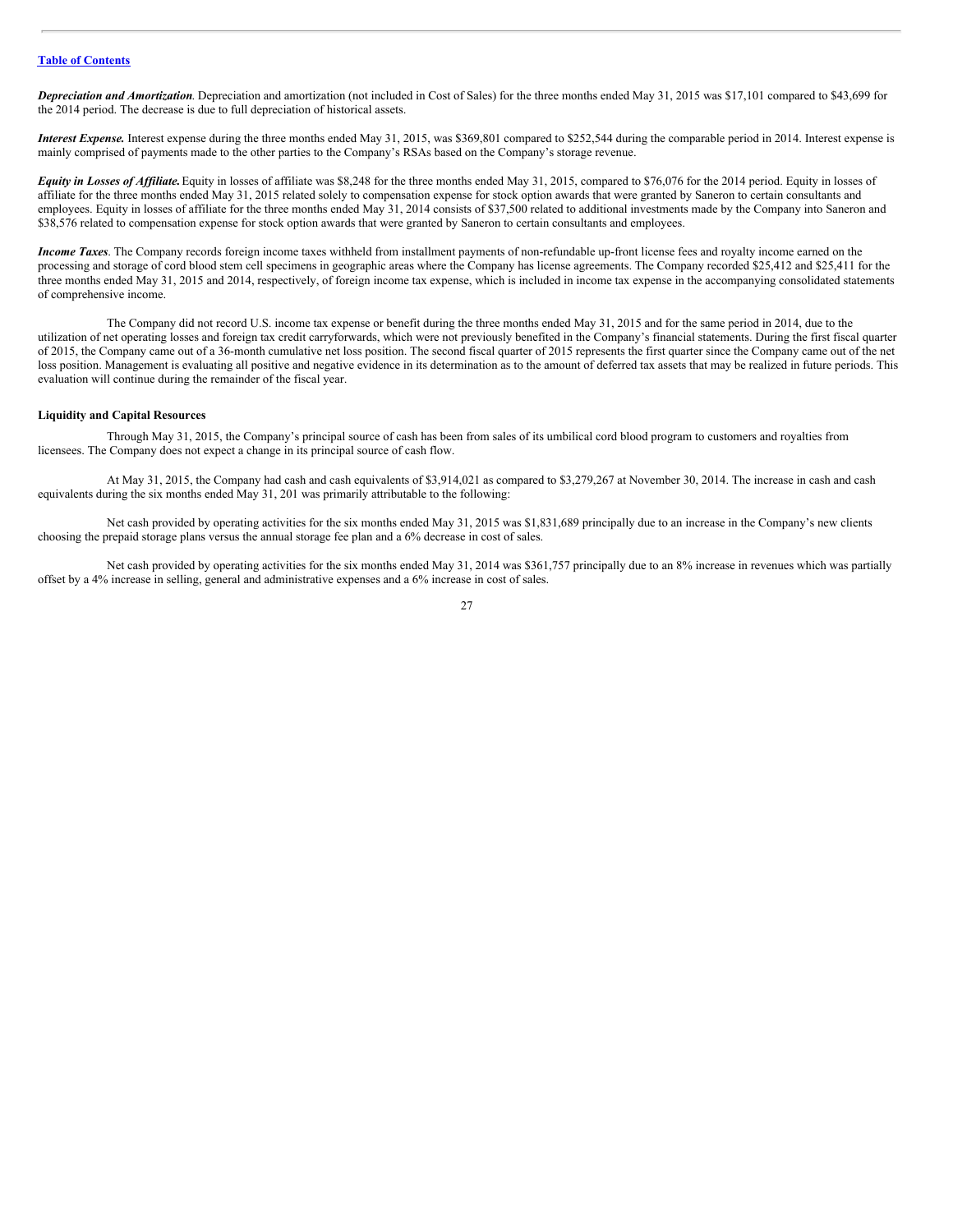*Depreciation and Amortization*. Depreciation and amortization (not included in Cost of Sales) for the three months ended May 31, 2015 was \$17,101 compared to \$43,699 for the 2014 period. The decrease is due to full depreciation of historical assets.

*Interest Expense.* Interest expense during the three months ended May 31, 2015, was \$369,801 compared to \$252,544 during the comparable period in 2014. Interest expense is mainly comprised of payments made to the other parties to the Company's RSAs based on the Company's storage revenue.

*Equity in Losses of Affiliate.* Equity in losses of affiliate was \$8,248 for the three months ended May 31, 2015, compared to \$76,076 for the 2014 period. Equity in losses of affiliate for the three months ended May 31, 2015 related solely to compensation expense for stock option awards that were granted by Saneron to certain consultants and employees. Equity in losses of affiliate for the three months ended May 31, 2014 consists of \$37,500 related to additional investments made by the Company into Saneron and \$38,576 related to compensation expense for stock option awards that were granted by Saneron to certain consultants and employees.

*Income Taxes*. The Company records foreign income taxes withheld from installment payments of non-refundable up-front license fees and royalty income earned on the processing and storage of cord blood stem cell specimens in geographic areas where the Company has license agreements. The Company recorded \$25,412 and \$25,411 for the three months ended May 31, 2015 and 2014, respectively, of foreign income tax expense, which is included in income tax expense in the accompanying consolidated statements of comprehensive income.

The Company did not record U.S. income tax expense or benefit during the three months ended May 31, 2015 and for the same period in 2014, due to the utilization of net operating losses and foreign tax credit carryforwards, which were not previously benefited in the Company's financial statements. During the first fiscal quarter of 2015, the Company came out of a 36-month cumulative net loss position. The second fiscal quarter of 2015 represents the first quarter since the Company came out of the net loss position. Management is evaluating all positive and negative evidence in its determination as to the amount of deferred tax assets that may be realized in future periods. This evaluation will continue during the remainder of the fiscal year.

#### **Liquidity and Capital Resources**

Through May 31, 2015, the Company's principal source of cash has been from sales of its umbilical cord blood program to customers and royalties from licensees. The Company does not expect a change in its principal source of cash flow.

At May 31, 2015, the Company had cash and cash equivalents of \$3,914,021 as compared to \$3,279,267 at November 30, 2014. The increase in cash and cash equivalents during the six months ended May 31, 201 was primarily attributable to the following:

Net cash provided by operating activities for the six months ended May 31, 2015 was \$1,831,689 principally due to an increase in the Company's new clients choosing the prepaid storage plans versus the annual storage fee plan and a 6% decrease in cost of sales.

Net cash provided by operating activities for the six months ended May 31, 2014 was \$361,757 principally due to an 8% increase in revenues which was partially offset by a 4% increase in selling, general and administrative expenses and a 6% increase in cost of sales.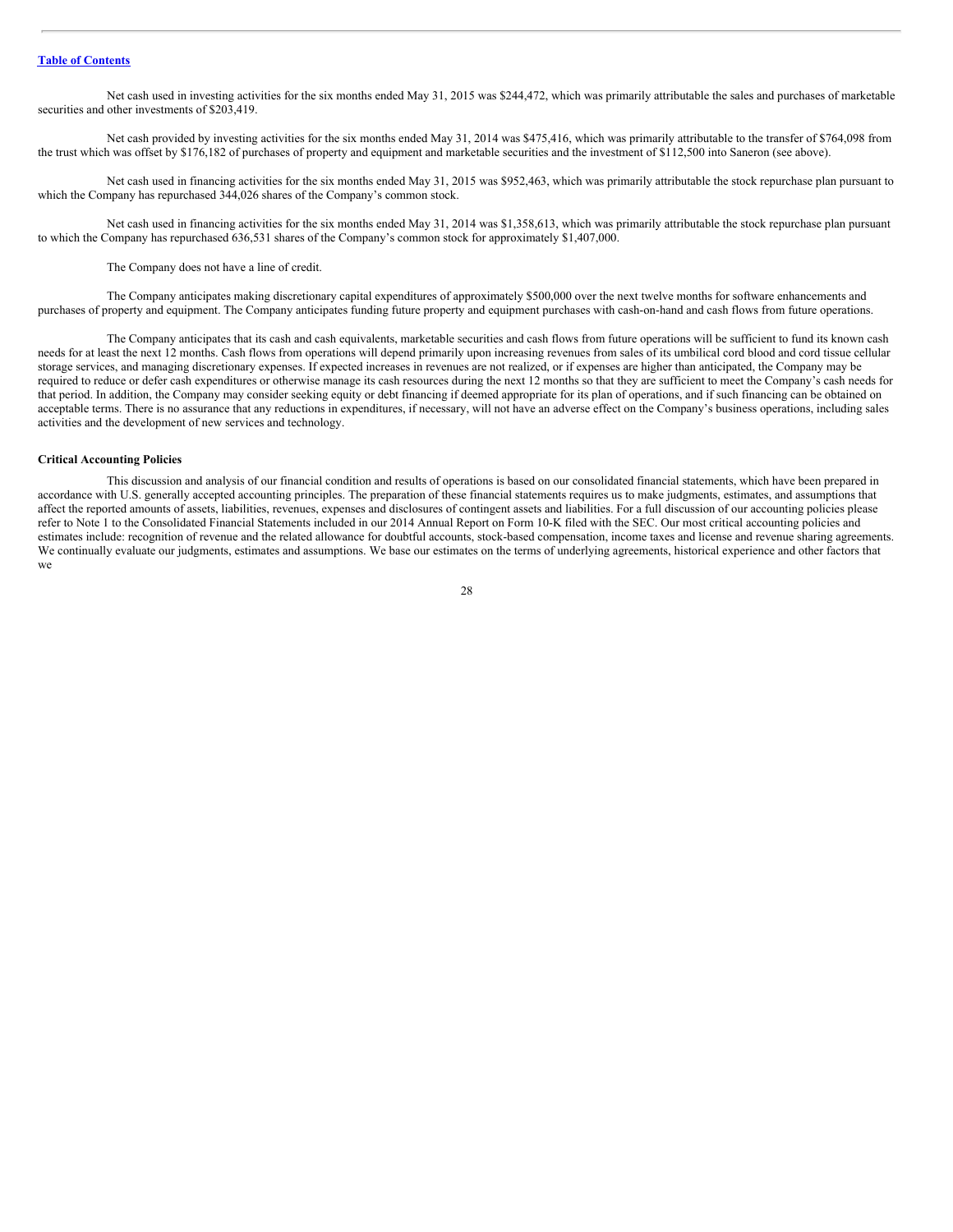Net cash used in investing activities for the six months ended May 31, 2015 was \$244,472, which was primarily attributable the sales and purchases of marketable securities and other investments of \$203,419.

Net cash provided by investing activities for the six months ended May 31, 2014 was \$475,416, which was primarily attributable to the transfer of \$764,098 from the trust which was offset by \$176,182 of purchases of property and equipment and marketable securities and the investment of \$112,500 into Saneron (see above).

Net cash used in financing activities for the six months ended May 31, 2015 was \$952,463, which was primarily attributable the stock repurchase plan pursuant to which the Company has repurchased 344,026 shares of the Company's common stock.

Net cash used in financing activities for the six months ended May 31, 2014 was \$1,358,613, which was primarily attributable the stock repurchase plan pursuant to which the Company has repurchased 636,531 shares of the Company's common stock for approximately \$1,407,000.

The Company does not have a line of credit.

The Company anticipates making discretionary capital expenditures of approximately \$500,000 over the next twelve months for software enhancements and purchases of property and equipment. The Company anticipates funding future property and equipment purchases with cash-on-hand and cash flows from future operations.

The Company anticipates that its cash and cash equivalents, marketable securities and cash flows from future operations will be sufficient to fund its known cash needs for at least the next 12 months. Cash flows from operations will depend primarily upon increasing revenues from sales of its umbilical cord blood and cord tissue cellular storage services, and managing discretionary expenses. If expected increases in revenues are not realized, or if expenses are higher than anticipated, the Company may be required to reduce or defer cash expenditures or otherwise manage its cash resources during the next 12 months so that they are sufficient to meet the Company's cash needs for that period. In addition, the Company may consider seeking equity or debt financing if deemed appropriate for its plan of operations, and if such financing can be obtained on acceptable terms. There is no assurance that any reductions in expenditures, if necessary, will not have an adverse effect on the Company's business operations, including sales activities and the development of new services and technology.

#### **Critical Accounting Policies**

This discussion and analysis of our financial condition and results of operations is based on our consolidated financial statements, which have been prepared in accordance with U.S. generally accepted accounting principles. The preparation of these financial statements requires us to make judgments, estimates, and assumptions that affect the reported amounts of assets, liabilities, revenues, expenses and disclosures of contingent assets and liabilities. For a full discussion of our accounting policies please refer to Note 1 to the Consolidated Financial Statements included in our 2014 Annual Report on Form 10-K filed with the SEC. Our most critical accounting policies and estimates include: recognition of revenue and the related allowance for doubtful accounts, stock-based compensation, income taxes and license and revenue sharing agreements. We continually evaluate our judgments, estimates and assumptions. We base our estimates on the terms of underlying agreements, historical experience and other factors that we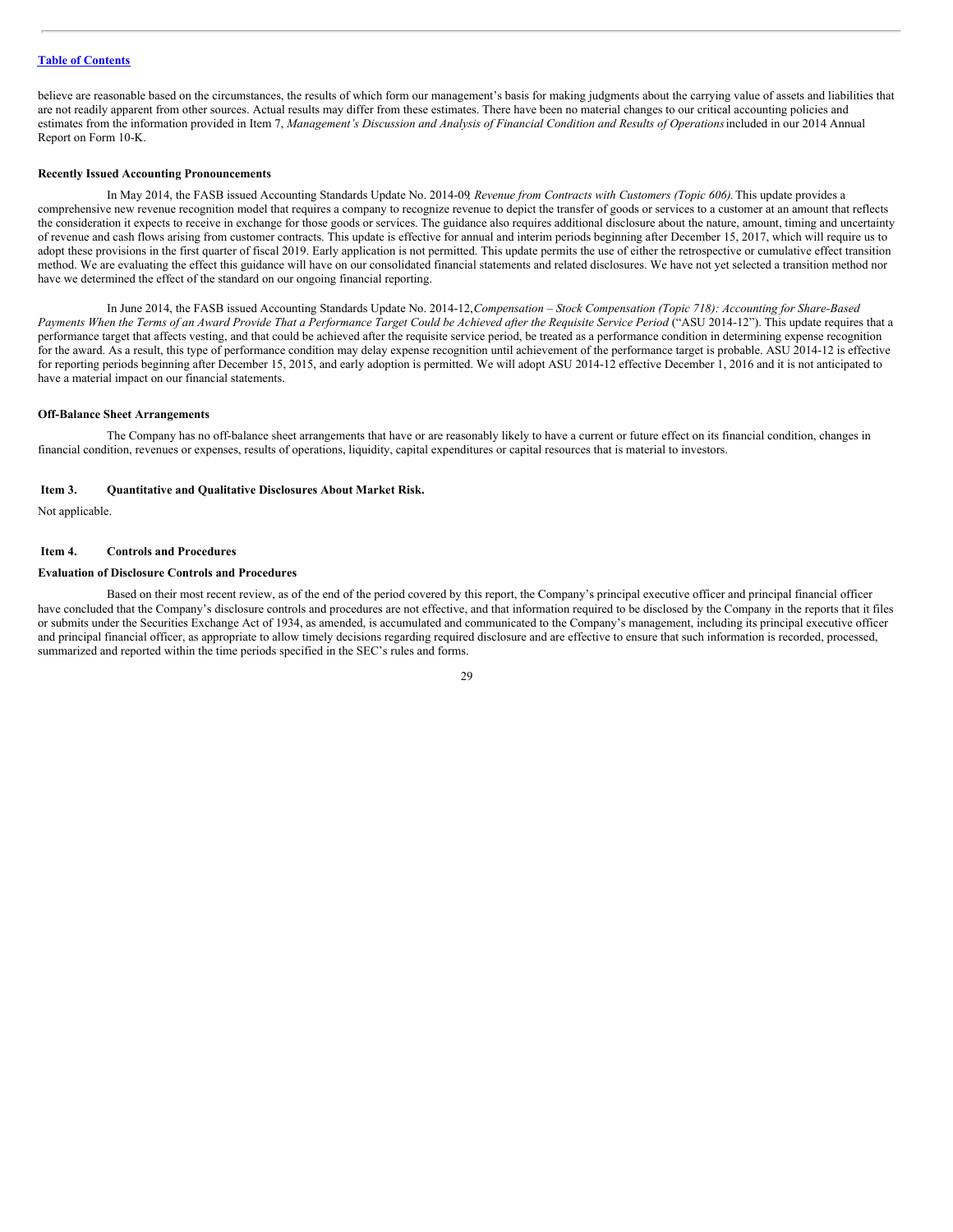believe are reasonable based on the circumstances, the results of which form our management's basis for making judgments about the carrying value of assets and liabilities that are not readily apparent from other sources. Actual results may differ from these estimates. There have been no material changes to our critical accounting policies and estimates from the information provided in Item 7, Management's Discussion and Analysis of Financial Condition and Results of Operations included in our 2014 Annual Report on Form 10-K.

#### **Recently Issued Accounting Pronouncements**

In May 2014, the FASB issued Accounting Standards Update No. 2014-09*, Revenue from Contracts with Customers (Topic 606).*This update provides a comprehensive new revenue recognition model that requires a company to recognize revenue to depict the transfer of goods or services to a customer at an amount that reflects the consideration it expects to receive in exchange for those goods or services. The guidance also requires additional disclosure about the nature, amount, timing and uncertainty of revenue and cash flows arising from customer contracts. This update is effective for annual and interim periods beginning after December 15, 2017, which will require us to adopt these provisions in the first quarter of fiscal 2019. Early application is not permitted. This update permits the use of either the retrospective or cumulative effect transition method. We are evaluating the effect this guidance will have on our consolidated financial statements and related disclosures. We have not yet selected a transition method nor have we determined the effect of the standard on our ongoing financial reporting.

In June 2014, the FASB issued Accounting Standards Update No. 2014-12,*Compensation – Stock Compensation (Topic 718): Accounting for Share-Based* Payments When the Terms of an Award Provide That a Performance Target Could be Achieved after the Requisite Service Period ("ASU 2014-12"). This update requires that a performance target that affects vesting, and that could be achieved after the requisite service period, be treated as a performance condition in determining expense recognition for the award. As a result, this type of performance condition may delay expense recognition until achievement of the performance target is probable. ASU 2014-12 is effective for reporting periods beginning after December 15, 2015, and early adoption is permitted. We will adopt ASU 2014-12 effective December 1, 2016 and it is not anticipated to have a material impact on our financial statements.

#### **Off-Balance Sheet Arrangements**

The Company has no off-balance sheet arrangements that have or are reasonably likely to have a current or future effect on its financial condition, changes in financial condition, revenues or expenses, results of operations, liquidity, capital expenditures or capital resources that is material to investors.

#### <span id="page-28-0"></span>**Item 3. Quantitative and Qualitative Disclosures About Market Risk.**

Not applicable.

#### <span id="page-28-1"></span>**Item 4. Controls and Procedures**

#### **Evaluation of Disclosure Controls and Procedures**

Based on their most recent review, as of the end of the period covered by this report, the Company's principal executive officer and principal financial officer have concluded that the Company's disclosure controls and procedures are not effective, and that information required to be disclosed by the Company in the reports that it files or submits under the Securities Exchange Act of 1934, as amended, is accumulated and communicated to the Company's management, including its principal executive officer and principal financial officer, as appropriate to allow timely decisions regarding required disclosure and are effective to ensure that such information is recorded, processed, summarized and reported within the time periods specified in the SEC's rules and forms.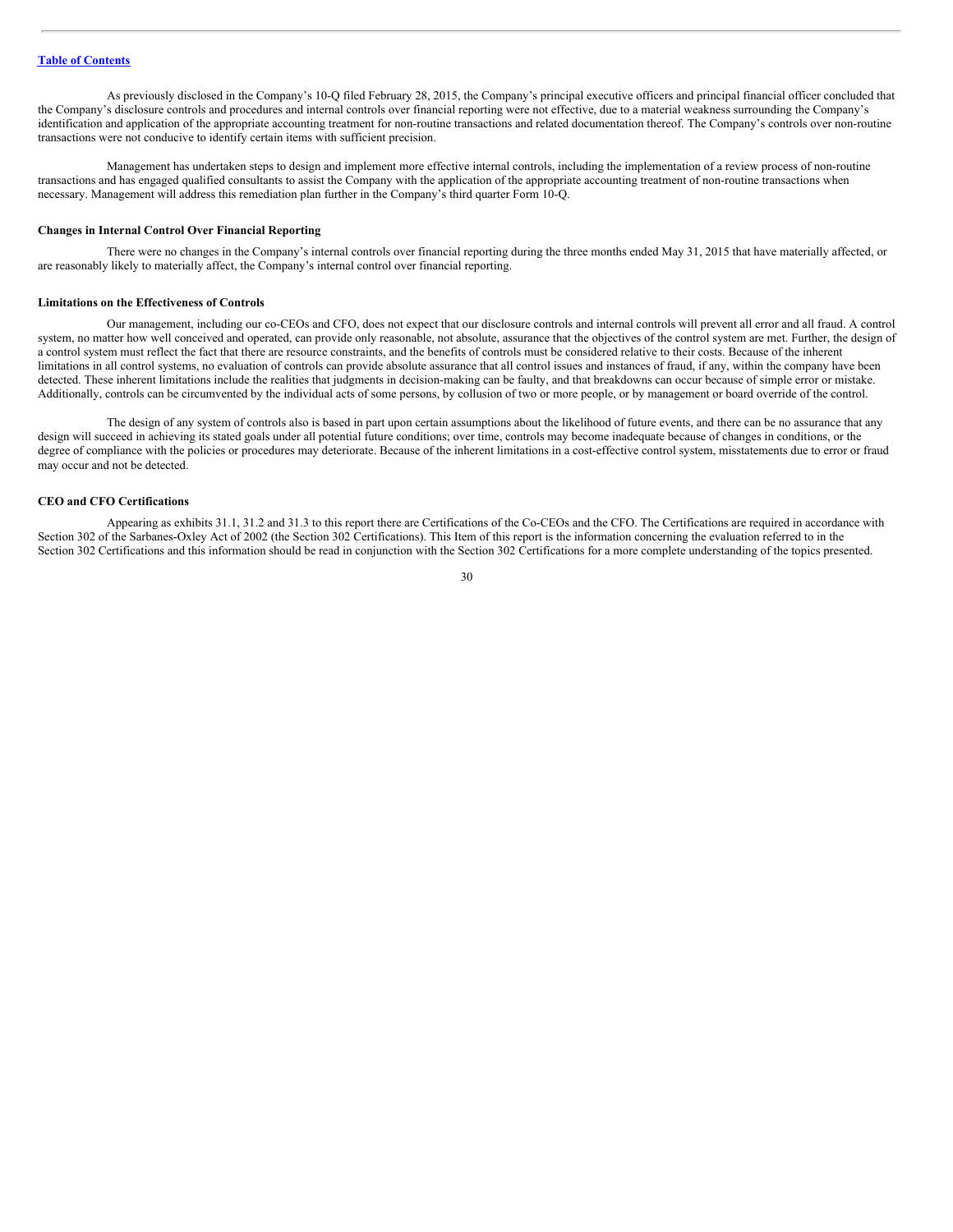As previously disclosed in the Company's 10-Q filed February 28, 2015, the Company's principal executive officers and principal financial officer concluded that the Company's disclosure controls and procedures and internal controls over financial reporting were not effective, due to a material weakness surrounding the Company's identification and application of the appropriate accounting treatment for non-routine transactions and related documentation thereof. The Company's controls over non-routine transactions were not conducive to identify certain items with sufficient precision.

Management has undertaken steps to design and implement more effective internal controls, including the implementation of a review process of non-routine transactions and has engaged qualified consultants to assist the Company with the application of the appropriate accounting treatment of non-routine transactions when necessary. Management will address this remediation plan further in the Company's third quarter Form 10-Q.

#### **Changes in Internal Control Over Financial Reporting**

There were no changes in the Company's internal controls over financial reporting during the three months ended May 31, 2015 that have materially affected, or are reasonably likely to materially affect, the Company's internal control over financial reporting.

#### **Limitations on the Effectiveness of Controls**

Our management, including our co-CEOs and CFO, does not expect that our disclosure controls and internal controls will prevent all error and all fraud. A control system, no matter how well conceived and operated, can provide only reasonable, not absolute, assurance that the objectives of the control system are met. Further, the design of a control system must reflect the fact that there are resource constraints, and the benefits of controls must be considered relative to their costs. Because of the inherent limitations in all control systems, no evaluation of controls can provide absolute assurance that all control issues and instances of fraud, if any, within the company have been detected. These inherent limitations include the realities that judgments in decision-making can be faulty, and that breakdowns can occur because of simple error or mistake. Additionally, controls can be circumvented by the individual acts of some persons, by collusion of two or more people, or by management or board override of the control.

The design of any system of controls also is based in part upon certain assumptions about the likelihood of future events, and there can be no assurance that any design will succeed in achieving its stated goals under all potential future conditions; over time, controls may become inadequate because of changes in conditions, or the degree of compliance with the policies or procedures may deteriorate. Because of the inherent limitations in a cost-effective control system, misstatements due to error or fraud may occur and not be detected.

#### **CEO and CFO Certifications**

Appearing as exhibits 31.1, 31.2 and 31.3 to this report there are Certifications of the Co-CEOs and the CFO. The Certifications are required in accordance with Section 302 of the Sarbanes-Oxley Act of 2002 (the Section 302 Certifications). This Item of this report is the information concerning the evaluation referred to in the Section 302 Certifications and this information should be read in conjunction with the Section 302 Certifications for a more complete understanding of the topics presented.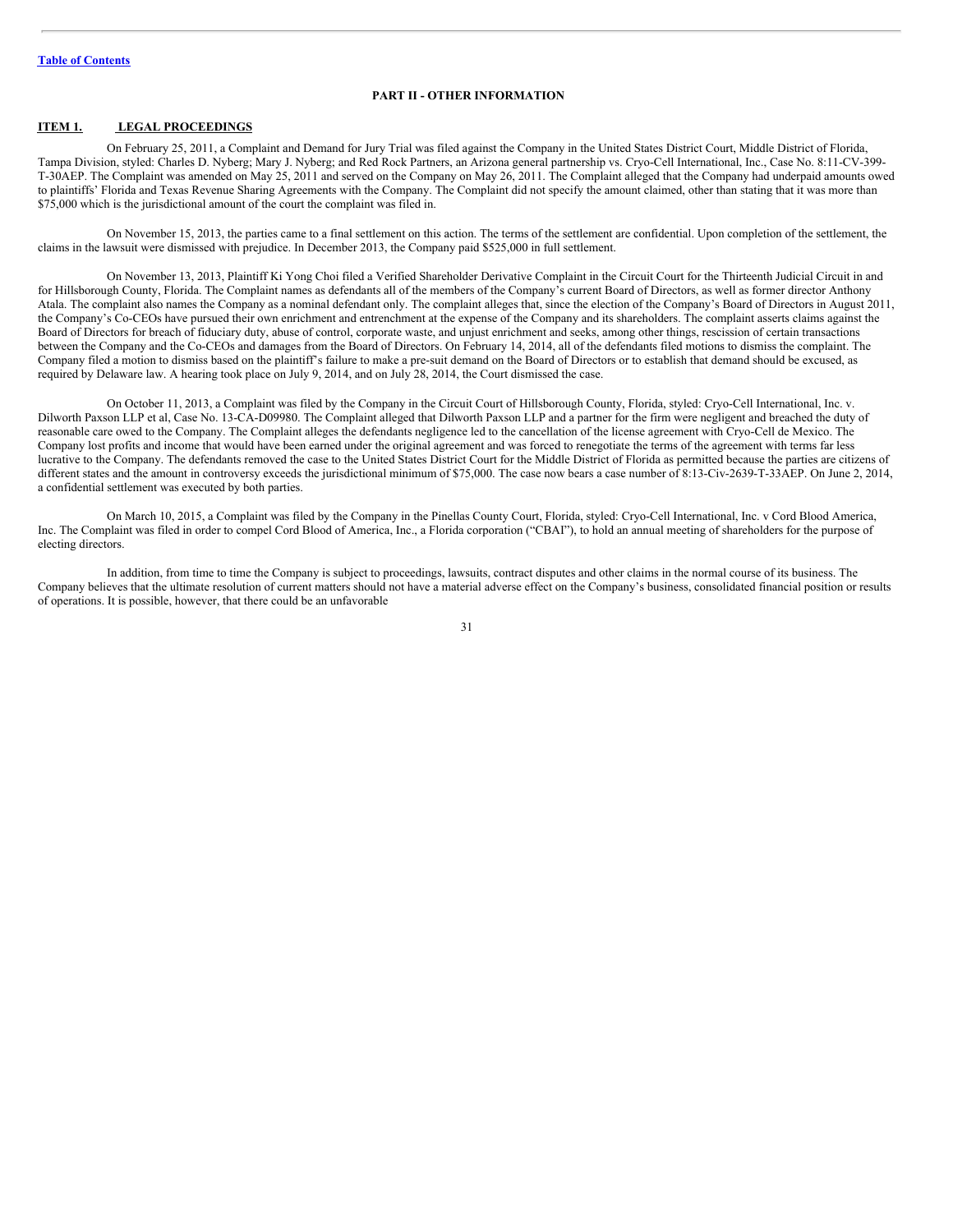## <span id="page-30-0"></span>**PART II - OTHER INFORMATION**

#### <span id="page-30-1"></span>**ITEM 1. LEGAL PROCEEDINGS**

On February 25, 2011, a Complaint and Demand for Jury Trial was filed against the Company in the United States District Court, Middle District of Florida, Tampa Division, styled: Charles D. Nyberg; Mary J. Nyberg; and Red Rock Partners, an Arizona general partnership vs. Cryo-Cell International, Inc., Case No. 8:11-CV-399- T-30AEP. The Complaint was amended on May 25, 2011 and served on the Company on May 26, 2011. The Complaint alleged that the Company had underpaid amounts owed to plaintiffs' Florida and Texas Revenue Sharing Agreements with the Company. The Complaint did not specify the amount claimed, other than stating that it was more than \$75,000 which is the jurisdictional amount of the court the complaint was filed in.

On November 15, 2013, the parties came to a final settlement on this action. The terms of the settlement are confidential. Upon completion of the settlement, the claims in the lawsuit were dismissed with prejudice. In December 2013, the Company paid \$525,000 in full settlement.

On November 13, 2013, Plaintiff Ki Yong Choi filed a Verified Shareholder Derivative Complaint in the Circuit Court for the Thirteenth Judicial Circuit in and for Hillsborough County, Florida. The Complaint names as defendants all of the members of the Company's current Board of Directors, as well as former director Anthony Atala. The complaint also names the Company as a nominal defendant only. The complaint alleges that, since the election of the Company's Board of Directors in August 2011, the Company's Co-CEOs have pursued their own enrichment and entrenchment at the expense of the Company and its shareholders. The complaint asserts claims against the Board of Directors for breach of fiduciary duty, abuse of control, corporate waste, and unjust enrichment and seeks, among other things, rescission of certain transactions between the Company and the Co-CEOs and damages from the Board of Directors. On February 14, 2014, all of the defendants filed motions to dismiss the complaint. The Company filed a motion to dismiss based on the plaintiff's failure to make a pre-suit demand on the Board of Directors or to establish that demand should be excused, as required by Delaware law. A hearing took place on July 9, 2014, and on July 28, 2014, the Court dismissed the case.

On October 11, 2013, a Complaint was filed by the Company in the Circuit Court of Hillsborough County, Florida, styled: Cryo-Cell International, Inc. v. Dilworth Paxson LLP et al, Case No. 13-CA-D09980. The Complaint alleged that Dilworth Paxson LLP and a partner for the firm were negligent and breached the duty of reasonable care owed to the Company. The Complaint alleges the defendants negligence led to the cancellation of the license agreement with Cryo-Cell de Mexico. The Company lost profits and income that would have been earned under the original agreement and was forced to renegotiate the terms of the agreement with terms far less lucrative to the Company. The defendants removed the case to the United States District Court for the Middle District of Florida as permitted because the parties are citizens of different states and the amount in controversy exceeds the jurisdictional minimum of \$75,000. The case now bears a case number of 8:13-Civ-2639-T-33AEP. On June 2, 2014, a confidential settlement was executed by both parties.

On March 10, 2015, a Complaint was filed by the Company in the Pinellas County Court, Florida, styled: Cryo-Cell International, Inc. v Cord Blood America, Inc. The Complaint was filed in order to compel Cord Blood of America, Inc., a Florida corporation ("CBAI"), to hold an annual meeting of shareholders for the purpose of electing directors.

In addition, from time to time the Company is subject to proceedings, lawsuits, contract disputes and other claims in the normal course of its business. The Company believes that the ultimate resolution of current matters should not have a material adverse effect on the Company's business, consolidated financial position or results of operations. It is possible, however, that there could be an unfavorable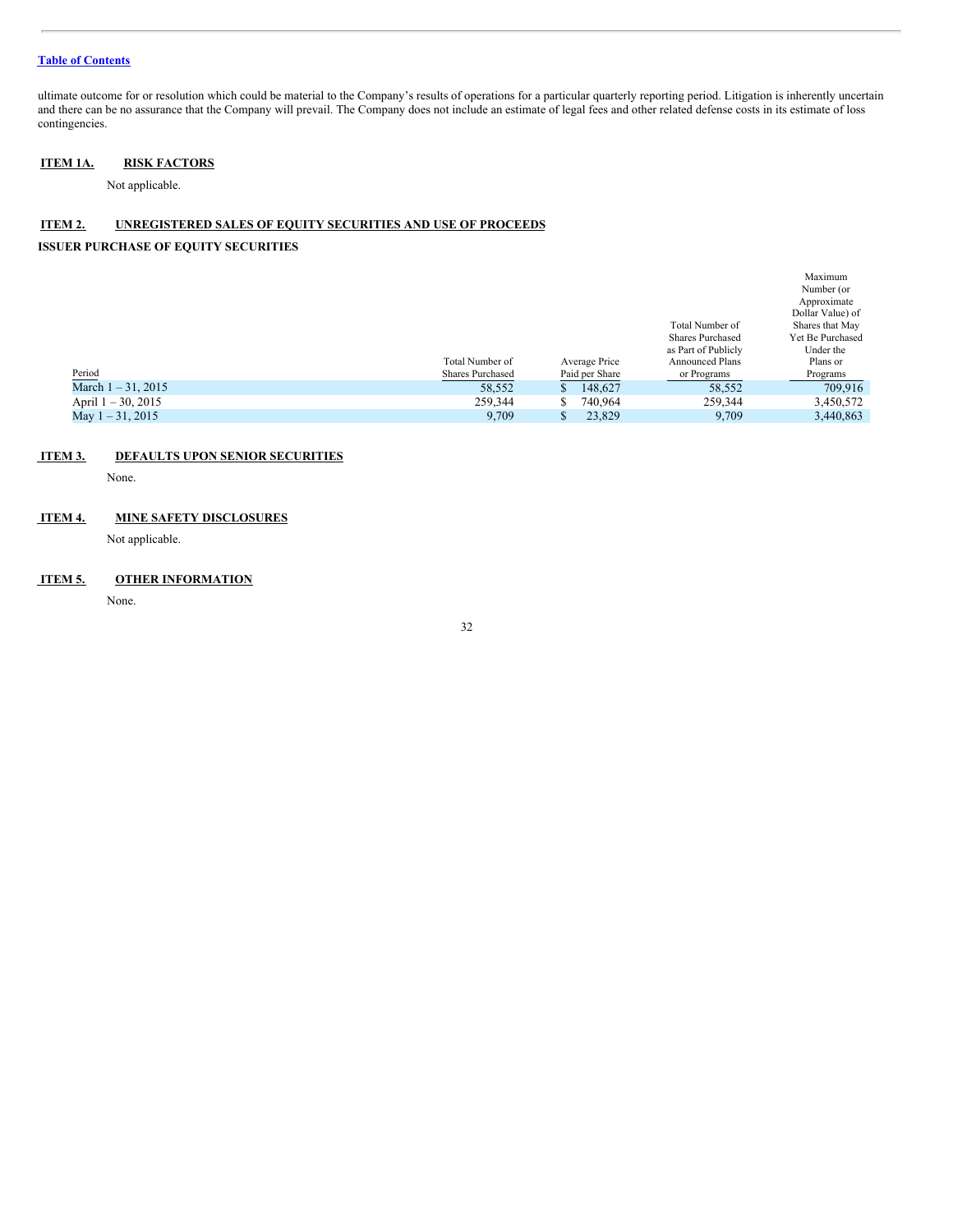ultimate outcome for or resolution which could be material to the Company's results of operations for a particular quarterly reporting period. Litigation is inherently uncertain and there can be no assurance that the Company will prevail. The Company does not include an estimate of legal fees and other related defense costs in its estimate of loss contingencies.

## <span id="page-31-0"></span>**ITEM 1A. RISK FACTORS**

Not applicable.

## <span id="page-31-1"></span>**ITEM 2. UNREGISTERED SALES OF EQUITY SECURITIES AND USE OF PROCEEDS**

### **ISSUER PURCHASE OF EQUITY SECURITIES**

|                       |                  |                | Total Number of                                | Maximum<br>Number (or<br>Approximate<br>Dollar Value) of<br>Shares that May |
|-----------------------|------------------|----------------|------------------------------------------------|-----------------------------------------------------------------------------|
|                       |                  |                | <b>Shares Purchased</b><br>as Part of Publicly | Yet Be Purchased<br>Under the                                               |
|                       | Total Number of  | Average Price  | <b>Announced Plans</b>                         | Plans or                                                                    |
| Period                | Shares Purchased | Paid per Share | or Programs                                    | Programs                                                                    |
| March $1 - 31$ , 2015 | 58,552           | 148,627<br>S.  | 58,552                                         | 709,916                                                                     |
| April $1 - 30$ , 2015 | 259,344          | 740.964<br>\$  | 259,344                                        | 3,450,572                                                                   |
| May $1 - 31$ , 2015   | 9,709            | 23,829<br>S.   | 9,709                                          | 3,440,863                                                                   |

## <span id="page-31-2"></span>**ITEM 3. DEFAULTS UPON SENIOR SECURITIES**

None.

### <span id="page-31-3"></span>**ITEM 4. MINE SAFETY DISCLOSURES**

Not applicable.

#### <span id="page-31-4"></span>**ITEM 5. OTHER INFORMATION**

None.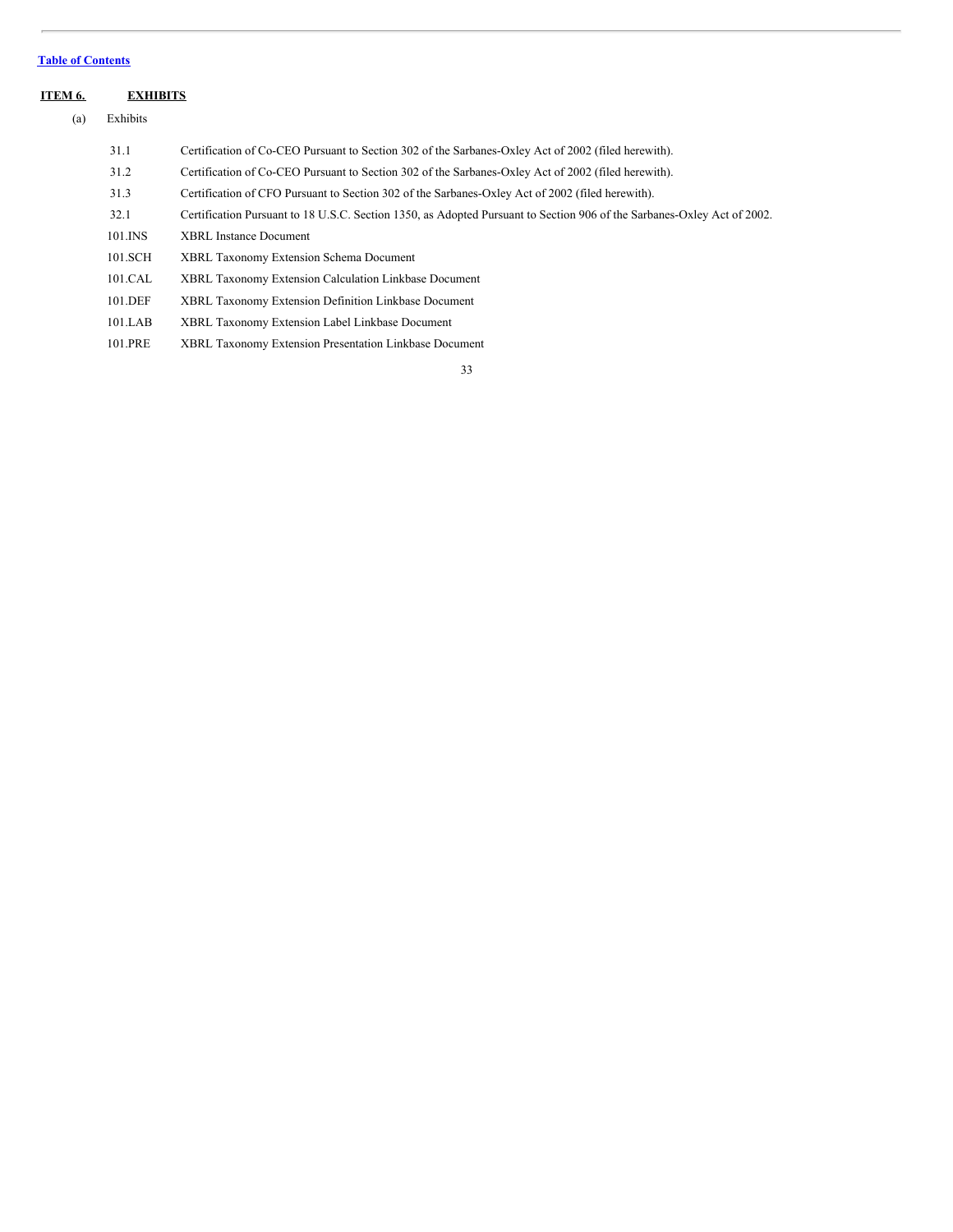<span id="page-32-0"></span>

| ITEM 6. | <b>EXHIBITS</b> |                                                                                                                         |
|---------|-----------------|-------------------------------------------------------------------------------------------------------------------------|
| (a)     | Exhibits        |                                                                                                                         |
|         | 31.1            | Certification of Co-CEO Pursuant to Section 302 of the Sarbanes-Oxley Act of 2002 (filed herewith).                     |
|         | 31.2            | Certification of Co-CEO Pursuant to Section 302 of the Sarbanes-Oxley Act of 2002 (filed herewith).                     |
|         | 31.3            | Certification of CFO Pursuant to Section 302 of the Sarbanes-Oxley Act of 2002 (filed herewith).                        |
|         | 32.1            | Certification Pursuant to 18 U.S.C. Section 1350, as Adopted Pursuant to Section 906 of the Sarbanes-Oxley Act of 2002. |
|         | 101.INS         | <b>XBRL Instance Document</b>                                                                                           |
|         | 101.SCH         | <b>XBRL Taxonomy Extension Schema Document</b>                                                                          |
|         | 101.CAL         | <b>XBRL Taxonomy Extension Calculation Linkbase Document</b>                                                            |
|         | 101.DEF         | <b>XBRL Taxonomy Extension Definition Linkbase Document</b>                                                             |
|         | 101.LAB         | XBRL Taxonomy Extension Label Linkbase Document                                                                         |
|         | 101.PRE         | XBRL Taxonomy Extension Presentation Linkbase Document                                                                  |
|         |                 |                                                                                                                         |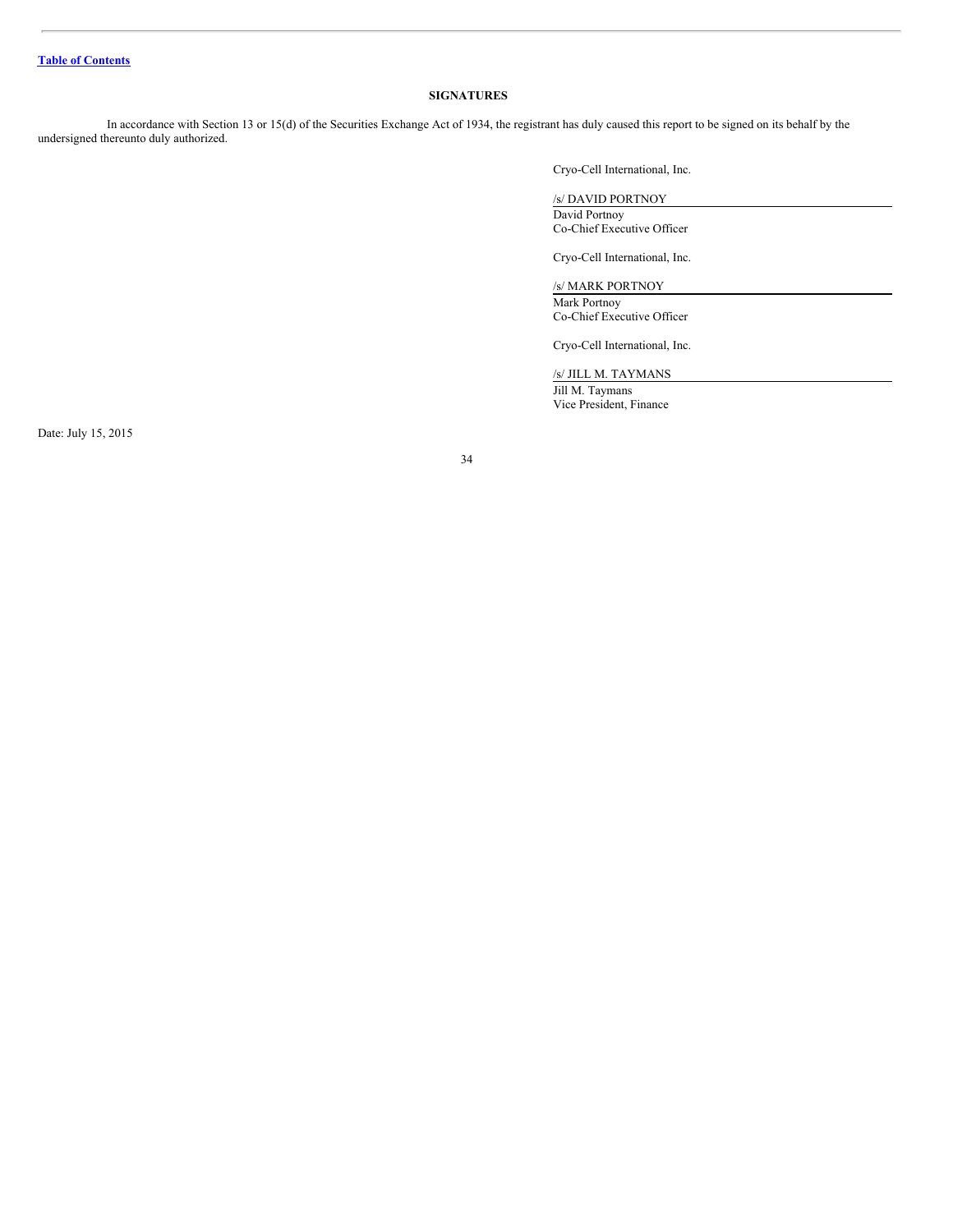#### <span id="page-33-0"></span>**SIGNATURES**

In accordance with Section 13 or 15(d) of the Securities Exchange Act of 1934, the registrant has duly caused this report to be signed on its behalf by the undersigned thereunto duly authorized.

Cryo-Cell International, Inc.

## /s/ DAVID PORTNOY

David Portnoy Co-Chief Executive Officer

Cryo-Cell International, Inc.

/s/ MARK PORTNOY

Mark Portnoy Co-Chief Executive Officer

Cryo-Cell International, Inc.

/s/ JILL M. TAYMANS

Jill M. Taymans Vice President, Finance

Date: July 15, 2015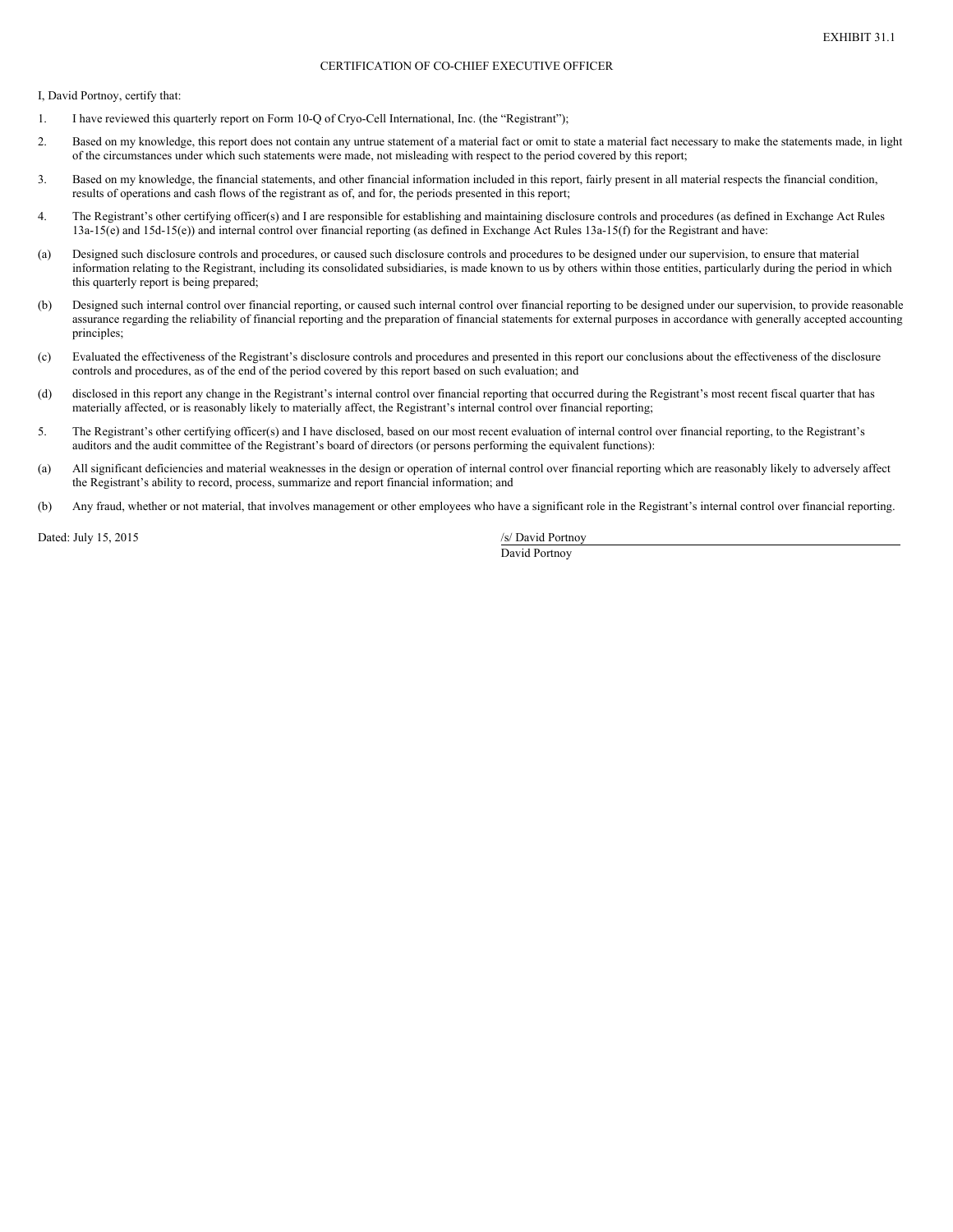#### CERTIFICATION OF CO-CHIEF EXECUTIVE OFFICER

I, David Portnoy, certify that:

- 1. I have reviewed this quarterly report on Form 10-Q of Cryo-Cell International, Inc. (the "Registrant");
- 2. Based on my knowledge, this report does not contain any untrue statement of a material fact or omit to state a material fact necessary to make the statements made, in light of the circumstances under which such statements were made, not misleading with respect to the period covered by this report;
- 3. Based on my knowledge, the financial statements, and other financial information included in this report, fairly present in all material respects the financial condition, results of operations and cash flows of the registrant as of, and for, the periods presented in this report;
- 4. The Registrant's other certifying officer(s) and I are responsible for establishing and maintaining disclosure controls and procedures (as defined in Exchange Act Rules 13a-15(e) and 15d-15(e)) and internal control over financial reporting (as defined in Exchange Act Rules 13a-15(f) for the Registrant and have:
- (a) Designed such disclosure controls and procedures, or caused such disclosure controls and procedures to be designed under our supervision, to ensure that material information relating to the Registrant, including its consolidated subsidiaries, is made known to us by others within those entities, particularly during the period in which this quarterly report is being prepared;
- (b) Designed such internal control over financial reporting, or caused such internal control over financial reporting to be designed under our supervision, to provide reasonable assurance regarding the reliability of financial reporting and the preparation of financial statements for external purposes in accordance with generally accepted accounting principles;
- (c) Evaluated the effectiveness of the Registrant's disclosure controls and procedures and presented in this report our conclusions about the effectiveness of the disclosure controls and procedures, as of the end of the period covered by this report based on such evaluation; and
- (d) disclosed in this report any change in the Registrant's internal control over financial reporting that occurred during the Registrant's most recent fiscal quarter that has materially affected, or is reasonably likely to materially affect, the Registrant's internal control over financial reporting;
- 5. The Registrant's other certifying officer(s) and I have disclosed, based on our most recent evaluation of internal control over financial reporting, to the Registrant's auditors and the audit committee of the Registrant's board of directors (or persons performing the equivalent functions):
- (a) All significant deficiencies and material weaknesses in the design or operation of internal control over financial reporting which are reasonably likely to adversely affect the Registrant's ability to record, process, summarize and report financial information; and
- (b) Any fraud, whether or not material, that involves management or other employees who have a significant role in the Registrant's internal control over financial reporting.

Dated: July 15, 2015 /s/ David Portnoy

David Portnoy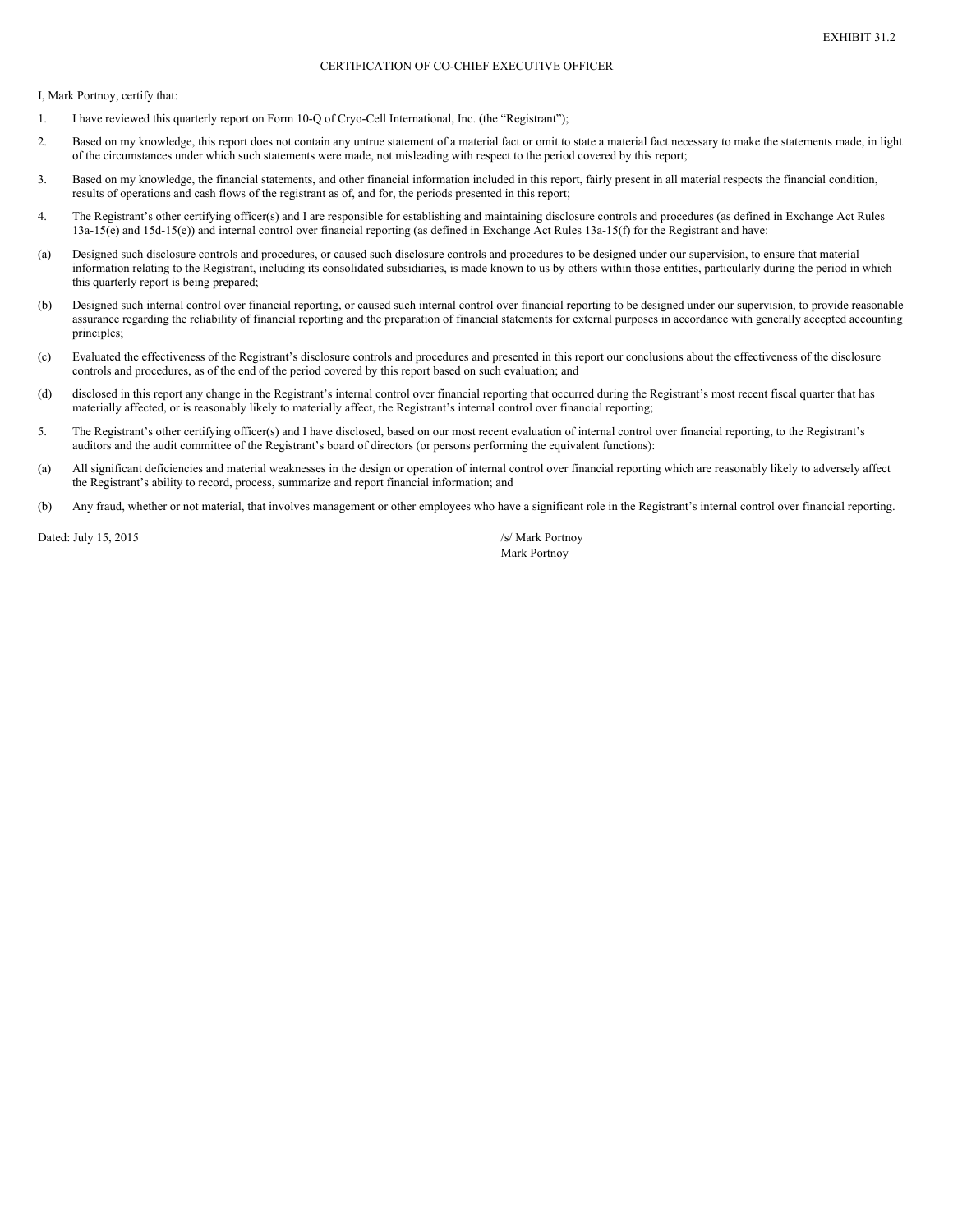#### CERTIFICATION OF CO-CHIEF EXECUTIVE OFFICER

I, Mark Portnoy, certify that:

- 1. I have reviewed this quarterly report on Form 10-Q of Cryo-Cell International, Inc. (the "Registrant");
- 2. Based on my knowledge, this report does not contain any untrue statement of a material fact or omit to state a material fact necessary to make the statements made, in light of the circumstances under which such statements were made, not misleading with respect to the period covered by this report;
- 3. Based on my knowledge, the financial statements, and other financial information included in this report, fairly present in all material respects the financial condition, results of operations and cash flows of the registrant as of, and for, the periods presented in this report;
- 4. The Registrant's other certifying officer(s) and I are responsible for establishing and maintaining disclosure controls and procedures (as defined in Exchange Act Rules 13a-15(e) and 15d-15(e)) and internal control over financial reporting (as defined in Exchange Act Rules 13a-15(f) for the Registrant and have:
- (a) Designed such disclosure controls and procedures, or caused such disclosure controls and procedures to be designed under our supervision, to ensure that material information relating to the Registrant, including its consolidated subsidiaries, is made known to us by others within those entities, particularly during the period in which this quarterly report is being prepared;
- (b) Designed such internal control over financial reporting, or caused such internal control over financial reporting to be designed under our supervision, to provide reasonable assurance regarding the reliability of financial reporting and the preparation of financial statements for external purposes in accordance with generally accepted accounting principles;
- (c) Evaluated the effectiveness of the Registrant's disclosure controls and procedures and presented in this report our conclusions about the effectiveness of the disclosure controls and procedures, as of the end of the period covered by this report based on such evaluation; and
- (d) disclosed in this report any change in the Registrant's internal control over financial reporting that occurred during the Registrant's most recent fiscal quarter that has materially affected, or is reasonably likely to materially affect, the Registrant's internal control over financial reporting;
- 5. The Registrant's other certifying officer(s) and I have disclosed, based on our most recent evaluation of internal control over financial reporting, to the Registrant's auditors and the audit committee of the Registrant's board of directors (or persons performing the equivalent functions):
- (a) All significant deficiencies and material weaknesses in the design or operation of internal control over financial reporting which are reasonably likely to adversely affect the Registrant's ability to record, process, summarize and report financial information; and
- (b) Any fraud, whether or not material, that involves management or other employees who have a significant role in the Registrant's internal control over financial reporting.

Dated: July 15, 2015 /s/ Mark Portnoy

Mark Portnoy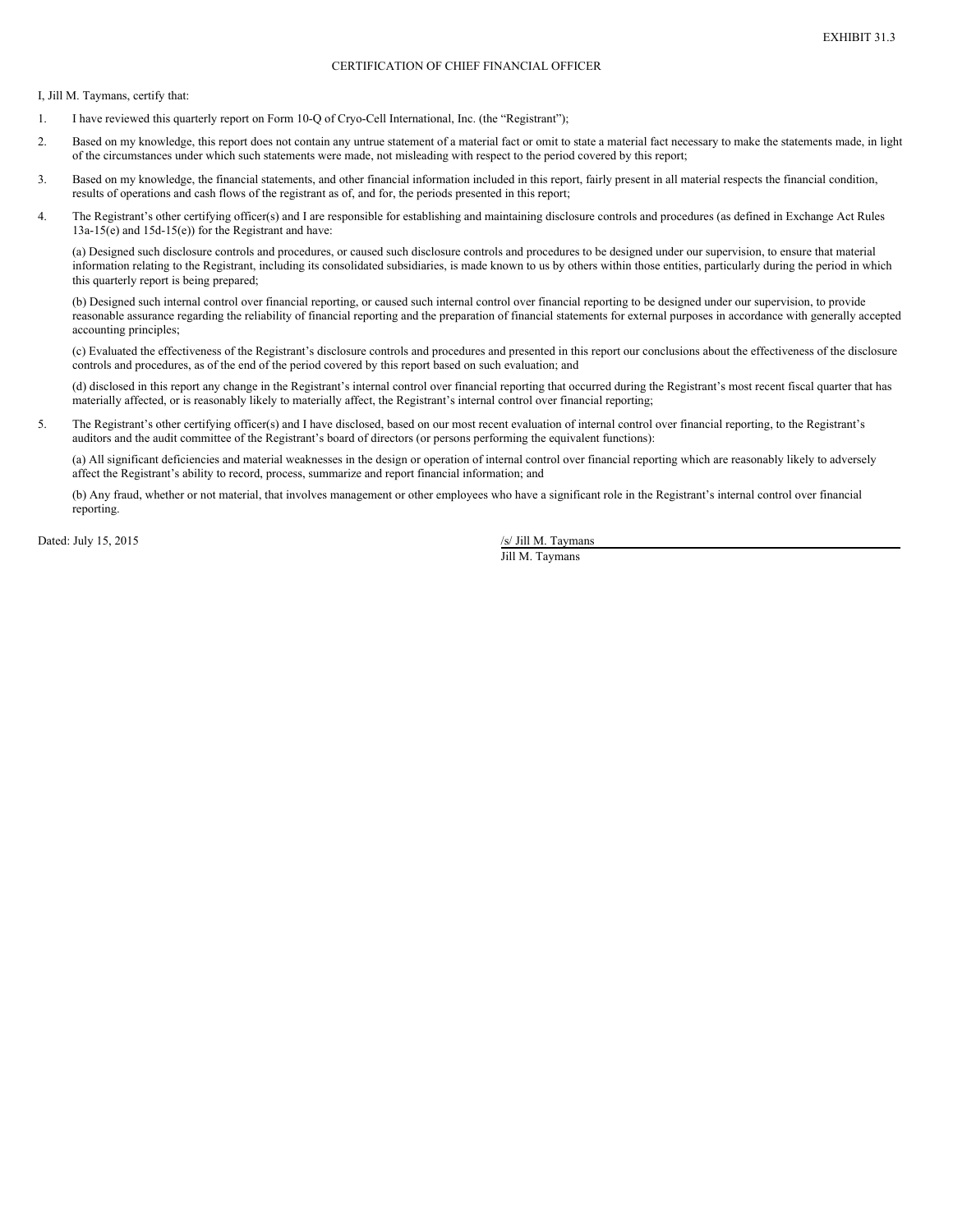#### CERTIFICATION OF CHIEF FINANCIAL OFFICER

I, Jill M. Taymans, certify that:

- 1. I have reviewed this quarterly report on Form 10-Q of Cryo-Cell International, Inc. (the "Registrant");
- 2. Based on my knowledge, this report does not contain any untrue statement of a material fact or omit to state a material fact necessary to make the statements made, in light of the circumstances under which such statements were made, not misleading with respect to the period covered by this report;
- 3. Based on my knowledge, the financial statements, and other financial information included in this report, fairly present in all material respects the financial condition, results of operations and cash flows of the registrant as of, and for, the periods presented in this report;
- 4. The Registrant's other certifying officer(s) and I are responsible for establishing and maintaining disclosure controls and procedures (as defined in Exchange Act Rules 13a-15(e) and 15d-15(e)) for the Registrant and have:

(a) Designed such disclosure controls and procedures, or caused such disclosure controls and procedures to be designed under our supervision, to ensure that material information relating to the Registrant, including its consolidated subsidiaries, is made known to us by others within those entities, particularly during the period in which this quarterly report is being prepared;

(b) Designed such internal control over financial reporting, or caused such internal control over financial reporting to be designed under our supervision, to provide reasonable assurance regarding the reliability of financial reporting and the preparation of financial statements for external purposes in accordance with generally accepted accounting principles;

(c) Evaluated the effectiveness of the Registrant's disclosure controls and procedures and presented in this report our conclusions about the effectiveness of the disclosure controls and procedures, as of the end of the period covered by this report based on such evaluation; and

(d) disclosed in this report any change in the Registrant's internal control over financial reporting that occurred during the Registrant's most recent fiscal quarter that has materially affected, or is reasonably likely to materially affect, the Registrant's internal control over financial reporting;

5. The Registrant's other certifying officer(s) and I have disclosed, based on our most recent evaluation of internal control over financial reporting, to the Registrant's auditors and the audit committee of the Registrant's board of directors (or persons performing the equivalent functions):

(a) All significant deficiencies and material weaknesses in the design or operation of internal control over financial reporting which are reasonably likely to adversely affect the Registrant's ability to record, process, summarize and report financial information; and

(b) Any fraud, whether or not material, that involves management or other employees who have a significant role in the Registrant's internal control over financial reporting.

Dated: July 15, 2015 /s/ Jill M. Taymans

Jill M. Taymans